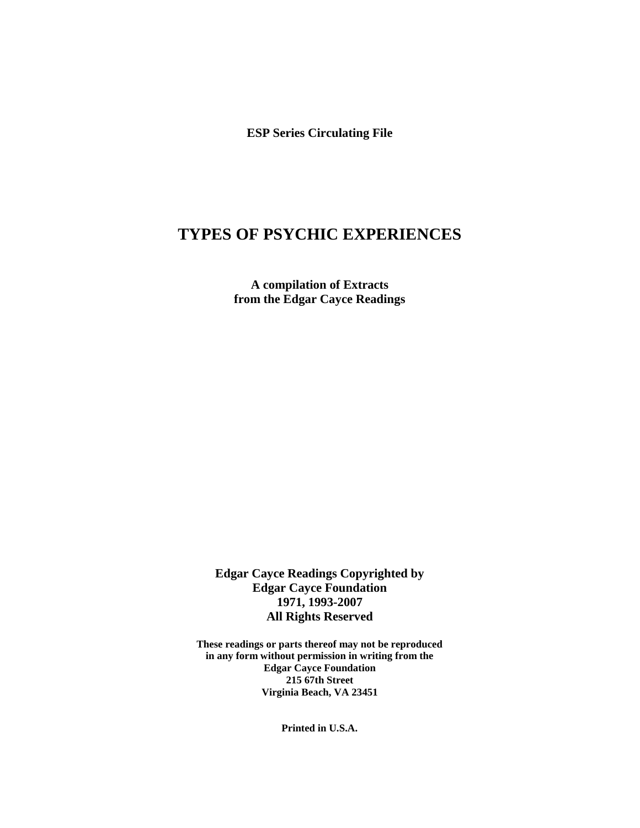**ESP Series Circulating File**

# **TYPES OF PSYCHIC EXPERIENCES**

**A compilation of Extracts from the Edgar Cayce Readings**

**Edgar Cayce Readings Copyrighted by Edgar Cayce Foundation 1971, 1993-2007 All Rights Reserved**

**These readings or parts thereof may not be reproduced in any form without permission in writing from the Edgar Cayce Foundation 215 67th Street Virginia Beach, VA 23451**

**Printed in U.S.A.**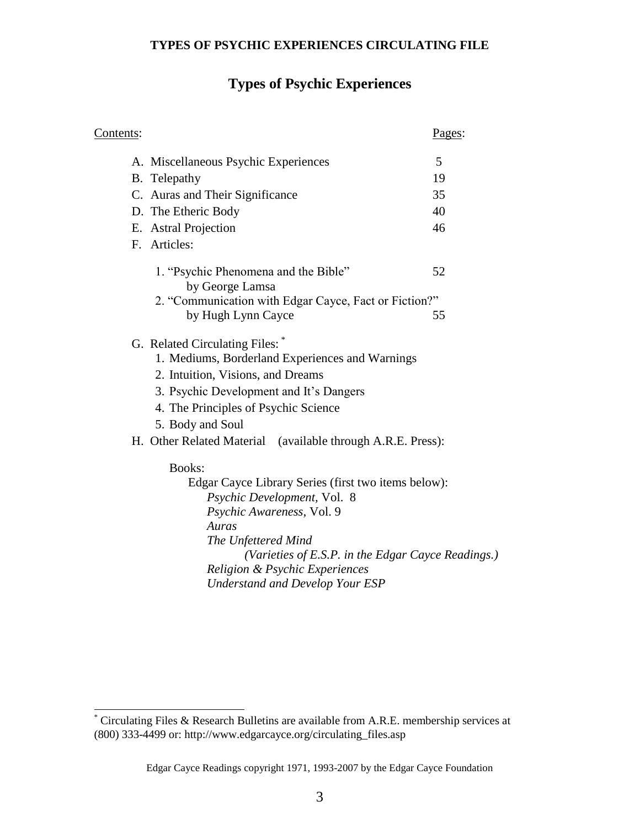# **Types of Psychic Experiences**

| Contents: |                                                                                                                                                                                                                                                                                                        | Pages: |
|-----------|--------------------------------------------------------------------------------------------------------------------------------------------------------------------------------------------------------------------------------------------------------------------------------------------------------|--------|
|           | A. Miscellaneous Psychic Experiences                                                                                                                                                                                                                                                                   | 5      |
|           | B. Telepathy                                                                                                                                                                                                                                                                                           | 19     |
|           | C. Auras and Their Significance                                                                                                                                                                                                                                                                        | 35     |
|           | D. The Etheric Body                                                                                                                                                                                                                                                                                    | 40     |
|           | E. Astral Projection                                                                                                                                                                                                                                                                                   | 46     |
|           | F. Articles:                                                                                                                                                                                                                                                                                           |        |
|           | 1. "Psychic Phenomena and the Bible"<br>by George Lamsa                                                                                                                                                                                                                                                | 52     |
|           | 2. "Communication with Edgar Cayce, Fact or Fiction?"                                                                                                                                                                                                                                                  |        |
|           | by Hugh Lynn Cayce                                                                                                                                                                                                                                                                                     | 55     |
|           | G. Related Circulating Files:<br>1. Mediums, Borderland Experiences and Warnings<br>2. Intuition, Visions, and Dreams<br>3. Psychic Development and It's Dangers<br>4. The Principles of Psychic Science<br>5. Body and Soul<br>H. Other Related Material (available through A.R.E. Press):            |        |
|           | Books:<br>Edgar Cayce Library Series (first two items below):<br>Psychic Development, Vol. 8<br>Psychic Awareness, Vol. 9<br>Auras<br>The Unfettered Mind<br>(Varieties of E.S.P. in the Edgar Cayce Readings.)<br><b>Religion &amp; Psychic Experiences</b><br><b>Understand and Develop Your ESP</b> |        |

l

<sup>\*</sup> Circulating Files & Research Bulletins are available from A.R.E. membership services at (800) 333-4499 or: http://www.edgarcayce.org/circulating\_files.asp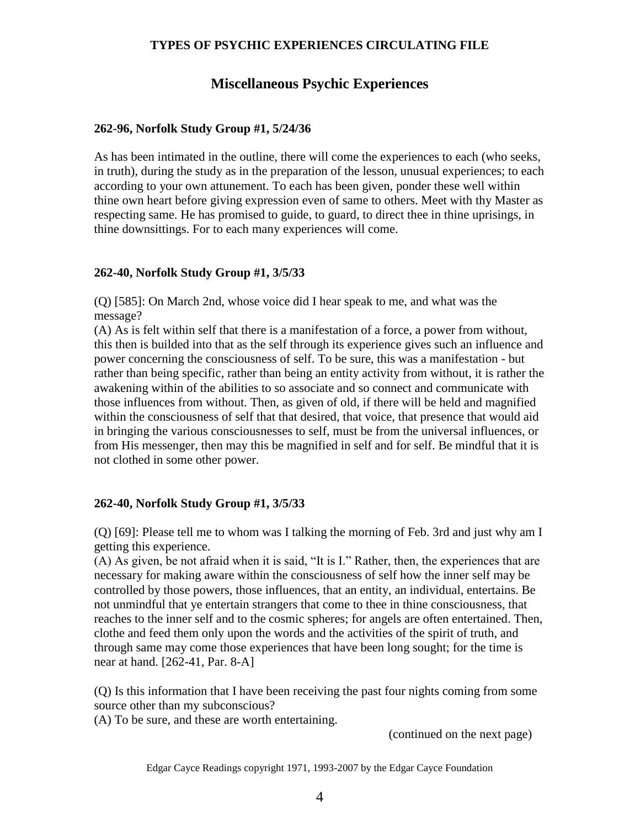# **Miscellaneous Psychic Experiences**

### **262-96, Norfolk Study Group #1, 5/24/36**

As has been intimated in the outline, there will come the experiences to each (who seeks, in truth), during the study as in the preparation of the lesson, unusual experiences; to each according to your own attunement. To each has been given, ponder these well within thine own heart before giving expression even of same to others. Meet with thy Master as respecting same. He has promised to guide, to guard, to direct thee in thine uprisings, in thine downsittings. For to each many experiences will come.

#### **262-40, Norfolk Study Group #1, 3/5/33**

(Q) [585]: On March 2nd, whose voice did I hear speak to me, and what was the message?

(A) As is felt within self that there is a manifestation of a force, a power from without, this then is builded into that as the self through its experience gives such an influence and power concerning the consciousness of self. To be sure, this was a manifestation - but rather than being specific, rather than being an entity activity from without, it is rather the awakening within of the abilities to so associate and so connect and communicate with those influences from without. Then, as given of old, if there will be held and magnified within the consciousness of self that that desired, that voice, that presence that would aid in bringing the various consciousnesses to self, must be from the universal influences, or from His messenger, then may this be magnified in self and for self. Be mindful that it is not clothed in some other power.

### **262-40, Norfolk Study Group #1, 3/5/33**

(Q) [69]: Please tell me to whom was I talking the morning of Feb. 3rd and just why am I getting this experience.

(A) As given, be not afraid when it is said, "It is I." Rather, then, the experiences that are necessary for making aware within the consciousness of self how the inner self may be controlled by those powers, those influences, that an entity, an individual, entertains. Be not unmindful that ye entertain strangers that come to thee in thine consciousness, that reaches to the inner self and to the cosmic spheres; for angels are often entertained. Then, clothe and feed them only upon the words and the activities of the spirit of truth, and through same may come those experiences that have been long sought; for the time is near at hand. [262-41, Par. 8-A]

(Q) Is this information that I have been receiving the past four nights coming from some source other than my subconscious?

(A) To be sure, and these are worth entertaining.

(continued on the next page)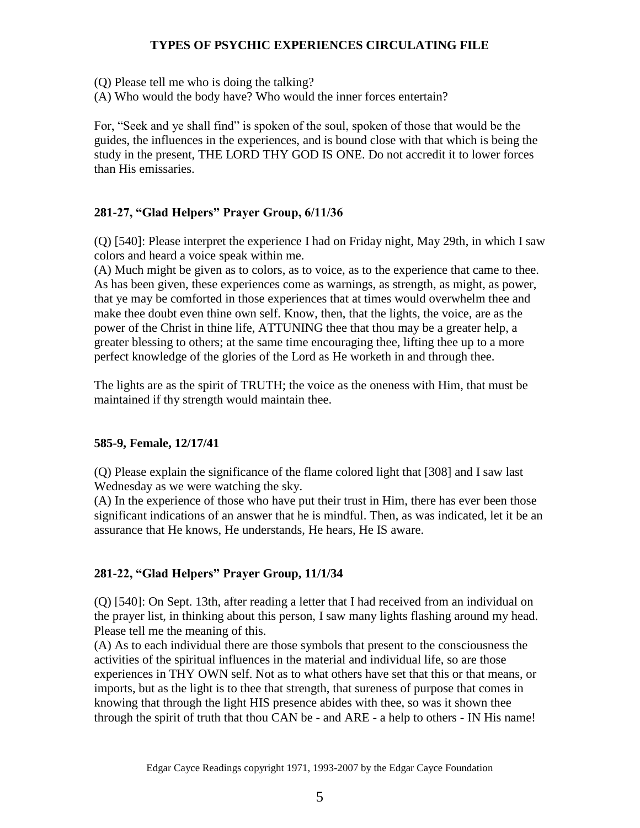(Q) Please tell me who is doing the talking?

(A) Who would the body have? Who would the inner forces entertain?

For, "Seek and ye shall find" is spoken of the soul, spoken of those that would be the guides, the influences in the experiences, and is bound close with that which is being the study in the present, THE LORD THY GOD IS ONE. Do not accredit it to lower forces than His emissaries.

# **281-27, "Glad Helpers" Prayer Group, 6/11/36**

(Q) [540]: Please interpret the experience I had on Friday night, May 29th, in which I saw colors and heard a voice speak within me.

(A) Much might be given as to colors, as to voice, as to the experience that came to thee. As has been given, these experiences come as warnings, as strength, as might, as power, that ye may be comforted in those experiences that at times would overwhelm thee and make thee doubt even thine own self. Know, then, that the lights, the voice, are as the power of the Christ in thine life, ATTUNING thee that thou may be a greater help, a greater blessing to others; at the same time encouraging thee, lifting thee up to a more perfect knowledge of the glories of the Lord as He worketh in and through thee.

The lights are as the spirit of TRUTH; the voice as the oneness with Him, that must be maintained if thy strength would maintain thee.

# **585-9, Female, 12/17/41**

(Q) Please explain the significance of the flame colored light that [308] and I saw last Wednesday as we were watching the sky.

(A) In the experience of those who have put their trust in Him, there has ever been those significant indications of an answer that he is mindful. Then, as was indicated, let it be an assurance that He knows, He understands, He hears, He IS aware.

# **281-22, "Glad Helpers" Prayer Group, 11/1/34**

(Q) [540]: On Sept. 13th, after reading a letter that I had received from an individual on the prayer list, in thinking about this person, I saw many lights flashing around my head. Please tell me the meaning of this.

(A) As to each individual there are those symbols that present to the consciousness the activities of the spiritual influences in the material and individual life, so are those experiences in THY OWN self. Not as to what others have set that this or that means, or imports, but as the light is to thee that strength, that sureness of purpose that comes in knowing that through the light HIS presence abides with thee, so was it shown thee through the spirit of truth that thou CAN be - and ARE - a help to others - IN His name!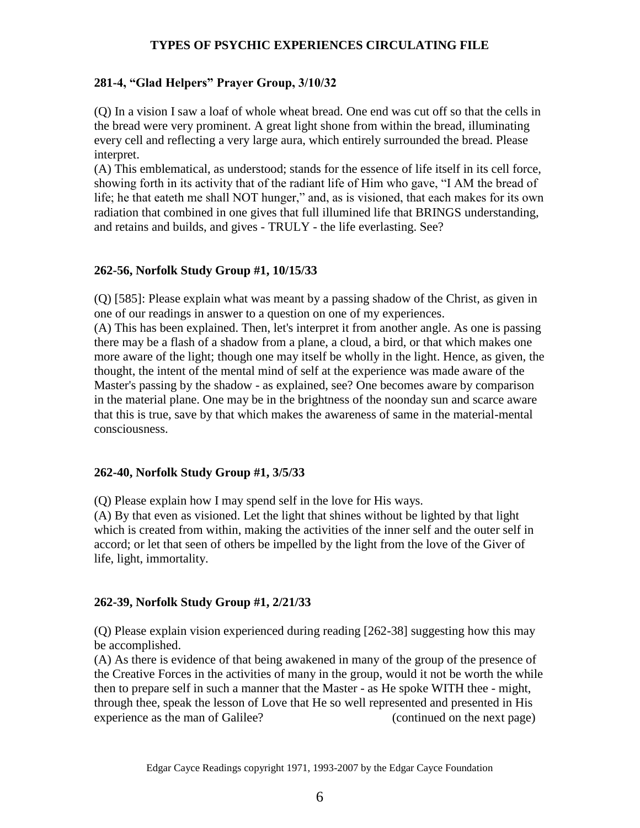### **281-4, "Glad Helpers" Prayer Group, 3/10/32**

(Q) In a vision I saw a loaf of whole wheat bread. One end was cut off so that the cells in the bread were very prominent. A great light shone from within the bread, illuminating every cell and reflecting a very large [aura,](http://www.are-cayce.org/ecreadings/glosnmed.html#AURA) which entirely surrounded the bread. Please interpret.

(A) This emblematical, as understood; stands for the essence of life itself in its cell force, showing forth in its activity that of the radiant life of Him who gave, "I AM the bread of life; he that eateth me shall NOT hunger," and, as is visioned, that each makes for its own radiation that combined in one gives that full illumined life that BRINGS understanding, and retains and builds, and gives - TRULY - the life everlasting. See?

### **262-56, Norfolk Study Group #1, 10/15/33**

(Q) [585]: Please explain what was meant by a passing shadow of the [Christ,](http://www.are-cayce.org/ecreadings/glosnmed.html#CHRIST) as given in one of our readings in answer to a question on one of my experiences.

(A) This has been explained. Then, let's interpret it from another angle. As one is passing there may be a flash of a shadow from a plane, a cloud, a bird, or that which makes one more aware of the light; though one may itself be wholly in the light. Hence, as given, the thought, the intent of the mental mind of self at the experience was made aware of the Master's passing by the shadow - as explained, see? One becomes aware by comparison in the material plane. One may be in the brightness of the noonday sun and scarce aware that this is true, save by that which makes the awareness of same in the material-mental consciousness.

### **262-40, Norfolk Study Group #1, 3/5/33**

(Q) Please explain how I may spend self in the love for His ways.

(A) By that even as visioned. Let the light that shines without be lighted by that light which is created from within, making the activities of the inner self and the outer self in accord; or let that seen of others be impelled by the light from the love of the Giver of life, light, immortality.

### **262-39, Norfolk Study Group #1, 2/21/33**

(Q) Please explain vision experienced during reading [262-38] suggesting how this may be accomplished.

(A) As there is evidence of that being awakened in many of the group of the presence of the Creative Forces in the activities of many in the group, would it not be worth the while then to prepare self in such a manner that the Master - as He [spoke](http://www.are-cayce.org/ecreadings/glossmed.html#POKE) WITH thee - might, through thee, speak the lesson of Love that He so well represented and presented in His experience as the man of Galilee? (continued on the next page)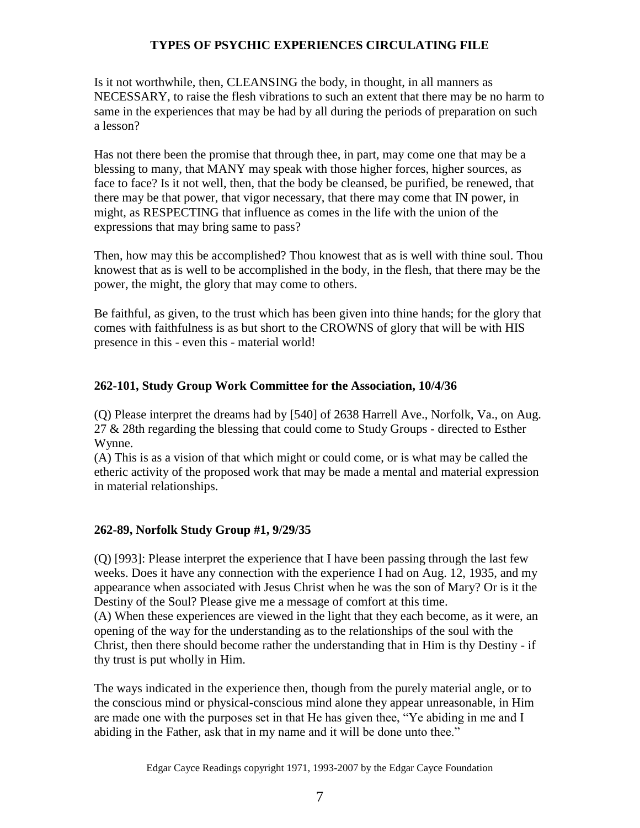Is it not worthwhile, then, [CLEANSING](http://www.are-cayce.org/ecreadings/glosnmed.html#CLEANSING) the body, in thought, in all manners as NECESSARY, to raise the flesh vibrations to such an extent that there may be no harm to same in the experiences that may be had by all during the periods of preparation on such a lesson?

Has not there been the promise that through thee, in part, may come one that may be a blessing to many, that MANY may speak with those higher forces, higher sources, as face to face? Is it not well, then, that the body be cleansed, be purified, be renewed, that there may be that power, that vigor necessary, that there may come that IN power, in might, as RESPECTING that influence as comes in the life with the union of the expressions that may bring same to pass?

Then, how may this be accomplished? Thou knowest that as is well with thine [soul.](http://www.are-cayce.org/ecreadings/glosnmed.html#SOUL) Thou knowest that as is well to be accomplished in the body, in the flesh, that there may be the power, the might, the glory that may come to others.

Be faithful, as given, to the trust which has been given into thine hands; for the glory that comes with faithfulness is as but short to the CROWNS of glory that will be with HIS presence in this - even this - material world!

# **262-101, Study Group Work Committee for the Association, 10/4/36**

(Q) Please interpret the [dreams](http://www.are-cayce.org/ecreadings/glosnmed.html#DREAMS) had by [540] of 2638 Harrell Ave., Norfolk, Va., on Aug. 27 & 28th regarding the blessing that could come to Study Groups - directed to Esther Wynne.

(A) This is as a vision of that which might or could come, or is what may be called the etheric activity of the proposed work that may be made a mental and material expression in material relationships.

# **262-89, Norfolk Study Group #1, 9/29/35**

(Q) [993]: Please interpret the experience that I have been passing through the last few weeks. Does it have any connection with the experience I had on Aug. 12, 1935, and my appearance when associated with Jesus [Christ](http://www.are-cayce.org/ecreadings/glosnmed.html#CHRIST) when he was the son of Mary? Or is it the Destiny of the [Soul?](http://www.are-cayce.org/ecreadings/glosnmed.html#SOUL) Please give me a message of comfort at this time.

(A) When these experiences are viewed in the light that they each become, as it were, an opening of the way for the understanding as to the relationships of the [soul](http://www.are-cayce.org/ecreadings/glosnmed.html#SOUL) with the [Christ,](http://www.are-cayce.org/ecreadings/glosnmed.html#CHRIST) then there should become rather the understanding that in Him is thy Destiny - if thy trust is put wholly in Him.

The ways indicated in the experience then, though from the purely material angle, or to the conscious mind or physical-conscious mind alone they appear unreasonable, in Him are made one with the purposes set in that He has given thee, "Ye abiding in me and I abiding in the Father, ask that in my name and it will be done unto thee."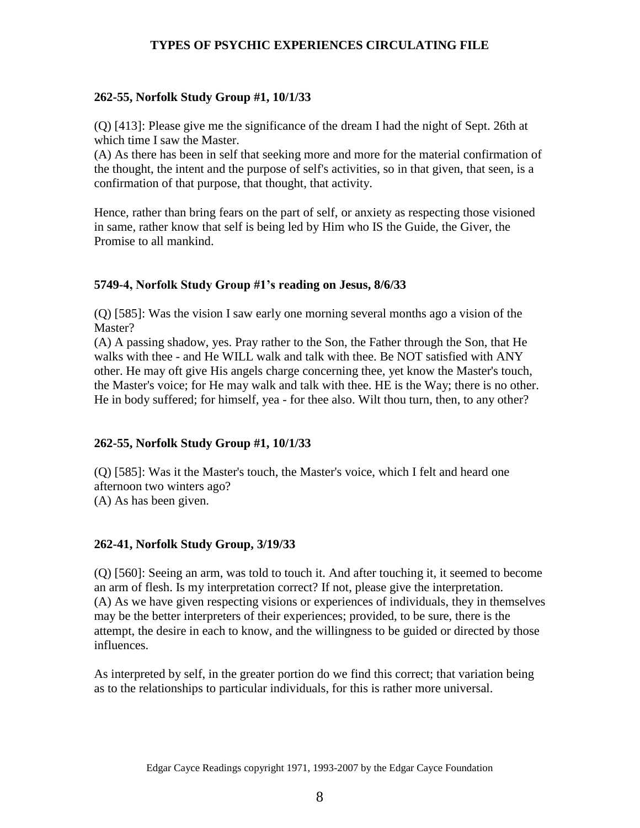### **262-55, Norfolk Study Group #1, 10/1/33**

(Q) [413]: Please give me the significance of the [dream](http://www.are-cayce.org/ecreadings/glosnmed.html#DREAMS) I had the night of Sept. 26th at which time I saw the Master.

(A) As there has been in self that seeking more and more for the material confirmation of the thought, the intent and the purpose of self's activities, so in that given, that seen, is a confirmation of that purpose, that thought, that activity.

Hence, rather than bring fears on the part of self, or anxiety as respecting those visioned in same, rather know that self is being led by Him who IS the Guide, the Giver, the Promise to all mankind.

### **5749-4, Norfolk Study Group #1's reading on Jesus, 8/6/33**

(Q) [585]: Was the vision I saw early one morning several months ago a vision of the Master?

(A) A passing shadow, yes. Pray rather to the Son, the Father through the Son, that He walks with thee - and He WILL walk and talk with thee. Be NOT satisfied with ANY other. He may oft give His angels charge concerning thee, yet know the Master's touch, the Master's voice; for He may walk and talk with thee. HE is the Way; there is no other. He in body suffered; for himself, yea - for thee also. Wilt thou turn, then, to any other?

# **262-55, Norfolk Study Group #1, 10/1/33**

(Q) [585]: Was it the Master's touch, the Master's voice, which I felt and heard one afternoon two winters ago? (A) As has been given.

### **262-41, Norfolk Study Group, 3/19/33**

(Q) [560]: Seeing an arm, was told to touch it. And after touching it, it seemed to become an arm of flesh. Is my interpretation correct? If not, please give the interpretation. (A) As we have given respecting visions or experiences of individuals, they in themselves may be the better interpreters of their experiences; provided, to be sure, there is the attempt, the desire in each to know, and the willingness to be guided or directed by those influences.

As interpreted by self, in the greater portion do we find this correct; that variation being as to the relationships to particular individuals, for this is rather more universal.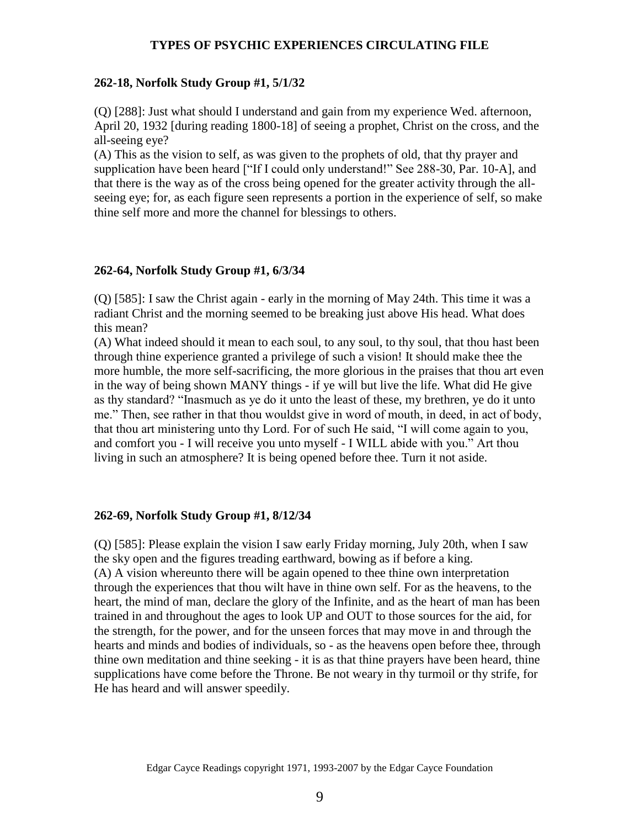### **262-18, Norfolk Study Group #1, 5/1/32**

(Q) [288]: Just what should I understand and gain from my experience Wed. afternoon, April 20, 1932 [during reading 1800-18] of seeing a prophet, [Christ](http://www.are-cayce.org/ecreadings/glosnmed.html#CHRIST) on the cross, and the all-seeing eye?

(A) This as the vision to self, as was given to the prophets of old, that thy [prayer](http://www.are-cayce.org/ecreadings/glosnmed.html#PRAYER) and supplication have been heard ["If I could only understand!" See 288-30, Par. 10-A], and that there is the way as of the cross being opened for the greater activity through the allseeing eye; for, as each figure seen represents a portion in the experience of self, so make thine self more and more the channel for blessings to others.

### **262-64, Norfolk Study Group #1, 6/3/34**

(Q) [585]: I saw the [Christ](http://www.are-cayce.org/ecreadings/glosnmed.html#CHRIST) again - early in the morning of May 24th. This time it was a radiant [Christ](http://www.are-cayce.org/ecreadings/glosnmed.html#CHRIST) and the morning seemed to be breaking just above His head. What does this mean?

(A) What indeed should it mean to each [soul,](http://www.are-cayce.org/ecreadings/glosnmed.html#SOUL) to any [soul,](http://www.are-cayce.org/ecreadings/glosnmed.html#SOUL) to thy [soul,](http://www.are-cayce.org/ecreadings/glosnmed.html#SOUL) that thou hast been through thine experience granted a privilege of such a vision! It should make thee the more humble, the more self-sacrificing, the more glorious in the praises that thou art even in the way of being shown MANY things - if ye will but live the life. What did He give as thy standard? "Inasmuch as ye do it unto the least of these, my brethren, ye do it unto me." Then, see rather in that thou wouldst give in word of mouth, in deed, in act of body, that thou art ministering unto thy Lord. For of such He said, "I will come again to you, and comfort you - I will receive you unto myself - I WILL abide with you." Art thou living in such an atmosphere? It is being opened before thee. Turn it not aside.

### **262-69, Norfolk Study Group #1, 8/12/34**

(Q) [585]: Please explain the vision I saw early Friday morning, July 20th, when I saw the sky open and the figures treading earthward, bowing as if before a king. (A) A vision whereunto there will be again opened to thee thine own interpretation through the experiences that thou wilt have in thine own self. For as the heavens, to the [heart,](http://www.are-cayce.org/ecreadings/glossmed.html#HEART) the mind of man, declare the glory of the Infinite, and as the [heart](http://www.are-cayce.org/ecreadings/glossmed.html#HEART) of man has been trained in and throughout the ages to look UP and OUT to those sources for the aid, for the strength, for the power, and for the unseen forces that may move in and through the [hearts](http://www.are-cayce.org/ecreadings/glossmed.html#HEART) and minds and bodies of individuals, so - as the heavens open before thee, through thine own [meditation](http://www.are-cayce.org/ecreadings/glosnmed.html#MEDITATION) and thine seeking - it is as that thine [prayers](http://www.are-cayce.org/ecreadings/glosnmed.html#PRAYER) have been heard, thine supplications have come before the Throne. Be not weary in thy turmoil or thy strife, for He has heard and will answer speedily.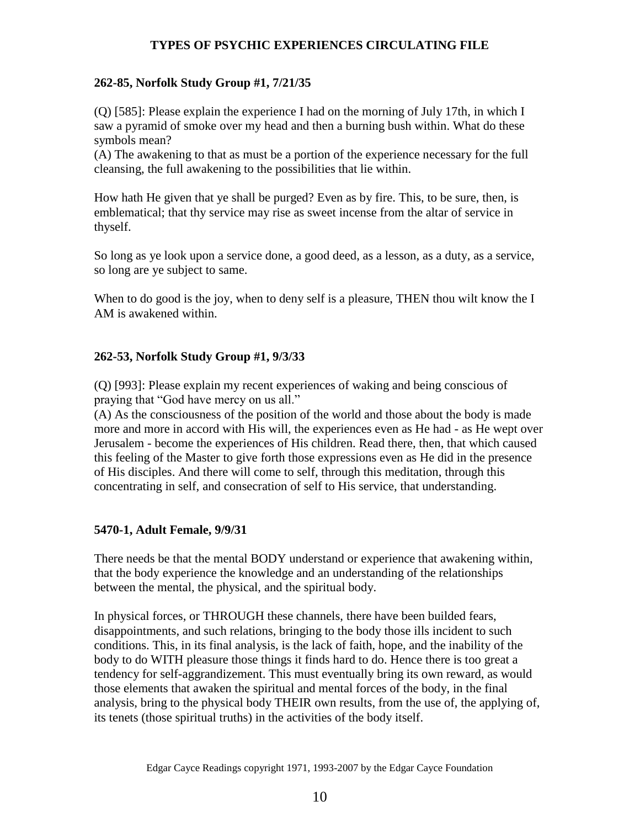# **262-85, Norfolk Study Group #1, 7/21/35**

(Q) [585]: Please explain the experience I had on the morning of July 17th, in which I saw a pyramid of smoke over my head and then a burning bush within. What do these symbols mean?

(A) The awakening to that as must be a portion of the experience necessary for the full [cleansing,](http://www.are-cayce.org/ecreadings/glosnmed.html#CLEANSING) the full awakening to the possibilities that lie within.

How hath He given that ye shall be purged? Even as by fire. This, to be sure, then, is emblematical; that thy service may rise as sweet [incense](http://www.are-cayce.org/ecreadings/glosnmed.html#INCENSE) from the altar of service in thyself.

So long as ye look upon a service done, a good deed, as a lesson, as a duty, as a service, so long are ye subject to same.

When to do good is the joy, when to deny self is a pleasure, THEN thou wilt know the I AM is awakened within.

# **262-53, Norfolk Study Group #1, 9/3/33**

(Q) [993]: Please explain my recent experiences of waking and being conscious of praying that "God have mercy on us all."

(A) As the consciousness of the position of the world and those about the body is made more and more in accord with His will, the experiences even as He had - as He wept over Jerusalem - become the experiences of His children. Read there, then, that which caused this feeling of the Master to give forth those expressions even as He did in the presence of His disciples. And there will come to self, through this [meditation,](http://www.are-cayce.org/ecreadings/glosnmed.html#MEDITATION) through this concentrating in self, and consecration of self to His service, that understanding.

# **5470-1, Adult Female, 9/9/31**

There needs be that the mental BODY understand or experience that awakening within, that the body experience the knowledge and an understanding of the relationships between the mental, the physical, and the spiritual body.

In physical forces, or THROUGH these channels, there have been builded fears, disappointments, and such relations, bringing to the body those ills incident to such conditions. This, in its final analysis, is the lack of faith, hope, and the inability of the body to do WITH pleasure those things it finds hard to do. Hence there is too great a tendency for self-aggrandizement. This must eventually bring its own reward, as would those elements that awaken the spiritual and mental forces of the body, in the final analysis, bring to the physical body THEIR own results, from the use of, the applying of, its tenets (those spiritual truths) in the activities of the body itself.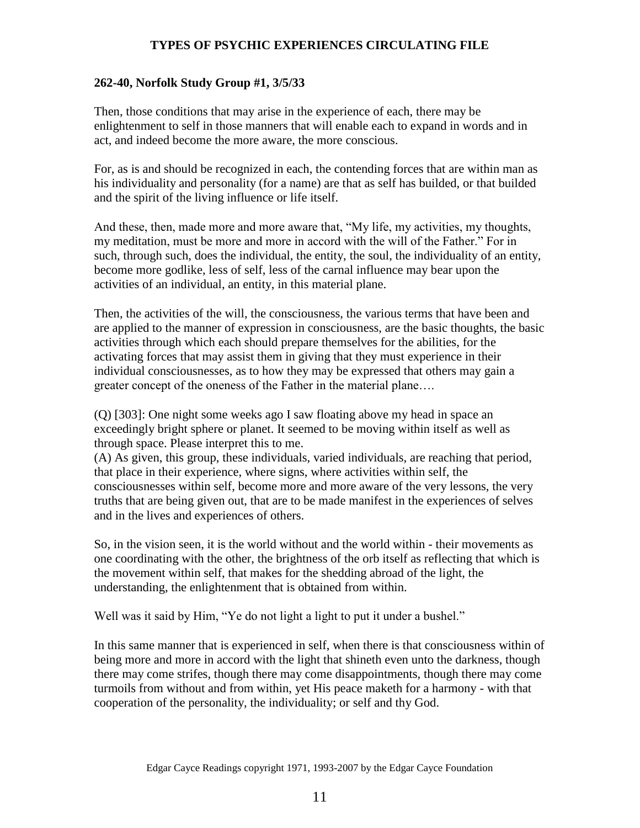# **262-40, Norfolk Study Group #1, 3/5/33**

Then, those conditions that may arise in the experience of each, there may be enlightenment to self in those manners that will enable each to expand in words and in act, and indeed become the more aware, the more conscious.

For, as is and should be recognized in each, the contending forces that are within man as his individuality and personality (for a name) are that as self has builded, or that builded and the spirit of the living influence or life itself.

And these, then, made more and more aware that, "My life, my activities, my thoughts, my [meditation,](http://www.are-cayce.org/ecreadings/glosnmed.html#MEDITATION) must be more and more in accord with the will of the Father." For in such, through such, does the individual, the entity, the [soul,](http://www.are-cayce.org/ecreadings/glosnmed.html#SOUL) the individuality of an entity, become more godlike, less of self, less of the carnal influence may bear upon the activities of an individual, an entity, in this material plane.

Then, the activities of the will, the consciousness, the various terms that have been and are applied to the manner of expression in consciousness, are the basic thoughts, the basic activities through which each should prepare themselves for the abilities, for the activating forces that may assist them in giving that they must experience in their individual consciousnesses, as to how they may be expressed that others may gain a greater concept of the oneness of the Father in the material plane….

(Q) [303]: One night some weeks ago I saw floating above my head in space an exceedingly bright sphere or planet. It seemed to be moving within itself as well as through space. Please interpret this to me.

(A) As given, this group, these individuals, varied individuals, are reaching that period, that place in their experience, where signs, where activities within self, the consciousnesses within self, become more and more aware of the very lessons, the very truths that are being given out, that are to be made manifest in the experiences of selves and in the lives and experiences of others.

So, in the vision seen, it is the world without and the world within - their movements as one coordinating with the other, the brightness of the orb itself as reflecting that which is the movement within self, that makes for the shedding abroad of the light, the understanding, the enlightenment that is obtained from within.

Well was it said by Him, "Ye do not light a light to put it under a bushel."

In this same manner that is experienced in self, when there is that consciousness within of being more and more in accord with the light that shineth even unto the darkness, though there may come strifes, though there may come disappointments, though there may come turmoils from without and from within, yet His peace maketh for a harmony - with that cooperation of the personality, the individuality; or self and thy God.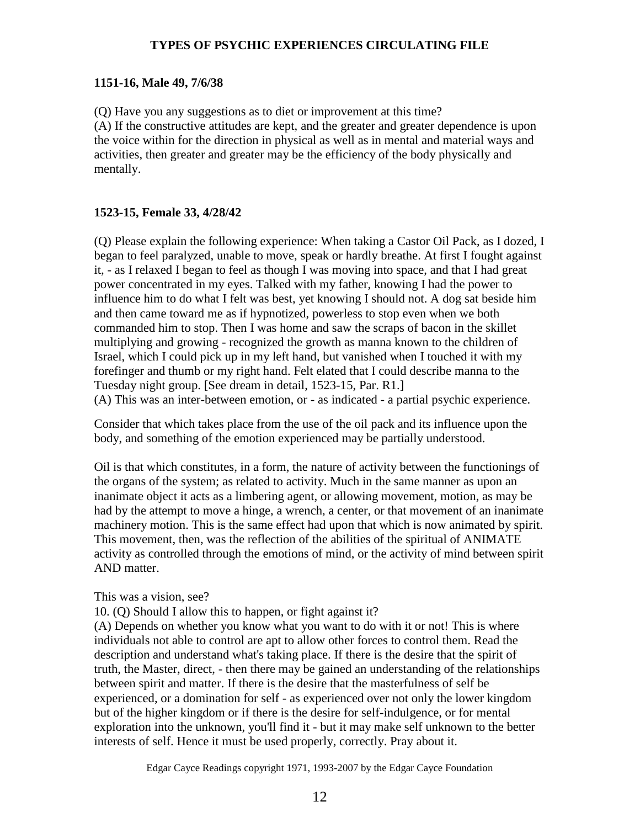#### **1151-16, Male 49, 7/6/38**

(Q) Have you any suggestions as to diet or improvement at this time? (A) If the constructive attitudes are kept, and the greater and greater dependence is upon the voice within for the direction in physical as well as in mental and material ways and activities, then greater and greater may be the efficiency of the body physically and mentally.

### **1523-15, Female 33, 4/28/42**

(Q) Please explain the following experience: When taking a [Castor Oil](http://www.are-cayce.org/ecreadings/glossmed.html#CASTOROIL) Pack, as I dozed, I began to feel paralyzed, unable to move, speak or hardly breathe. At first I fought against it, - as I relaxed I began to feel as though I was moving into space, and that I had great power concentrated in my eyes. Talked with my father, knowing I had the power to influence him to do what I felt was best, yet knowing I should not. A dog sat beside him and then came toward me as if hypnotized, powerless to stop even when we both commanded him to stop. Then I was home and saw the scraps of bacon in the skillet multiplying and growing - recognized the growth as manna known to the children of Israel, which I could pick up in my left hand, but vanished when I touched it with my forefinger and thumb or my right hand. Felt elated that I could describe manna to the Tuesday night group. [See [dream](http://www.are-cayce.org/ecreadings/glosnmed.html#DREAMS) in detail, 1523-15, Par. R1.] (A) This was an inter-between emotion, or - as indicated - a partial psychic experience.

Consider that which takes place from the use of the oil pack and its influence upon the body, and something of the emotion experienced may be partially understood.

Oil is that which constitutes, in a form, the nature of activity between the functionings of the organs of the system; as related to activity. Much in the same manner as upon an inanimate object it acts as a limbering agent, or allowing movement, motion, as may be had by the attempt to move a hinge, a wrench, a center, or that movement of an inanimate machinery motion. This is the same effect had upon that which is now animated by spirit. This movement, then, was the reflection of the abilities of the spiritual of ANIMATE activity as controlled through the emotions of mind, or the activity of mind between spirit AND matter.

### This was a vision, see?

10. (Q) Should I allow this to happen, or fight against it?

(A) Depends on whether you know what you want to do with it or not! This is where individuals not able to control are apt to allow other forces to control them. Read the description and understand what's taking place. If there is the desire that the spirit of truth, the Master, direct, - then there may be gained an understanding of the relationships between spirit and matter. If there is the desire that the masterfulness of self be experienced, or a domination for self - as experienced over not only the lower kingdom but of the higher kingdom or if there is the desire for self-indulgence, or for mental exploration into the unknown, you'll find it - but it may make self unknown to the better interests of self. Hence it must be used properly, correctly. Pray about it.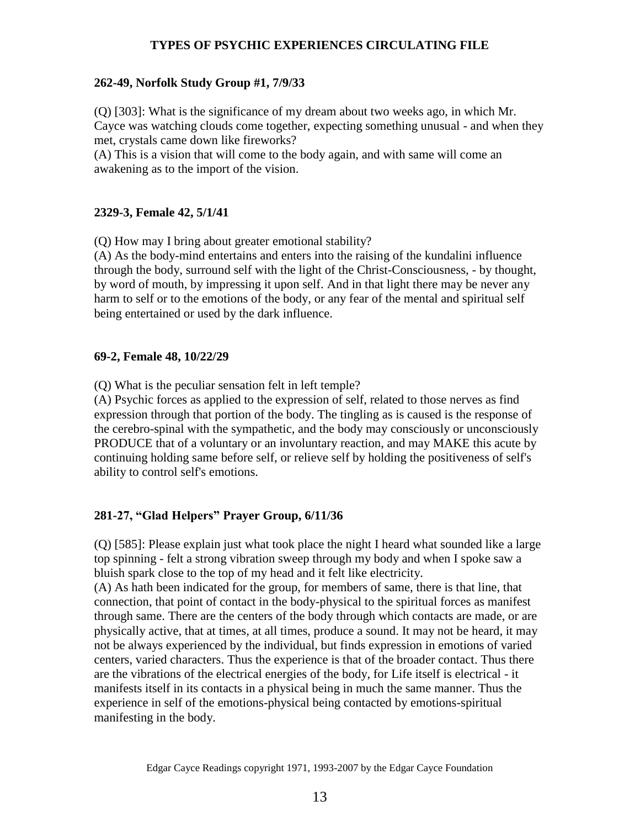### **262-49, Norfolk Study Group #1, 7/9/33**

(Q) [303]: What is the significance of my [dream](http://www.are-cayce.org/ecreadings/glosnmed.html#DREAMS) about two weeks ago, in which Mr. Cayce was watching clouds come together, expecting something unusual - and when they met, [crystals](http://www.are-cayce.org/ecreadings/glosnmed.html#CRYSTAL) came down like fireworks?

(A) This is a vision that will come to the body again, and with same will come an awakening as to the import of the vision.

### **2329-3, Female 42, 5/1/41**

(Q) How may I bring about greater emotional stability?

(A) As the body-mind entertains and enters into the raising of the kundalini influence through the body, surround self with the light of the [Christ-](http://www.are-cayce.org/ecreadings/glosnmed.html#CHRIST)Consciousness, - by thought, by word of mouth, by impressing it upon self. And in that light there may be never any harm to self or to the emotions of the body, or any fear of the mental and spiritual self being entertained or used by the dark influence.

### **69-2, Female 48, 10/22/29**

(Q) What is the peculiar sensation felt in left temple?

(A) Psychic forces as applied to the expression of self, related to those nerves as find expression through that portion of the body. The tingling as is caused is the response of the cerebro-spinal with the sympathetic, and the body may consciously or unconsciously PRODUCE that of a voluntary or an involuntary reaction, and may MAKE this acute by continuing holding same before self, or relieve self by holding the positiveness of self's ability to control self's emotions.

# **281-27, "Glad Helpers" Prayer Group, 6/11/36**

(Q) [585]: Please explain just what took place the night I heard what sounded like a large top spinning - felt a strong vibration sweep through my body and when I [spoke](http://www.are-cayce.org/ecreadings/glossmed.html#POKE) saw a bluish spark close to the top of my head and it felt like electricity.

(A) As hath been indicated for the group, for members of same, there is that line, that connection, that point of contact in the body-physical to the spiritual forces as manifest through same. There are the centers of the body through which contacts are made, or are physically active, that at times, at all times, produce a sound. It may not be heard, it may not be always experienced by the individual, but finds expression in emotions of varied centers, varied characters. Thus the experience is that of the broader contact. Thus there are the vibrations of the electrical energies of the body, for Life itself is electrical - it manifests itself in its contacts in a physical being in much the same manner. Thus the experience in self of the emotions-physical being contacted by emotions-spiritual manifesting in the body.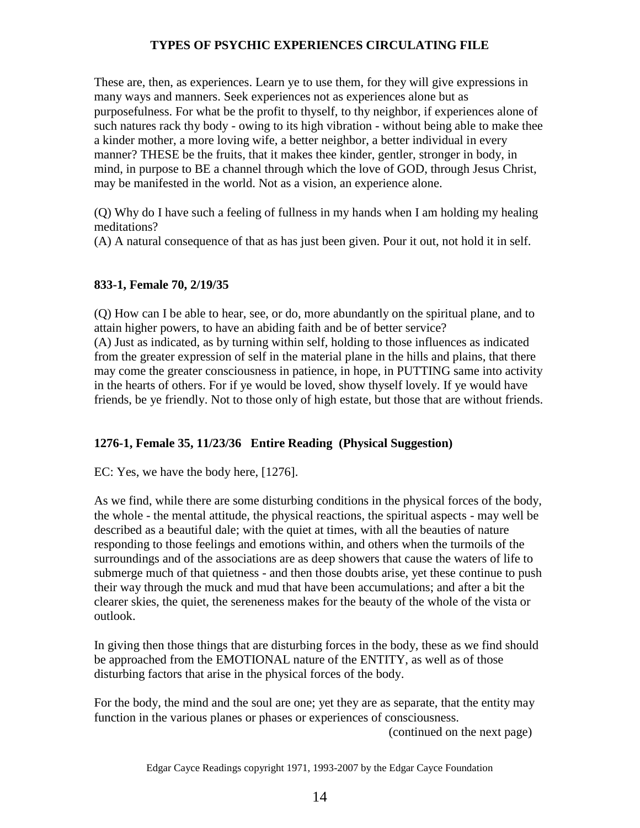These are, then, as experiences. Learn ye to use them, for they will give expressions in many ways and manners. Seek experiences not as experiences alone but as purposefulness. For what be the profit to thyself, to thy neighbor, if experiences alone of such natures rack thy body - owing to its high vibration - without being able to make thee a kinder mother, a more loving wife, a better neighbor, a better individual in every manner? THESE be the fruits, that it makes thee kinder, gentler, stronger in body, in mind, in purpose to BE a channel through which the love of GOD, through Jesus [Christ,](http://www.are-cayce.org/ecreadings/glosnmed.html#CHRIST) may be manifested in the world. Not as a vision, an experience alone.

(Q) Why do I have such a feeling of fullness in my hands when I am holding my healing [meditations](http://www.are-cayce.org/ecreadings/glosnmed.html#MEDITATION)?

(A) A natural consequence of that as has just been given. Pour it out, not hold it in self.

# **833-1, Female 70, 2/19/35**

(Q) How can I be able to hear, see, or do, more abundantly on the spiritual plane, and to attain higher powers, to have an abiding faith and be of better service? (A) Just as indicated, as by turning within self, holding to those influences as indicated from the greater expression of self in the material plane in the hills and plains, that there may come the greater consciousness in patience, in hope, in PUTTING same into activity in the [hearts](http://www.are-cayce.org/ecreadings/glossmed.html#HEART) of others. For if ye would be loved, show thyself lovely. If ye would have friends, be ye friendly. Not to those only of high estate, but those that are without friends.

# **1276-1, Female 35, 11/23/36 Entire Reading (Physical Suggestion)**

EC: Yes, we have the body here, [1276].

As we find, while there are some disturbing conditions in the physical forces of the body, the whole - the mental attitude, the physical reactions, the spiritual aspects - may well be described as a beautiful dale; with the quiet at times, with all the beauties of nature responding to those feelings and emotions within, and others when the turmoils of the surroundings and of the associations are as deep showers that cause the waters of life to submerge much of that quietness - and then those doubts arise, yet these continue to push their way through the muck and mud that have been accumulations; and after a bit the clearer skies, the quiet, the sereneness makes for the beauty of the whole of the vista or outlook.

In giving then those things that are disturbing forces in the body, these as we find should be approached from the EMOTIONAL nature of the ENTITY, as well as of those disturbing factors that arise in the physical forces of the body.

For the body, the mind and the [soul](http://www.are-cayce.org/ecreadings/glosnmed.html#SOUL) are one; yet they are as separate, that the entity may function in the various planes or phases or experiences of consciousness.

(continued on the next page)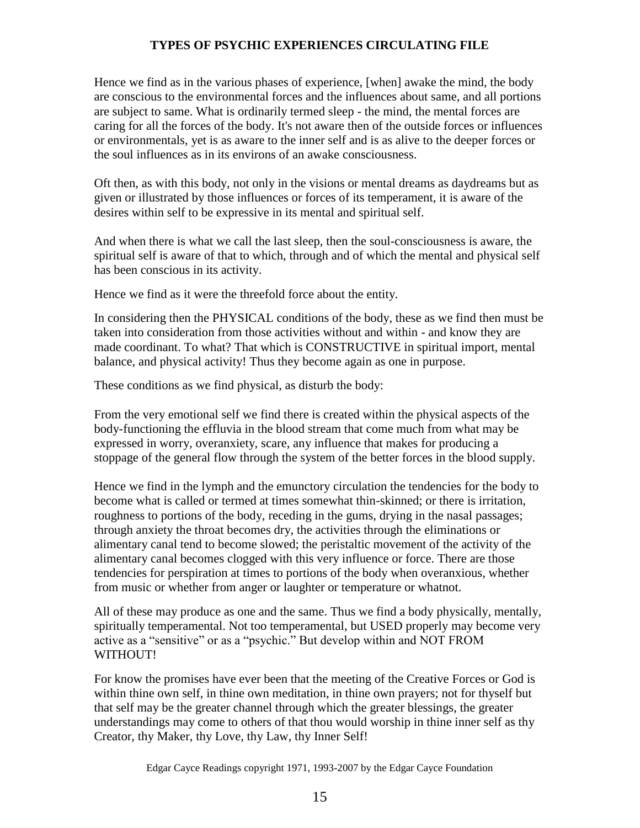Hence we find as in the various phases of experience, [when] awake the mind, the body are conscious to the environmental forces and the influences about same, and all portions are subject to same. What is ordinarily termed sleep - the mind, the mental forces are caring for all the forces of the body. It's not aware then of the outside forces or influences or environmentals, yet is as aware to the inner self and is as alive to the deeper forces or the [soul](http://www.are-cayce.org/ecreadings/glosnmed.html#SOUL) influences as in its environs of an awake consciousness.

Oft then, as with this body, not only in the visions or mental [dreams](http://www.are-cayce.org/ecreadings/glosnmed.html#DREAMS) as da[ydreams](http://www.are-cayce.org/ecreadings/glosnmed.html#DREAMS) but as given or illustrated by those influences or forces of its temperament, it is aware of the desires within self to be expressive in its mental and spiritual self.

And when there is what we call the last sleep, then the [soul-](http://www.are-cayce.org/ecreadings/glosnmed.html#SOUL)consciousness is aware, the spiritual self is aware of that to which, through and of which the mental and physical self has been conscious in its activity.

Hence we find as it were the threefold force about the entity.

In considering then the PHYSICAL conditions of the body, these as we find then must be taken into consideration from those activities without and within - and know they are made coordinant. To what? That which is CONSTRUCTIVE in spiritual import, mental balance, and physical activity! Thus they become again as one in purpose.

These conditions as we find physical, as disturb the body:

From the very emotional self we find there is created within the physical aspects of the body-functioning the effluvia in the blood stream that come much from what may be expressed in worry, overanxiety, scare, any influence that makes for producing a stoppage of the general flow through the system of the better forces in the blood supply.

Hence we find in the [lymph](http://www.are-cayce.org/ecreadings/glossmed.html#LYMPH) and the [emunctory](http://www.are-cayce.org/ecreadings/glossmed.html#EMUNCTORY) circulation the tendencies for the body to become what is called or termed at times somewhat thin-skinned; or there is irritation, roughness to portions of the body, receding in the gums, drying in the nasal passages; through anxiety the throat becomes dry, the activities through the [eliminations](http://www.are-cayce.org/ecreadings/glossmed.html#ELIMINATION) or alimentary canal tend to become slowed; the peristaltic movement of the activity of the alimentary canal becomes clogged with this very influence or force. There are those tendencies for perspiration at times to portions of the body when overanxious, whether from music or whether from anger or laughter or temperature or whatnot.

All of these may produce as one and the same. Thus we find a body physically, mentally, spiritually temperamental. Not too temperamental, but USED properly may become very active as a "sensitive" or as a "psychic." But develop within and NOT FROM WITHOUT!

For know the promises have ever been that the meeting of the Creative Forces or God is within thine own self, in thine own [meditation,](http://www.are-cayce.org/ecreadings/glosnmed.html#MEDITATION) in thine own [prayers](http://www.are-cayce.org/ecreadings/glosnmed.html#PRAYER); not for thyself but that self may be the greater channel through which the greater blessings, the greater understandings may come to others of that thou would worship in thine inner self as thy Creator, thy Maker, thy Love, thy Law, thy Inner Self!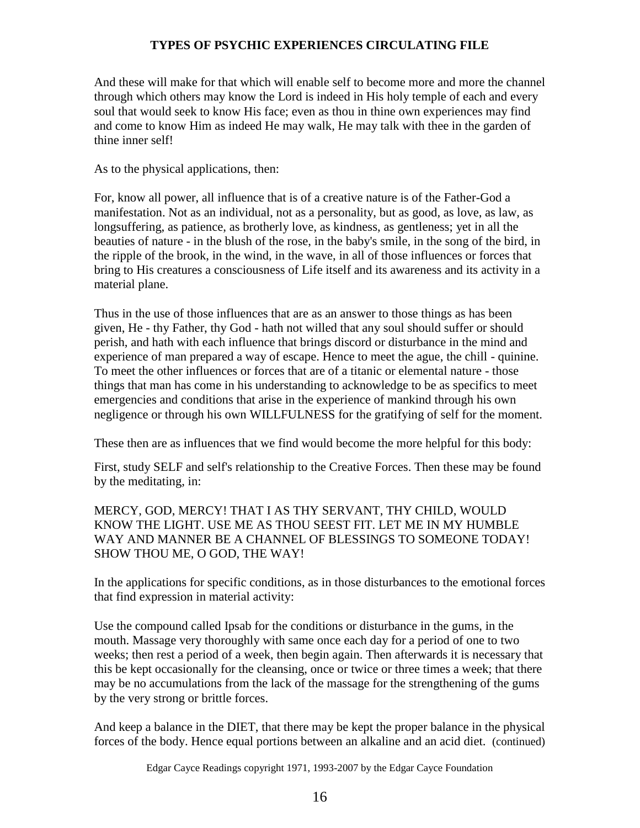And these will make for that which will enable self to become more and more the channel through which others may know the Lord is indeed in His holy temple of each and every [soul](http://www.are-cayce.org/ecreadings/glosnmed.html#SOUL) that would seek to know His face; even as thou in thine own experiences may find and come to know Him as indeed He may walk, He may talk with thee in the garden of thine inner self!

As to the physical applications, then:

For, know all power, all influence that is of a creative nature is of the Father-God a manifestation. Not as an individual, not as a personality, but as good, as love, as law, as longsuffering, as patience, as brotherly love, as kindness, as gentleness; yet in all the beauties of nature - in the blush of the rose, in the baby's smile, in the song of the bird, in the ripple of the brook, in the wind, in the wave, in all of those influences or forces that bring to His creatures a consciousness of Life itself and its awareness and its activity in a material plane.

Thus in the use of those influences that are as an answer to those things as has been given, He - thy Father, thy God - hath not willed that any [soul](http://www.are-cayce.org/ecreadings/glosnmed.html#SOUL) should suffer or should perish, and hath with each influence that brings discord or disturbance in the mind and experience of man prepared a way of escape. Hence to meet the ague, the chill - [quinine.](http://www.are-cayce.org/ecreadings/glossmed.html#QUININE) To meet the other influences or forces that are of a titanic or elemental nature - those things that man has come in his understanding to acknowledge to be as specifics to meet emergencies and conditions that arise in the experience of mankind through his own negligence or through his own WILLFULNESS for the gratifying of self for the moment.

These then are as influences that we find would become the more helpful for this body:

First, study SELF and self's relationship to the Creative Forces. Then these may be found by the meditating, in:

MERCY, GOD, MERCY! THAT I AS THY SERVANT, THY CHILD, WOULD KNOW THE LIGHT. USE ME AS THOU SEEST FIT. LET ME IN MY HUMBLE WAY AND MANNER BE A CHANNEL OF BLESSINGS TO SOMEONE TODAY! SHOW THOU ME, O GOD, THE WAY!

In the applications for specific conditions, as in those disturbances to the emotional forces that find expression in material activity:

Use the compound called Ipsab for the conditions or disturbance in the gums, in the mouth. [Massage](http://www.are-cayce.org/ecreadings/glossmed.html#MASSAGE) very thoroughly with same once each day for a period of one to two weeks; then rest a period of a week, then begin again. Then afterwards it is necessary that this be kept occasionally for the [cleansing,](http://www.are-cayce.org/ecreadings/glosnmed.html#CLEANSING) once or twice or three times a week; that there may be no accumulations from the lack of the [massage](http://www.are-cayce.org/ecreadings/glossmed.html#MASSAGE) for the strengthening of the gums by the very strong or brittle forces.

And keep a balance in the DIET, that there may be kept the proper balance in the physical forces of the body. Hence equal portions between an [alkaline](http://www.are-cayce.org/ecreadings/glossmed.html#ALKA) and an [acid](http://www.are-cayce.org/ecreadings/glossmed.html#ACID) diet. (continued)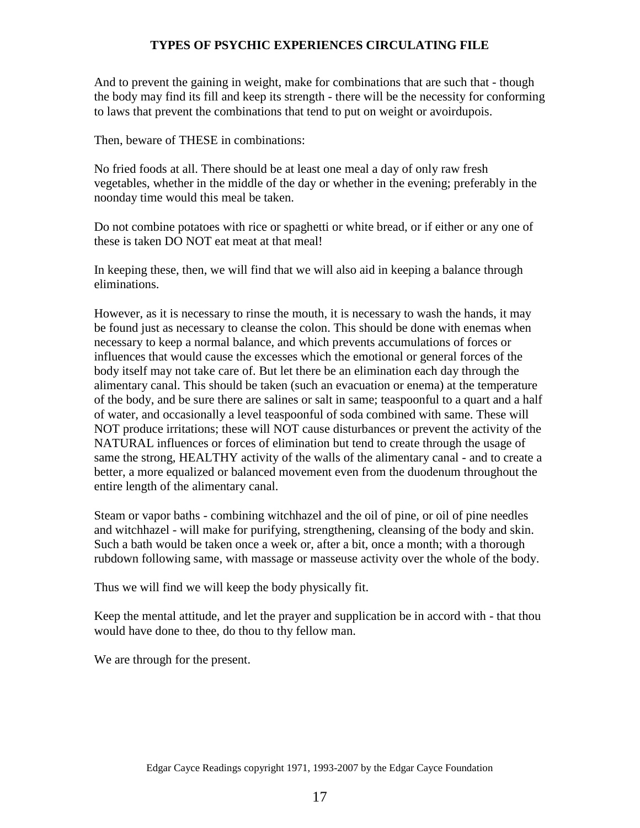And to prevent the gaining in weight, make for combinations that are such that - though the body may find its fill and keep its strength - there will be the necessity for conforming to laws that prevent the combinations that tend to put on weight or avoirdupois.

Then, beware of THESE in combinations:

No fried foods at all. There should be at least one meal a day of only raw fresh vegetables, whether in the middle of the day or whether in the evening; preferably in the noonday time would this meal be taken.

Do not combine [potatoe](http://www.are-cayce.org/ecreadings/glossmed.html#POTATO)s with rice or spaghetti or white bread, or if either or any one of these is taken DO NOT eat meat at that meal!

In keeping these, then, we will find that we will also aid in keeping a balance through [eliminations](http://www.are-cayce.org/ecreadings/glossmed.html#ELIMINATION).

However, as it is necessary to rinse the mouth, it is necessary to wash the hands, it may be found just as necessary to cleanse the [colon.](http://www.are-cayce.org/ecreadings/glossmed.html#COLON) This should be done with enemas when necessary to keep a normal balance, and which prevents accumulations of forces or influences that would cause the excesses which the emotional or general forces of the body itself may not take care of. But let there be an [elimination](http://www.are-cayce.org/ecreadings/glossmed.html#ELIMINATION) each day through the alimentary canal. This should be taken (such an evacuation or enema) at the temperature of the body, and be sure there are salines or salt in same; teaspoonful to a quart and a half of water, and occasionally a level teaspoonful of soda combined with same. These will NOT produce irritations; these will NOT cause disturbances or prevent the activity of the NATURAL influences or forces of [elimination](http://www.are-cayce.org/ecreadings/glossmed.html#ELIMINATION) but tend to create through the usage of same the strong, HEALTHY activity of the walls of the alimentary canal - and to create a better, a more equalized or balanced movement even from the [duodenum](http://www.are-cayce.org/ecreadings/glossmed.html#DUODENUM) throughout the entire length of the alimentary canal.

Steam or vapor baths - combining [witchhazel](http://www.are-cayce.org/ecreadings/glossmed.html#WITCHHAZEL) and the oil of pine, or oil of pine needles and [witchhazel](http://www.are-cayce.org/ecreadings/glossmed.html#WITCHHAZEL) - will make for purifying, strengthening, [cleansing](http://www.are-cayce.org/ecreadings/glosnmed.html#CLEANSING) of the body and skin. Such a bath would be taken once a week or, after a bit, once a month; with a thorough rubdown following same, with [massage](http://www.are-cayce.org/ecreadings/glossmed.html#MASSAGE) or masseuse activity over the whole of the body.

Thus we will find we will keep the body physically fit.

Keep the mental attitude, and let the [prayer](http://www.are-cayce.org/ecreadings/glosnmed.html#PRAYER) and supplication be in accord with - that thou would have done to thee, do thou to thy fellow man.

We are through for the present.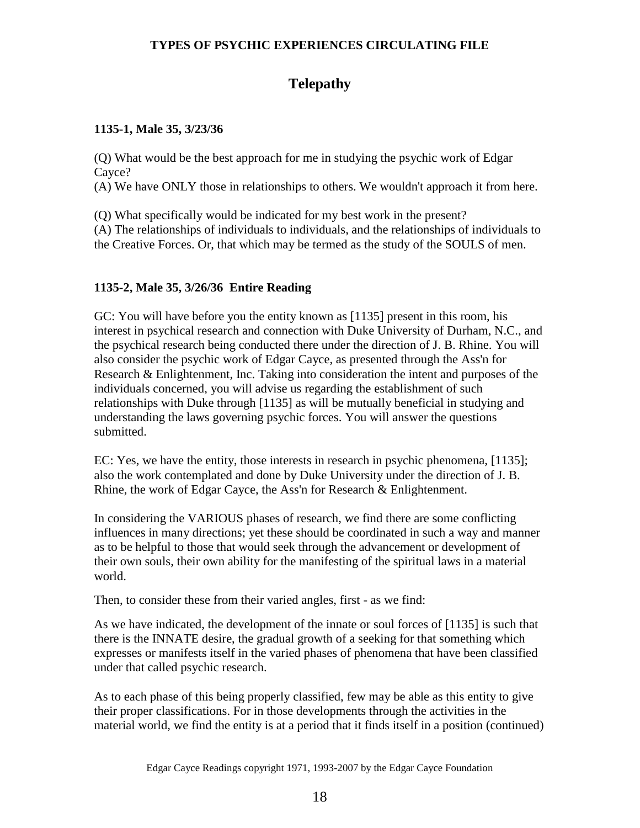# **Telepathy**

# **1135-1, Male 35, 3/23/36**

(Q) What would be the best approach for me in studying the psychic work of Edgar Cayce?

(A) We have ONLY those in relationships to others. We wouldn't approach it from here.

(Q) What specifically would be indicated for my best work in the present?

(A) The relationships of individuals to individuals, and the relationships of individuals to the Creative Forces. Or, that which may be termed as the study of the [SOULS](http://www.are-cayce.org/ecreadings/glosnmed.html#SOUL) of men.

# **1135-2, Male 35, 3/26/36 Entire Reading**

GC: You will have before you the entity known as [1135] present in this room, his interest in psychical research and connection with Duke University of Durham, N.C., and the psychical research being conducted there under the direction of J. B. Rhine. You will also consider the psychic work of Edgar Cayce, as presented through the Ass'n for Research & Enlightenment, Inc. Taking into consideration the intent and purposes of the individuals concerned, you will advise us regarding the establishment of such relationships with Duke through [1135] as will be mutually beneficial in studying and understanding the laws governing psychic forces. You will answer the questions submitted.

EC: Yes, we have the entity, those interests in research in psychic phenomena, [1135]; also the work contemplated and done by Duke University under the direction of J. B. Rhine, the work of Edgar Cayce, the Ass'n for Research & Enlightenment.

In considering the VARIOUS phases of research, we find there are some conflicting influences in many directions; yet these should be coordinated in such a way and manner as to be helpful to those that would seek through the advancement or development of their own [souls](http://www.are-cayce.org/ecreadings/glosnmed.html#SOUL), their own ability for the manifesting of the spiritual laws in a material world.

Then, to consider these from their varied angles, first - as we find:

As we have indicated, the development of the innate or [soul](http://www.are-cayce.org/ecreadings/glosnmed.html#SOUL) forces of [1135] is such that there is the INNATE desire, the gradual growth of a seeking for that something which expresses or manifests itself in the varied phases of phenomena that have been classified under that called psychic research.

As to each phase of this being properly classified, few may be able as this entity to give their proper classifications. For in those developments through the activities in the material world, we find the entity is at a period that it finds itself in a position (continued)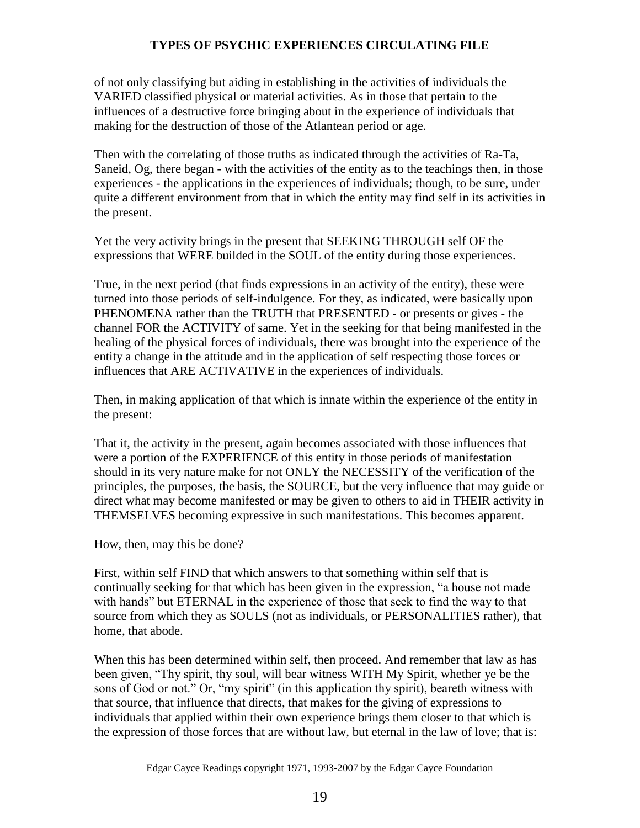of not only classifying but aiding in establishing in the activities of individuals the VARIED classified physical or material activities. As in those that pertain to the influences of a destructive force bringing about in the experience of individuals that making for the destruction of those of the Atlantean period or age.

Then with the correlating of those truths as indicated through the activities of Ra-Ta, Saneid, Og, there began - with the activities of the entity as to the teachings then, in those experiences - the applications in the experiences of individuals; though, to be sure, under quite a different environment from that in which the entity may find self in its activities in the present.

Yet the very activity brings in the present that SEEKING THROUGH self OF the expressions that WERE builded in the [SOUL](http://www.are-cayce.org/ecreadings/glosnmed.html#SOUL) of the entity during those experiences.

True, in the next period (that finds expressions in an activity of the entity), these were turned into those periods of self-indulgence. For they, as indicated, were basically upon PHENOMENA rather than the TRUTH that PRESENTED - or presents or gives - the channel FOR the ACTIVITY of same. Yet in the seeking for that being manifested in the healing of the physical forces of individuals, there was brought into the experience of the entity a change in the attitude and in the application of self respecting those forces or influences that ARE ACTIVATIVE in the experiences of individuals.

Then, in making application of that which is innate within the experience of the entity in the present:

That it, the activity in the present, again becomes associated with those influences that were a portion of the EXPERIENCE of this entity in those periods of manifestation should in its very nature make for not ONLY the NECESSITY of the verification of the principles, the purposes, the basis, the SOURCE, but the very influence that may guide or direct what may become manifested or may be given to others to aid in THEIR activity in THEMSELVES becoming expressive in such manifestations. This becomes apparent.

How, then, may this be done?

First, within self FIND that which answers to that something within self that is continually seeking for that which has been given in the expression, "a house not made with hands" but ETERNAL in the experience of those that seek to find the way to that source from which they as [SOULS](http://www.are-cayce.org/ecreadings/glosnmed.html#SOUL) (not as individuals, or PERSONALITIES rather), that home, that abode.

When this has been determined within self, then proceed. And remember that law as has been given, "Thy spirit, thy [soul,](http://www.are-cayce.org/ecreadings/glosnmed.html#SOUL) will bear witness WITH My Spirit, whether ye be the sons of God or not." Or, "my spirit" (in this application thy spirit), beareth witness with that source, that influence that directs, that makes for the giving of expressions to individuals that applied within their own experience brings them closer to that which is the expression of those forces that are without law, but eternal in the law of love; that is: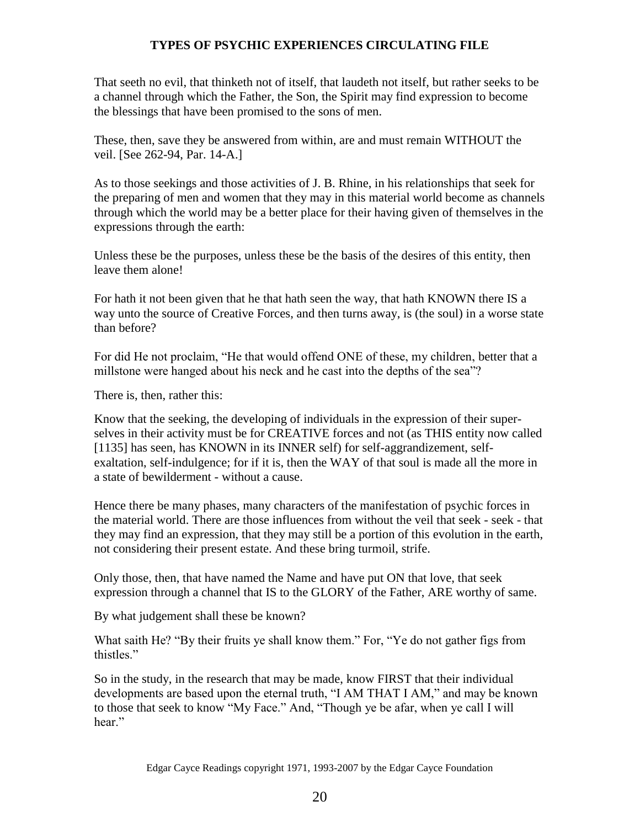That seeth no evil, that thinketh not of itself, that laudeth not itself, but rather seeks to be a channel through which the Father, the Son, the Spirit may find expression to become the blessings that have been promised to the sons of men.

These, then, save they be answered from within, are and must remain WITHOUT the veil. [See 262-94, Par. 14-A.]

As to those seekings and those activities of J. B. Rhine, in his relationships that seek for the preparing of men and women that they may in this material world become as channels through which the world may be a better place for their having given of themselves in the expressions through the earth:

Unless these be the purposes, unless these be the basis of the desires of this entity, then leave them alone!

For hath it not been given that he that hath seen the way, that hath KNOWN there IS a way unto the source of Creative Forces, and then turns away, is (the [soul\)](http://www.are-cayce.org/ecreadings/glosnmed.html#SOUL) in a worse state than before?

For did He not proclaim, "He that would offend ONE of these, my children, better that a millstone were hanged about his neck and he cast into the depths of the sea"?

There is, then, rather this:

Know that the seeking, the developing of individuals in the expression of their superselves in their activity must be for CREATIVE forces and not (as THIS entity now called [1135] has seen, has KNOWN in its INNER self) for self-aggrandizement, selfexaltation, self-indulgence; for if it is, then the WAY of that [soul](http://www.are-cayce.org/ecreadings/glosnmed.html#SOUL) is made all the more in a state of bewilderment - without a cause.

Hence there be many phases, many characters of the manifestation of psychic forces in the material world. There are those influences from without the veil that seek - seek - that they may find an expression, that they may still be a portion of this [evolution](http://www.are-cayce.org/ecreadings/glosnmed.html#EVOLUTION) in the earth, not considering their present estate. And these bring turmoil, strife.

Only those, then, that have named the Name and have put ON that love, that seek expression through a channel that IS to the GLORY of the Father, ARE worthy of same.

By what judgement shall these be known?

What saith He? "By their fruits ye shall know them." For, "Ye do not gather figs from thistles."

So in the study, in the research that may be made, know FIRST that their individual developments are based upon the eternal truth, "I AM THAT I AM," and may be known to those that seek to know "My Face." And, "Though ye be afar, when ye call I will hear"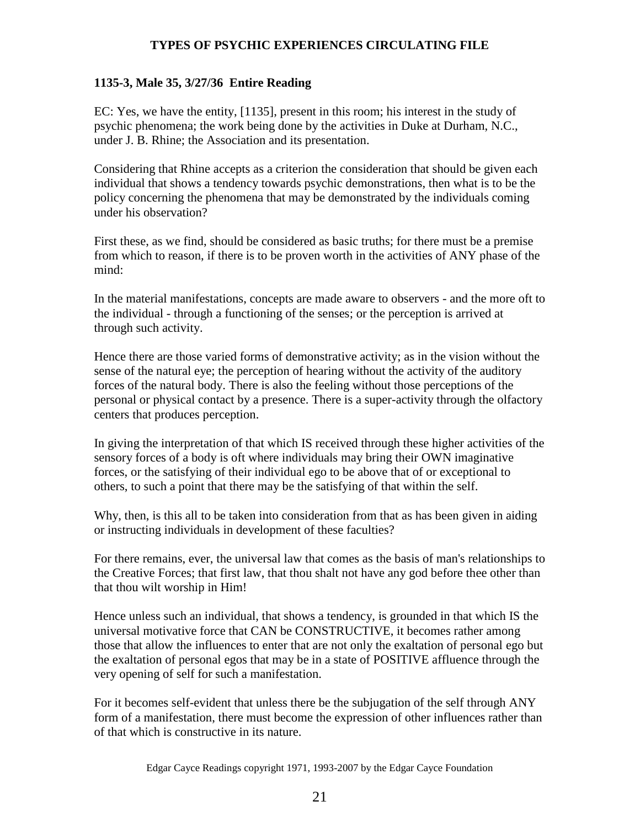### **1135-3, Male 35, 3/27/36 Entire Reading**

EC: Yes, we have the entity, [1135], present in this room; his interest in the study of psychic phenomena; the work being done by the activities in Duke at Durham, N.C., under J. B. Rhine; the Association and its presentation.

Considering that Rhine accepts as a criterion the consideration that should be given each individual that shows a tendency towards psychic demonstrations, then what is to be the policy concerning the phenomena that may be demonstrated by the individuals coming under his observation?

First these, as we find, should be considered as basic truths; for there must be a premise from which to reason, if there is to be proven worth in the activities of ANY phase of the mind:

In the material manifestations, concepts are made aware to observers - and the more oft to the individual - through a functioning of the senses; or the perception is arrived at through such activity.

Hence there are those varied forms of demonstrative activity; as in the vision without the sense of the natural eye; the perception of hearing without the activity of the auditory forces of the natural body. There is also the feeling without those perceptions of the personal or physical contact by a presence. There is a super-activity through the olfactory centers that produces perception.

In giving the interpretation of that which IS received through these higher activities of the sensory forces of a body is oft where individuals may bring their OWN imaginative forces, or the satisfying of their individual [ego](http://www.are-cayce.org/ecreadings/glosnmed.html#EGO) to be above that of or exceptional to others, to such a point that there may be the satisfying of that within the self.

Why, then, is this all to be taken into consideration from that as has been given in aiding or instructing individuals in development of these faculties?

For there remains, ever, the universal law that comes as the basis of man's relationships to the Creative Forces; that first law, that thou shalt not have any god before thee other than that thou wilt worship in Him!

Hence unless such an individual, that shows a tendency, is grounded in that which IS the universal motivative force that CAN be CONSTRUCTIVE, it becomes rather among those that allow the influences to enter that are not only the exaltation of personal [ego](http://www.are-cayce.org/ecreadings/glosnmed.html#EGO) but the exaltation of personal [egos](http://www.are-cayce.org/ecreadings/glosnmed.html#EGO) that may be in a state of POSITIVE affluence through the very opening of self for such a manifestation.

For it becomes self-evident that unless there be the subjugation of the self through ANY form of a manifestation, there must become the expression of other influences rather than of that which is constructive in its nature.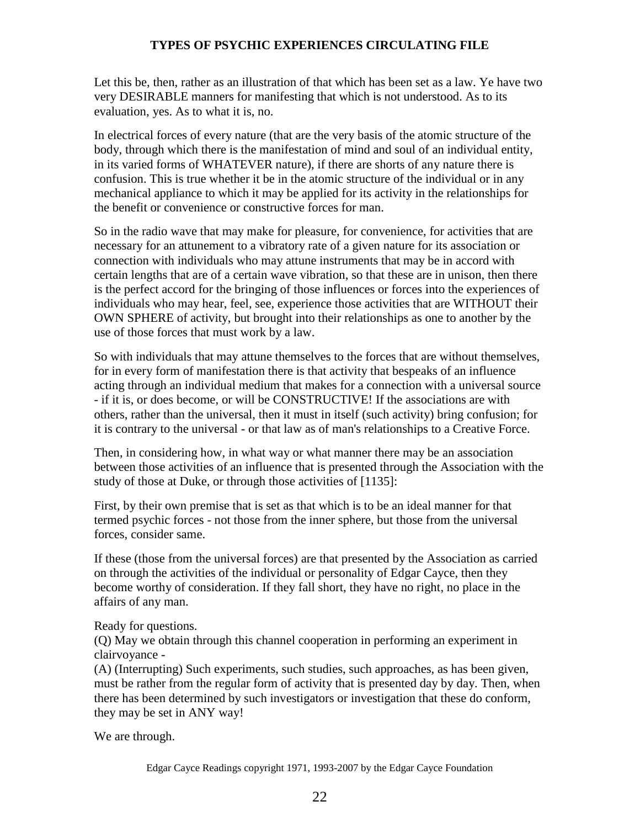Let this be, then, rather as an illustration of that which has been set as a law. Ye have two very DESIRABLE manners for manifesting that which is not understood. As to its evaluation, yes. As to what it is, no.

In electrical forces of every nature (that are the very basis of the atomic structure of the body, through which there is the manifestation of mind and [soul](http://www.are-cayce.org/ecreadings/glosnmed.html#SOUL) of an individual entity, in its varied forms of WHATEVER nature), if there are shorts of any nature there is confusion. This is true whether it be in the atomic structure of the individual or in any mechanical appliance to which it may be applied for its activity in the relationships for the benefit or convenience or constructive forces for man.

So in the radio wave that may make for pleasure, for convenience, for activities that are necessary for an [attunement](http://www.are-cayce.org/ecreadings/glosnmed.html#ATTUNEMENT) to a vibratory rate of a given nature for its association or connection with individuals who may attune instruments that may be in accord with certain lengths that are of a certain wave vibration, so that these are in unison, then there is the perfect accord for the bringing of those influences or forces into the experiences of individuals who may hear, feel, see, experience those activities that are WITHOUT their OWN SPHERE of activity, but brought into their relationships as one to another by the use of those forces that must work by a law.

So with individuals that may attune themselves to the forces that are without themselves, for in every form of manifestation there is that activity that bespeaks of an influence acting through an individual medium that makes for a connection with a universal source - if it is, or does become, or will be CONSTRUCTIVE! If the associations are with others, rather than the universal, then it must in itself (such activity) bring confusion; for it is contrary to the universal - or that law as of man's relationships to a Creative Force.

Then, in considering how, in what way or what manner there may be an association between those activities of an influence that is presented through the Association with the study of those at Duke, or through those activities of [1135]:

First, by their own premise that is set as that which is to be an [ideal](http://www.are-cayce.org/ecreadings/glosnmed.html#IDEAL) manner for that termed psychic forces - not those from the inner sphere, but those from the universal forces, consider same.

If these (those from the universal forces) are that presented by the Association as carried on through the activities of the individual or personality of Edgar Cayce, then they become worthy of consideration. If they fall short, they have no right, no place in the affairs of any man.

Ready for questions.

(Q) May we obtain through this channel cooperation in performing an experiment in clairvoyance -

(A) (Interrupting) Such experiments, such studies, such approaches, as has been given, must be rather from the regular form of activity that is presented day by day. Then, when there has been determined by such investigators or investigation that these do conform, they may be set in ANY way!

We are through.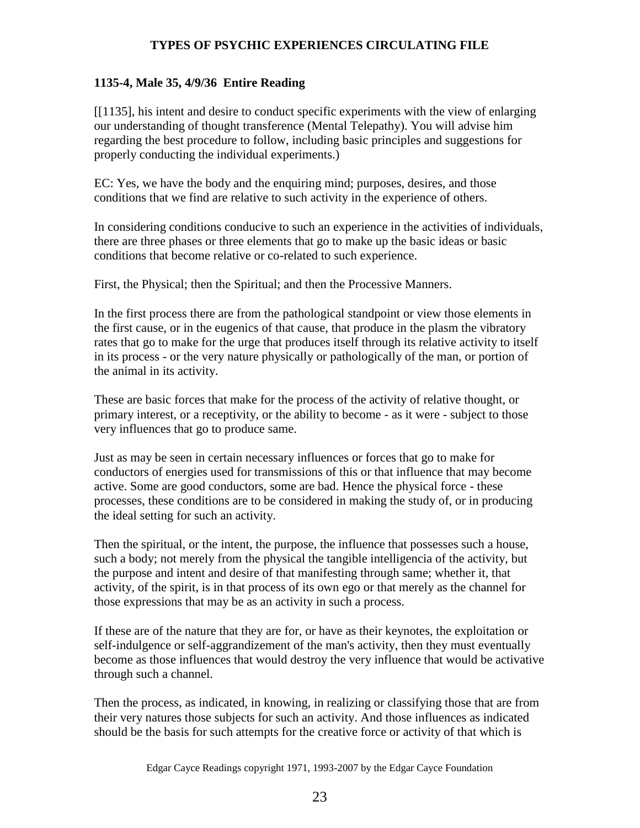# **1135-4, Male 35, 4/9/36 Entire Reading**

[[1135], his intent and desire to conduct specific experiments with the view of enlarging our understanding of thought transference (Mental Telepathy). You will advise him regarding the best procedure to follow, including basic principles and suggestions for properly conducting the individual experiments.)

EC: Yes, we have the body and the enquiring mind; purposes, desires, and those conditions that we find are relative to such activity in the experience of others.

In considering conditions conducive to such an experience in the activities of individuals, there are three phases or three elements that go to make up the basic ideas or basic conditions that become relative or co-related to such experience.

First, the Physical; then the Spiritual; and then the Processive Manners.

In the first process there are from the [pathological](http://www.are-cayce.org/ecreadings/glossmed.html#PATHOLOGICAL) standpoint or view those elements in the first cause, or in the eugenics of that cause, that produce in the plasm the vibratory rates that go to make for the urge that produces itself through its relative activity to itself in its process - or the very nature physically or [pathologicall](http://www.are-cayce.org/ecreadings/glossmed.html#PATHOLOGICAL)y of the man, or portion of the animal in its activity.

These are basic forces that make for the process of the activity of relative thought, or primary interest, or a receptivity, or the ability to become - as it were - subject to those very influences that go to produce same.

Just as may be seen in certain necessary influences or forces that go to make for conductors of energies used for transmissions of this or that influence that may become active. Some are good conductors, some are bad. Hence the physical force - these processes, these conditions are to be considered in making the study of, or in producing the [ideal](http://www.are-cayce.org/ecreadings/glosnmed.html#IDEAL) setting for such an activity.

Then the spiritual, or the intent, the purpose, the influence that possesses such a house, such a body; not merely from the physical the tangible intelligencia of the activity, but the purpose and intent and desire of that manifesting through same; whether it, that activity, of the spirit, is in that process of its own [ego](http://www.are-cayce.org/ecreadings/glosnmed.html#EGO) or that merely as the channel for those expressions that may be as an activity in such a process.

If these are of the nature that they are for, or have as their keynotes, the exploitation or self-indulgence or self-aggrandizement of the man's activity, then they must eventually become as those influences that would destroy the very influence that would be activative through such a channel.

Then the process, as indicated, in knowing, in realizing or classifying those that are from their very natures those subjects for such an activity. And those influences as indicated should be the basis for such attempts for the creative force or activity of that which is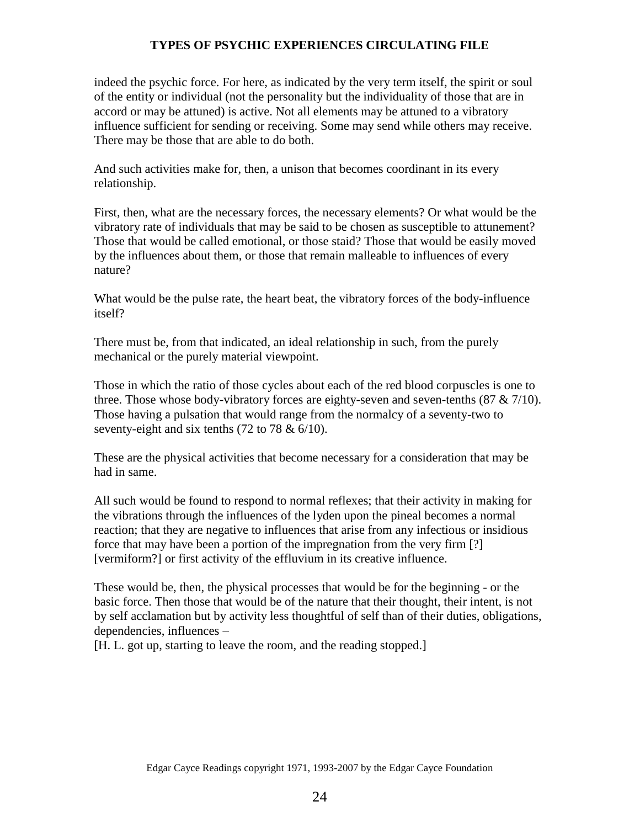indeed the psychic force. For here, as indicated by the very term itself, the spirit or [soul](http://www.are-cayce.org/ecreadings/glosnmed.html#SOUL) of the entity or individual (not the personality but the individuality of those that are in accord or may be attuned) is active. Not all elements may be attuned to a vibratory influence sufficient for sending or receiving. Some may send while others may receive. There may be those that are able to do both.

And such activities make for, then, a unison that becomes coordinant in its every relationship.

First, then, what are the necessary forces, the necessary elements? Or what would be the vibratory rate of individuals that may be said to be chosen as susceptible to [attunement?](http://www.are-cayce.org/ecreadings/glosnmed.html#ATTUNEMENT) Those that would be called emotional, or those staid? Those that would be easily moved by the influences about them, or those that remain malleable to influences of every nature?

What would be the pulse rate, the [heart](http://www.are-cayce.org/ecreadings/glossmed.html#HEART) beat, the vibratory forces of the body-influence itself?

There must be, from that indicated, an [ideal](http://www.are-cayce.org/ecreadings/glosnmed.html#IDEAL) relationship in such, from the purely mechanical or the purely material viewpoint.

Those in which the ratio of those cycles about each of the red blood corpuscles is one to three. Those whose body-vibratory forces are eighty-seven and seven-tenths  $(87 \& 7/10)$ . Those having a pulsation that would range from the normalcy of a seventy-two to seventy-eight and six tenths (72 to 78 & 6/10).

These are the physical activities that become necessary for a consideration that may be had in same.

All such would be found to respond to normal [reflexe](http://www.are-cayce.org/ecreadings/glossmed.html#REFLEX)s; that their activity in making for the vibrations through the influences of the lyden upon the [pineal](http://www.are-cayce.org/ecreadings/glossmed.html#PINEAL) becomes a normal reaction; that they are negative to influences that arise from any infectious or insidious force that may have been a portion of the impregnation from the very firm [?] [vermiform?] or first activity of the [effluvium](http://www.are-cayce.org/ecreadings/glossmed.html#EFFLUVIUM) in its creative influence.

These would be, then, the physical processes that would be for the beginning - or the basic force. Then those that would be of the nature that their thought, their intent, is not by self acclamation but by activity less thoughtful of self than of their duties, obligations, dependencies, influences –

[H. L. got up, starting to leave the room, and the reading stopped.]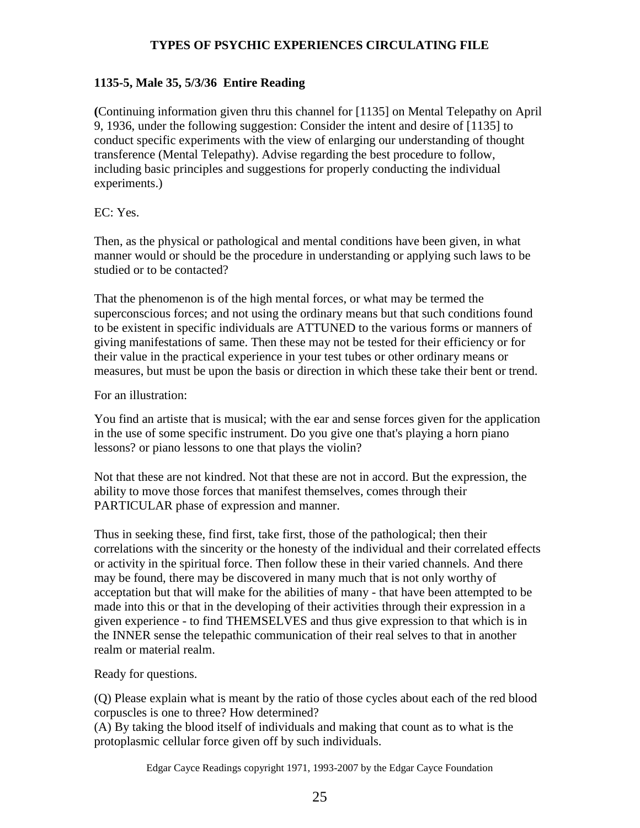# **1135-5, Male 35, 5/3/36 Entire Reading**

**(**Continuing information given thru this channel for [1135] on Mental Telepathy on April 9, 1936, under the following suggestion: Consider the intent and desire of [1135] to conduct specific experiments with the view of enlarging our understanding of thought transference (Mental Telepathy). Advise regarding the best procedure to follow, including basic principles and suggestions for properly conducting the individual experiments.)

EC: Yes.

Then, as the physical or [pathological](http://www.are-cayce.org/ecreadings/glossmed.html#PATHOLOGICAL) and mental conditions have been given, in what manner would or should be the procedure in understanding or applying such laws to be studied or to be contacted?

That the phenomenon is of the high mental forces, or what may be termed the [superconscious](http://www.are-cayce.org/ecreadings/glosnmed.html#SUPERCONSCIOUS) forces; and not using the ordinary means but that such conditions found to be existent in specific individuals are ATTUNED to the various forms or manners of giving manifestations of same. Then these may not be tested for their efficiency or for their value in the practical experience in your test tubes or other ordinary means or measures, but must be upon the basis or direction in which these take their bent or trend.

### For an illustration:

You find an artiste that is musical; with the ear and sense forces given for the application in the use of some specific instrument. Do you give one that's playing a horn piano lessons? or piano lessons to one that plays the violin?

Not that these are not kindred. Not that these are not in accord. But the expression, the ability to move those forces that manifest themselves, comes through their PARTICULAR phase of expression and manner.

Thus in seeking these, find first, take first, those of the [pathological;](http://www.are-cayce.org/ecreadings/glossmed.html#PATHOLOGICAL) then their correlations with the sincerity or the honesty of the individual and their correlated effects or activity in the spiritual force. Then follow these in their varied channels. And there may be found, there may be discovered in many much that is not only worthy of acceptation but that will make for the abilities of many - that have been attempted to be made into this or that in the developing of their activities through their expression in a given experience - to find THEMSELVES and thus give expression to that which is in the INNER sense the telepathic communication of their real selves to that in another realm or material realm.

Ready for questions.

(Q) Please explain what is meant by the ratio of those cycles about each of the red blood corpuscles is one to three? How determined?

(A) By taking the blood itself of individuals and making that count as to what is the protoplasmic cellular force given off by such individuals.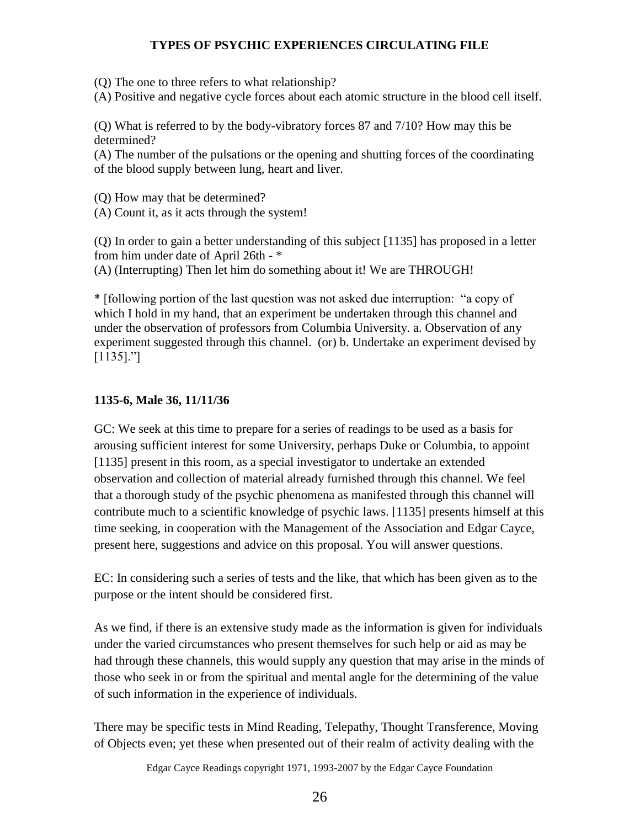(Q) The one to three refers to what relationship?

(A) Positive and negative cycle forces about each atomic structure in the blood cell itself.

(Q) What is referred to by the body-vibratory forces 87 and 7/10? How may this be determined?

(A) The number of the pulsations or the opening and shutting forces of the coordinating of the blood supply between [lung,](http://www.are-cayce.org/ecreadings/glossmed.html#LUNG) [heart](http://www.are-cayce.org/ecreadings/glossmed.html#HEART) and [liver.](http://www.are-cayce.org/ecreadings/glossmed.html#LIVER)

(Q) How may that be determined?

(A) Count it, as it acts through the system!

(Q) In order to gain a better understanding of this subject [1135] has proposed in a letter from him under date of April 26th - \*

(A) (Interrupting) Then let him do something about it! We are THROUGH!

\* [following portion of the last question was not asked due interruption: "a copy of which I hold in my hand, that an experiment be undertaken through this channel and under the observation of professors from Columbia University. a. Observation of any experiment suggested through this channel. (or) b. Undertake an experiment devised by [1135]."]

# **1135-6, Male 36, 11/11/36**

GC: We seek at this time to prepare for a series of readings to be used as a basis for arousing sufficient interest for some University, perhaps Duke or Columbia, to appoint [1135] present in this room, as a special investigator to undertake an extended observation and collection of material already furnished through this channel. We feel that a thorough study of the psychic phenomena as manifested through this channel will contribute much to a scientific knowledge of psychic laws. [1135] presents himself at this time seeking, in cooperation with the Management of the Association and Edgar Cayce, present here, suggestions and advice on this proposal. You will answer questions.

EC: In considering such a series of tests and the like, that which has been given as to the purpose or the intent should be considered first.

As we find, if there is an extensive study made as the information is given for individuals under the varied circumstances who present themselves for such help or aid as may be had through these channels, this would supply any question that may arise in the minds of those who seek in or from the spiritual and mental angle for the determining of the value of such information in the experience of individuals.

There may be specific tests in Mind Reading, Telepathy, Thought Transference, Moving of Objects even; yet these when presented out of their realm of activity dealing with the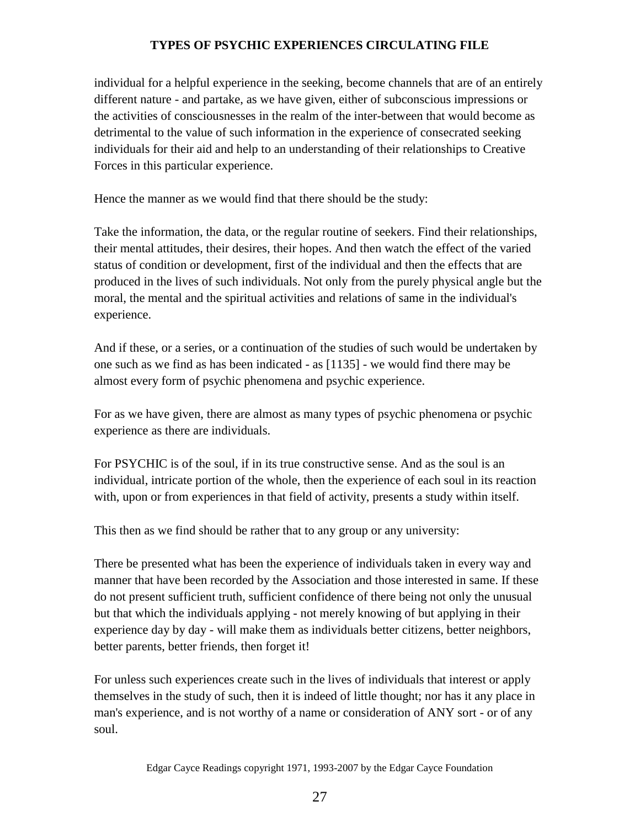individual for a helpful experience in the seeking, become channels that are of an entirely different nature - and partake, as we have given, either of [subconscious](http://www.are-cayce.org/ecreadings/glosnmed.html#SUBCONSCIOUS) impressions or the activities of consciousnesses in the realm of the inter-between that would become as detrimental to the value of such information in the experience of [consecrated](http://www.are-cayce.org/ecreadings/glosnmed.html#CONSECRATE) seeking individuals for their aid and help to an understanding of their relationships to Creative Forces in this particular experience.

Hence the manner as we would find that there should be the study:

Take the information, the data, or the regular routine of seekers. Find their relationships, their mental attitudes, their desires, their hopes. And then watch the effect of the varied status of condition or development, first of the individual and then the effects that are produced in the lives of such individuals. Not only from the purely physical angle but the moral, the mental and the spiritual activities and relations of same in the individual's experience.

And if these, or a series, or a continuation of the studies of such would be undertaken by one such as we find as has been indicated - as [1135] - we would find there may be almost every form of psychic phenomena and psychic experience.

For as we have given, there are almost as many types of psychic phenomena or psychic experience as there are individuals.

For PSYCHIC is of the [soul,](http://www.are-cayce.org/ecreadings/glosnmed.html#SOUL) if in its true constructive sense. And as the [soul](http://www.are-cayce.org/ecreadings/glosnmed.html#SOUL) is an individual, intricate portion of the whole, then the experience of each [soul](http://www.are-cayce.org/ecreadings/glosnmed.html#SOUL) in its reaction with, upon or from experiences in that field of activity, presents a study within itself.

This then as we find should be rather that to any group or any university:

There be presented what has been the experience of individuals taken in every way and manner that have been recorded by the Association and those interested in same. If these do not present sufficient truth, sufficient confidence of there being not only the unusual but that which the individuals applying - not merely knowing of but applying in their experience day by day - will make them as individuals better citizens, better neighbors, better parents, better friends, then forget it!

For unless such experiences create such in the lives of individuals that interest or apply themselves in the study of such, then it is indeed of little thought; nor has it any place in man's experience, and is not worthy of a name or consideration of ANY sort - or of any [soul.](http://www.are-cayce.org/ecreadings/glosnmed.html#SOUL)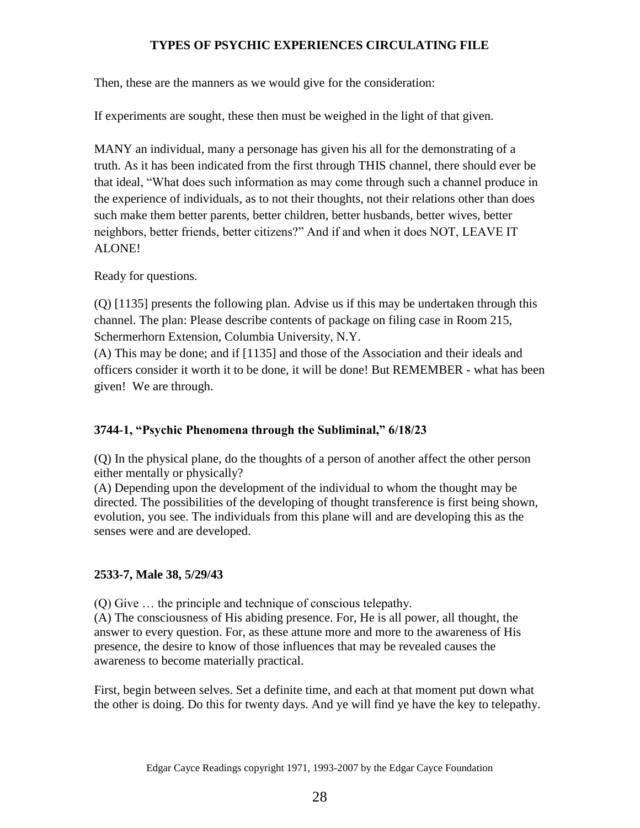Then, these are the manners as we would give for the consideration:

If experiments are sought, these then must be weighed in the light of that given.

MANY an individual, many a personage has given his all for the demonstrating of a truth. As it has been indicated from the first through THIS channel, there should ever be that [ideal,](http://www.are-cayce.org/ecreadings/glosnmed.html#IDEAL) "What does such information as may come through such a channel produce in the experience of individuals, as to not their thoughts, not their relations other than does such make them better parents, better children, better husbands, better wives, better neighbors, better friends, better citizens?" And if and when it does NOT, LEAVE IT ALONE!

Ready for questions.

(Q) [1135] presents the following plan. Advise us if this may be undertaken through this channel. The plan: Please describe contents of package on filing case in Room 215, Schermerhorn Extension, Columbia University, N.Y.

(A) This may be done; and if [1135] and those of the Association and their [ideals](http://www.are-cayce.org/ecreadings/glosnmed.html#IDEAL) and officers consider it worth it to be done, it will be done! But REMEMBER - what has been given! We are through.

# **3744-1, "Psychic Phenomena through the Subliminal," 6/18/23**

(Q) In the physical plane, do the thoughts of a person of another affect the other person either mentally or physically?

(A) Depending upon the development of the individual to whom the thought may be directed. The possibilities of the developing of thought transference is first being shown, [evolution,](http://www.are-cayce.org/ecreadings/glosnmed.html#EVOLUTION) you see. The individuals from this plane will and are developing this as the senses were and are developed.

# **2533-7, Male 38, 5/29/43**

(Q) Give … the principle and technique of conscious telepathy.

(A) The consciousness of His abiding presence. For, He is all power, all thought, the answer to every question. For, as these attune more and more to the awareness of His presence, the desire to know of those influences that may be revealed causes the awareness to become materially practical.

First, begin between selves. Set a definite time, and each at that moment put down what the other is doing. Do this for twenty days. And ye will find ye have the key to telepathy.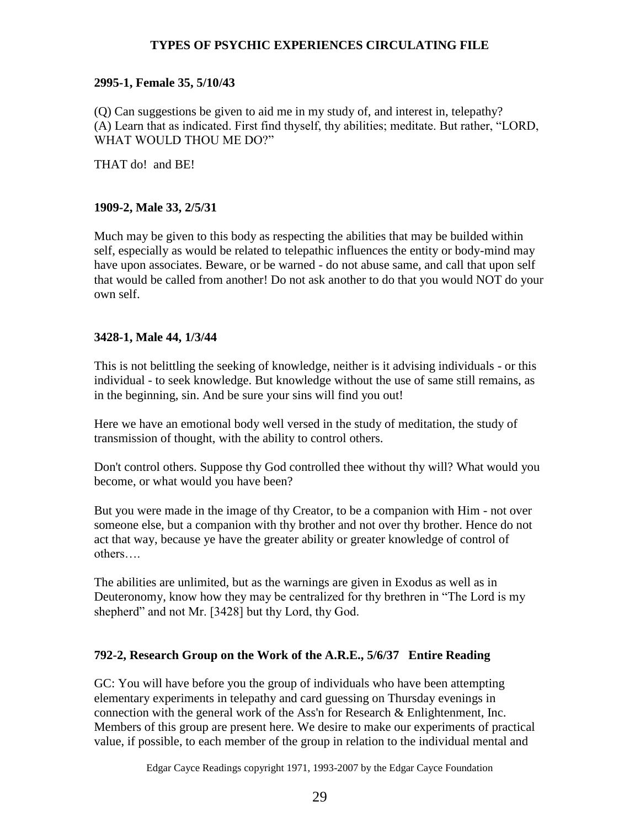### **2995-1, Female 35, 5/10/43**

(Q) Can suggestions be given to aid me in my study of, and interest in, telepathy? (A) Learn that as indicated. First find thyself, thy abilities; meditate. But rather, "LORD, WHAT WOULD THOU ME DO?"

THAT do! and BE!

### **1909-2, Male 33, 2/5/31**

Much may be given to this body as respecting the abilities that may be builded within self, especially as would be related to telepathic influences the entity or body-mind may have upon associates. Beware, or be warned - do not abuse same, and call that upon self that would be called from another! Do not ask another to do that you would NOT do your own self.

### **3428-1, Male 44, 1/3/44**

This is not belittling the seeking of knowledge, neither is it advising individuals - or this individual - to seek knowledge. But knowledge without the use of same still remains, as in the beginning, sin. And be sure your sins will find you out!

Here we have an emotional body well versed in the study of [meditation,](http://www.are-cayce.org/ecreadings/glosnmed.html#MEDITATION) the study of transmission of thought, with the ability to control others.

Don't control others. Suppose thy God controlled thee without thy will? What would you become, or what would you have been?

But you were made in the image of thy Creator, to be a companion with Him - not over someone else, but a companion with thy brother and not over thy brother. Hence do not act that way, because ye have the greater ability or greater knowledge of control of others….

The abilities are unlimited, but as the warnings are given in Exodus as well as in Deuteronomy, know how they may be centralized for thy brethren in "The Lord is my shepherd" and not Mr. [3428] but thy Lord, thy God.

### **792-2, Research Group on the Work of the A.R.E., 5/6/37 Entire Reading**

GC: You will have before you the group of individuals who have been attempting elementary experiments in telepathy and card guessing on Thursday evenings in connection with the general work of the Ass'n for Research & Enlightenment, Inc. Members of this group are present here. We desire to make our experiments of practical value, if possible, to each member of the group in relation to the individual mental and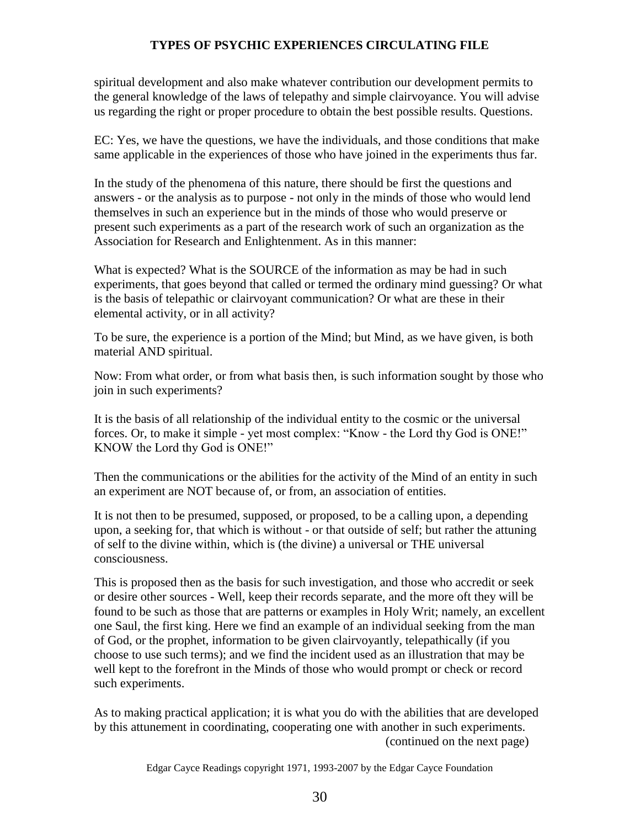spiritual development and also make whatever contribution our development permits to the general knowledge of the laws of telepathy and simple clairvoyance. You will advise us regarding the right or proper procedure to obtain the best possible results. Questions.

EC: Yes, we have the questions, we have the individuals, and those conditions that make same applicable in the experiences of those who have joined in the experiments thus far.

In the study of the phenomena of this nature, there should be first the questions and answers - or the analysis as to purpose - not only in the minds of those who would lend themselves in such an experience but in the minds of those who would preserve or present such experiments as a part of the research work of such an organization as the Association for Research and Enlightenment. As in this manner:

What is expected? What is the SOURCE of the information as may be had in such experiments, that goes beyond that called or termed the ordinary mind guessing? Or what is the basis of telepathic or clairvoyant communication? Or what are these in their elemental activity, or in all activity?

To be sure, the experience is a portion of the Mind; but Mind, as we have given, is both material AND spiritual.

Now: From what order, or from what basis then, is such information sought by those who join in such experiments?

It is the basis of all relationship of the individual entity to the cosmic or the universal forces. Or, to make it simple - yet most complex: "Know - the Lord thy God is ONE!" KNOW the Lord thy God is ONE!"

Then the communications or the abilities for the activity of the Mind of an entity in such an experiment are NOT because of, or from, an association of entities.

It is not then to be presumed, supposed, or proposed, to be a calling upon, a depending upon, a seeking for, that which is without - or that outside of self; but rather the attuning of self to the divine within, which is (the divine) a universal or THE [universal](http://www.are-cayce.org/ecreadings/glosnmed.html#UNIVERSALCONSCIOUSNESS)  [consciousness.](http://www.are-cayce.org/ecreadings/glosnmed.html#UNIVERSALCONSCIOUSNESS)

This is proposed then as the basis for such investigation, and those who accredit or seek or desire other sources - Well, keep their records separate, and the more oft they will be found to be such as those that are patterns or examples in Holy Writ; namely, an excellent one Saul, the first king. Here we find an example of an individual seeking from the man of God, or the prophet, information to be given clairvoyantly, telepathically (if you choose to use such terms); and we find the incident used as an illustration that may be well kept to the forefront in the Minds of those who would prompt or check or record such experiments.

As to making practical application; it is what you do with the abilities that are developed by this [attunement](http://www.are-cayce.org/ecreadings/glosnmed.html#ATTUNEMENT) in coordinating, cooperating one with another in such experiments. (continued on the next page)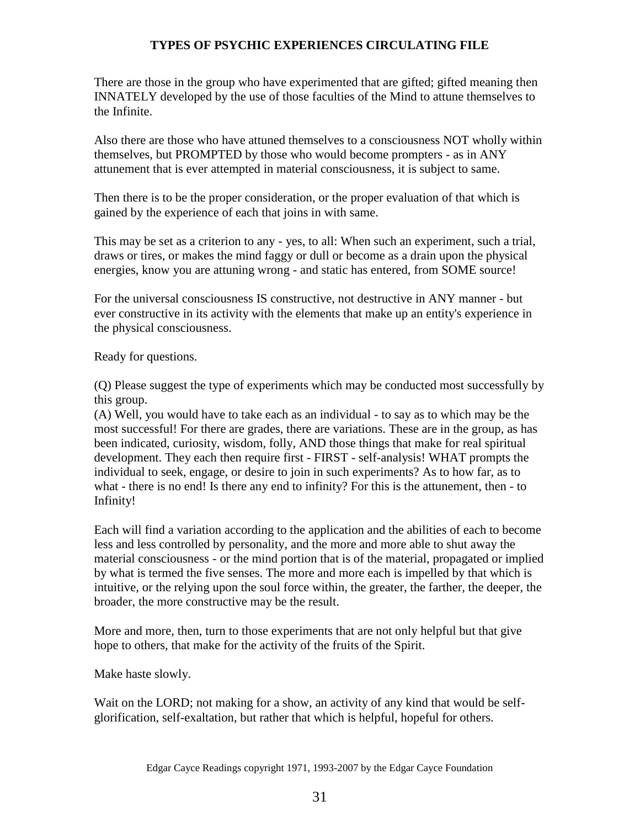There are those in the group who have experimented that are gifted; gifted meaning then INNATELY developed by the use of those faculties of the Mind to attune themselves to the Infinite.

Also there are those who have attuned themselves to a consciousness NOT wholly within themselves, but PROMPTED by those who would become prompters - as in ANY [attunement](http://www.are-cayce.org/ecreadings/glosnmed.html#ATTUNEMENT) that is ever attempted in material consciousness, it is subject to same.

Then there is to be the proper consideration, or the proper evaluation of that which is gained by the experience of each that joins in with same.

This may be set as a criterion to any - yes, to all: When such an experiment, such a trial, draws or tires, or makes the mind faggy or dull or become as a drain upon the physical energies, know you are attuning wrong - and static has entered, from SOME source!

For the [universal consciousness](http://www.are-cayce.org/ecreadings/glosnmed.html#UNIVERSALCONSCIOUSNESS) IS constructive, not destructive in ANY manner - but ever constructive in its activity with the elements that make up an entity's experience in the physical consciousness.

Ready for questions.

(Q) Please suggest the type of experiments which may be conducted most successfully by this group.

(A) Well, you would have to take each as an individual - to say as to which may be the most successful! For there are grades, there are variations. These are in the group, as has been indicated, curiosity, wisdom, folly, AND those things that make for real spiritual development. They each then require first - FIRST - self-analysis! WHAT prompts the individual to seek, engage, or desire to join in such experiments? As to how far, as to what - there is no end! Is there any end to infinity? For this is the [attunement,](http://www.are-cayce.org/ecreadings/glosnmed.html#ATTUNEMENT) then - to Infinity!

Each will find a variation according to the application and the abilities of each to become less and less controlled by personality, and the more and more able to shut away the material consciousness - or the mind portion that is of the material, propagated or implied by what is termed the five senses. The more and more each is impelled by that which is intuitive, or the relying upon the [soul](http://www.are-cayce.org/ecreadings/glosnmed.html#SOUL) force within, the greater, the farther, the deeper, the broader, the more constructive may be the result.

More and more, then, turn to those experiments that are not only helpful but that give hope to others, that make for the activity of the fruits of the Spirit.

Make haste slowly.

Wait on the LORD; not making for a show, an activity of any kind that would be selfglorification, self-exaltation, but rather that which is helpful, hopeful for others.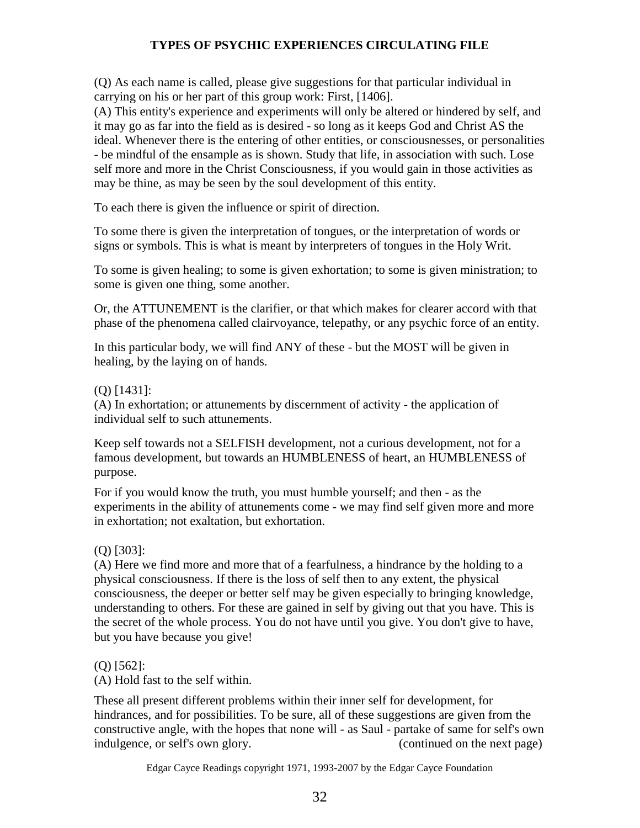(Q) As each name is called, please give suggestions for that particular individual in carrying on his or her part of this group work: First, [1406].

(A) This entity's experience and experiments will only be altered or hindered by self, and it may go as far into the field as is desired - so long as it keeps God and [Christ](http://www.are-cayce.org/ecreadings/glosnmed.html#CHRIST) AS the [ideal.](http://www.are-cayce.org/ecreadings/glosnmed.html#IDEAL) Whenever there is the entering of other entities, or consciousnesses, or personalities - be mindful of the ensample as is shown. Study that life, in association with such. Lose self more and more in the [Christ](http://www.are-cayce.org/ecreadings/glosnmed.html#CHRIST) Consciousness, if you would gain in those activities as may be thine, as may be seen by the [soul](http://www.are-cayce.org/ecreadings/glosnmed.html#SOUL) development of this entity.

To each there is given the influence or spirit of direction.

To some there is given the interpretation of tongues, or the interpretation of words or signs or symbols. This is what is meant by interpreters of tongues in the Holy Writ.

To some is given healing; to some is given exhortation; to some is given ministration; to some is given one thing, some another.

Or, the [ATTUNEMENT](http://www.are-cayce.org/ecreadings/glosnmed.html#ATTUNEMENT) is the clarifier, or that which makes for clearer accord with that phase of the phenomena called clairvoyance, telepathy, or any psychic force of an entity.

In this particular body, we will find ANY of these - but the MOST will be given in healing, by the laying on of hands.

# (Q) [1431]:

(A) In exhortation; or [attunements](http://www.are-cayce.org/ecreadings/glosnmed.html#ATTUNEMENT) by [discernment](http://www.are-cayce.org/ecreadings/glosnmed.html#DISCERNMENT) of activity - the application of individual self to such [attunements](http://www.are-cayce.org/ecreadings/glosnmed.html#ATTUNEMENT).

Keep self towards not a SELFISH development, not a curious development, not for a famous development, but towards an HUMBLENESS of [heart,](http://www.are-cayce.org/ecreadings/glossmed.html#HEART) an HUMBLENESS of purpose.

For if you would know the truth, you must humble yourself; and then - as the experiments in the ability of [attunements](http://www.are-cayce.org/ecreadings/glosnmed.html#ATTUNEMENT) come - we may find self given more and more in exhortation; not exaltation, but exhortation.

(Q) [303]:

(A) Here we find more and more that of a fearfulness, a hindrance by the holding to a physical consciousness. If there is the loss of self then to any extent, the physical consciousness, the deeper or better self may be given especially to bringing knowledge, understanding to others. For these are gained in self by giving out that you have. This is the secret of the whole process. You do not have until you give. You don't give to have, but you have because you give!

(Q) [562]:

(A) Hold fast to the self within.

These all present different problems within their inner self for development, for hindrances, and for possibilities. To be sure, all of these suggestions are given from the constructive angle, with the hopes that none will - as Saul - partake of same for self's own indulgence, or self's own glory. (continued on the next page)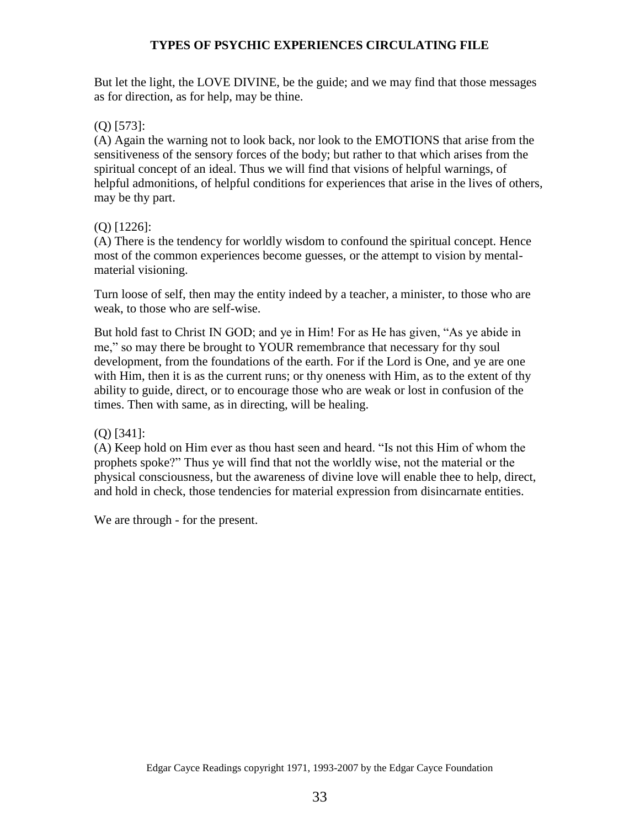But let the light, the LOVE DIVINE, be the guide; and we may find that those messages as for direction, as for help, may be thine.

### (Q) [573]:

(A) Again the warning not to look back, nor look to the EMOTIONS that arise from the sensitiveness of the sensory forces of the body; but rather to that which arises from the spiritual concept of an [ideal.](http://www.are-cayce.org/ecreadings/glosnmed.html#IDEAL) Thus we will find that visions of helpful warnings, of helpful admonitions, of helpful conditions for experiences that arise in the lives of others, may be thy part.

### (Q) [1226]:

(A) There is the tendency for worldly wisdom to confound the spiritual concept. Hence most of the common experiences become guesses, or the attempt to vision by mentalmaterial visioning.

Turn loose of self, then may the entity indeed by a teacher, a minister, to those who are weak, to those who are self-wise.

But hold fast to [Christ](http://www.are-cayce.org/ecreadings/glosnmed.html#CHRIST) IN GOD; and ye in Him! For as He has given, "As ye abide in me," so may there be brought to YOUR remembrance that necessary for thy [soul](http://www.are-cayce.org/ecreadings/glosnmed.html#SOUL) development, from the foundations of the earth. For if the Lord is One, and ye are one with Him, then it is as the current runs; or thy oneness with Him, as to the extent of thy ability to guide, direct, or to encourage those who are weak or lost in confusion of the times. Then with same, as in directing, will be healing.

# (Q) [341]:

(A) Keep hold on Him ever as thou hast seen and heard. "Is not this Him of whom the prophets [spoke?](http://www.are-cayce.org/ecreadings/glossmed.html#POKE)" Thus ye will find that not the worldly wise, not the material or the physical consciousness, but the awareness of divine love will enable thee to help, direct, and hold in check, those tendencies for material expression from di[sincarnate](http://www.are-cayce.org/ecreadings/glosnmed.html#INCARNATE) entities.

We are through - for the present.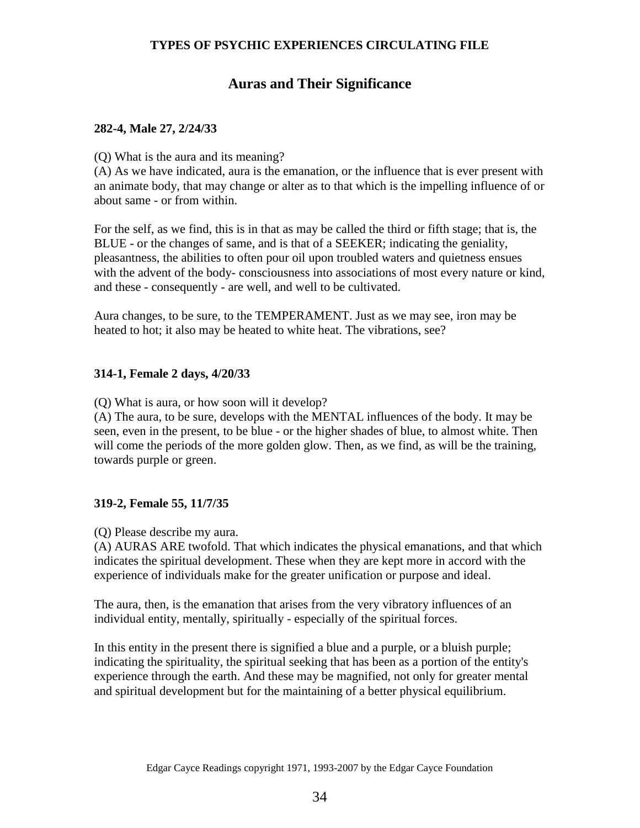# **Auras and Their Significance**

# **282-4, Male 27, 2/24/33**

(Q) What is the [aura](http://www.are-cayce.org/ecreadings/glosnmed.html#AURA) and its meaning?

(A) As we have indicated, [aura](http://www.are-cayce.org/ecreadings/glosnmed.html#AURA) is the emanation, or the influence that is ever present with an animate body, that may change or alter as to that which is the impelling influence of or about same - or from within.

For the self, as we find, this is in that as may be called the third or fifth stage; that is, the BLUE - or the changes of same, and is that of a SEEKER; indicating the geniality, pleasantness, the abilities to often pour oil upon troubled waters and quietness ensues with the advent of the body- consciousness into associations of most every nature or kind, and these - consequently - are well, and well to be cultivated.

[Aura](http://www.are-cayce.org/ecreadings/glosnmed.html#AURA) changes, to be sure, to the TEMPERAMENT. Just as we may see, iron may be heated to hot; it also may be heated to white heat. The vibrations, see?

# **314-1, Female 2 days, 4/20/33**

(Q) What is [aura,](http://www.are-cayce.org/ecreadings/glosnmed.html#AURA) or how soon will it develop?

(A) The [aura,](http://www.are-cayce.org/ecreadings/glosnmed.html#AURA) to be sure, develops with the MENTAL influences of the body. It may be seen, even in the present, to be blue - or the higher shades of blue, to almost white. Then will come the periods of the more golden glow. Then, as we find, as will be the training, towards purple or green.

# **319-2, Female 55, 11/7/35**

(Q) Please describe my [aura.](http://www.are-cayce.org/ecreadings/glosnmed.html#AURA)

(A) [AURAS](http://www.are-cayce.org/ecreadings/glosnmed.html#AURA) ARE twofold. That which indicates the physical emanations, and that which indicates the spiritual development. These when they are kept more in accord with the experience of individuals make for the greater unification or purpose and [ideal.](http://www.are-cayce.org/ecreadings/glosnmed.html#IDEAL)

The [aura,](http://www.are-cayce.org/ecreadings/glosnmed.html#AURA) then, is the emanation that arises from the very vibratory influences of an individual entity, mentally, spiritually - especially of the spiritual forces.

In this entity in the present there is signified a blue and a purple, or a bluish purple; indicating the spirituality, the spiritual seeking that has been as a portion of the entity's experience through the earth. And these may be magnified, not only for greater mental and spiritual development but for the maintaining of a better physical equilibrium.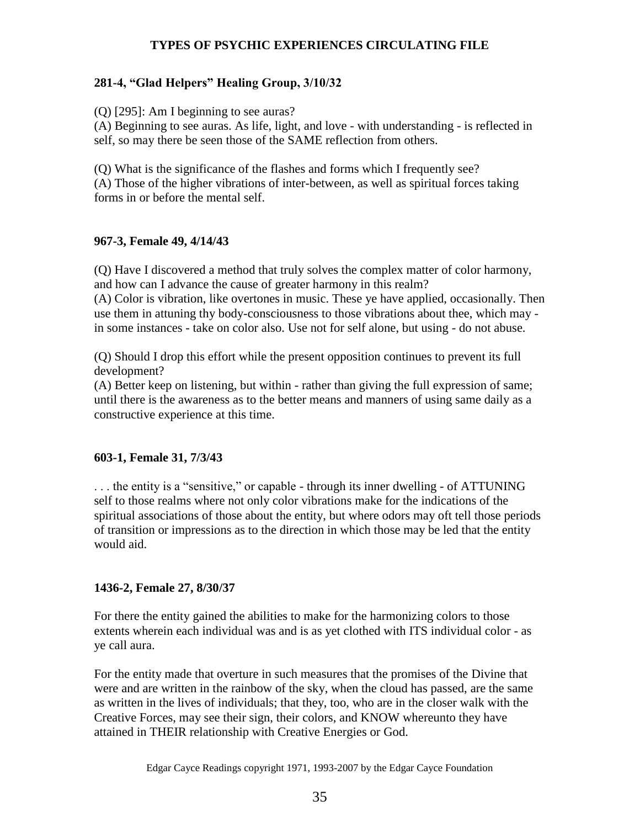# **281-4, "Glad Helpers" Healing Group, 3/10/32**

(Q) [295]: Am I beginning to see [auras](http://www.are-cayce.org/ecreadings/glosnmed.html#AURA)?

(A) Beginning to see [auras](http://www.are-cayce.org/ecreadings/glosnmed.html#AURA). As life, light, and love - with understanding - is reflected in self, so may there be seen those of the SAME reflection from others.

(Q) What is the significance of the flashes and forms which I frequently see?

(A) Those of the higher vibrations of inter-between, as well as spiritual forces taking forms in or before the mental self.

# **967-3, Female 49, 4/14/43**

(Q) Have I discovered a method that truly solves the complex matter of color harmony, and how can I advance the cause of greater harmony in this realm?

(A) Color is vibration, like overtones in music. These ye have applied, occasionally. Then use them in attuning thy body-consciousness to those vibrations about thee, which may in some instances - take on color also. Use not for self alone, but using - do not abuse.

(Q) Should I drop this effort while the present opposition continues to prevent its full development?

(A) Better keep on listening, but within - rather than giving the full expression of same; until there is the awareness as to the better means and manners of using same daily as a constructive experience at this time.

# **603-1, Female 31, 7/3/43**

. . . the entity is a "sensitive," or capable - through its inner dwelling - of ATTUNING self to those realms where not only color vibrations make for the indications of the spiritual associations of those about the entity, but where odors may oft tell those periods of transition or impressions as to the direction in which those may be led that the entity would aid.

# **1436-2, Female 27, 8/30/37**

For there the entity gained the abilities to make for the harmonizing colors to those extents wherein each individual was and is as yet clothed with ITS individual color - as ye call [aura.](http://www.are-cayce.org/ecreadings/glosnmed.html#AURA)

For the entity made that overture in such measures that the promises of the Divine that were and are written in the rainbow of the sky, when the cloud has passed, are the same as written in the lives of individuals; that they, too, who are in the closer walk with the Creative Forces, may see their sign, their colors, and KNOW whereunto they have attained in THEIR relationship with Creative Energies or God.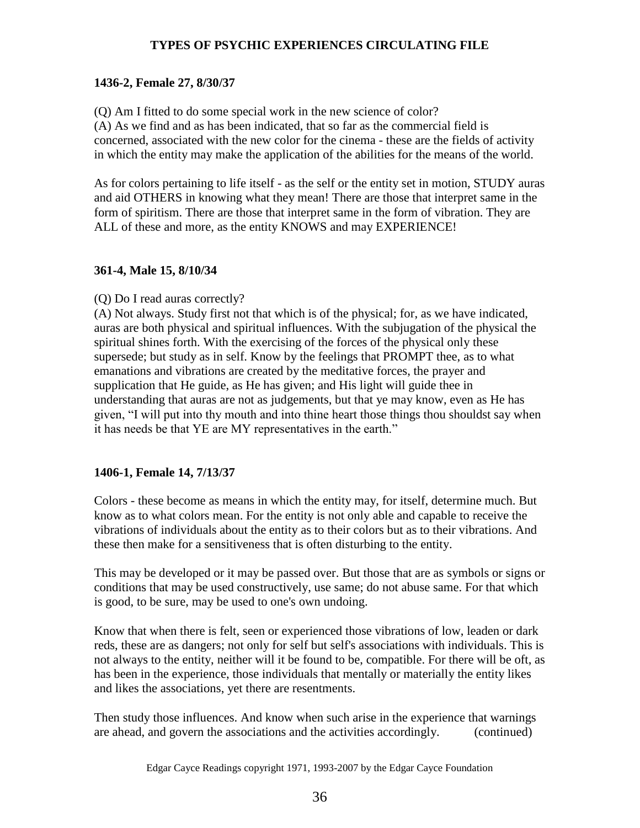### **1436-2, Female 27, 8/30/37**

(Q) Am I fitted to do some special work in the new science of color?

(A) As we find and as has been indicated, that so far as the commercial field is concerned, associated with the new color for the cinema - these are the fields of activity in which the entity may make the application of the abilities for the means of the world.

As for colors pertaining to life itself - as the self or the entity set in motion, STUDY [auras](http://www.are-cayce.org/ecreadings/glosnmed.html#AURA) and aid OTHERS in knowing what they mean! There are those that interpret same in the form of spiritism. There are those that interpret same in the form of vibration. They are ALL of these and more, as the entity KNOWS and may EXPERIENCE!

### **361-4, Male 15, 8/10/34**

(Q) Do I read [auras](http://www.are-cayce.org/ecreadings/glosnmed.html#AURA) correctly?

(A) Not always. Study first not that which is of the physical; for, as we have indicated, [auras](http://www.are-cayce.org/ecreadings/glosnmed.html#AURA) are both physical and spiritual influences. With the subjugation of the physical the spiritual shines forth. With the exercising of the forces of the physical only these supersede; but study as in self. Know by the feelings that PROMPT thee, as to what emanations and vibrations are created by the meditative forces, the [prayer](http://www.are-cayce.org/ecreadings/glosnmed.html#PRAYER) and supplication that He guide, as He has given; and His light will guide thee in understanding that [auras](http://www.are-cayce.org/ecreadings/glosnmed.html#AURA) are not as judgements, but that ye may know, even as He has given, "I will put into thy mouth and into thine [heart](http://www.are-cayce.org/ecreadings/glossmed.html#HEART) those things thou shouldst say when it has needs be that YE are MY representatives in the earth."

# **1406-1, Female 14, 7/13/37**

Colors - these become as means in which the entity may, for itself, determine much. But know as to what colors mean. For the entity is not only able and capable to receive the vibrations of individuals about the entity as to their colors but as to their vibrations. And these then make for a sensitiveness that is often disturbing to the entity.

This may be developed or it may be passed over. But those that are as symbols or signs or conditions that may be used constructively, use same; do not abuse same. For that which is good, to be sure, may be used to one's own undoing.

Know that when there is felt, seen or experienced those vibrations of low, leaden or dark reds, these are as dangers; not only for self but self's associations with individuals. This is not always to the entity, neither will it be found to be, compatible. For there will be oft, as has been in the experience, those individuals that mentally or materially the entity likes and likes the associations, yet there are resentments.

Then study those influences. And know when such arise in the experience that warnings are ahead, and govern the associations and the activities accordingly. (continued)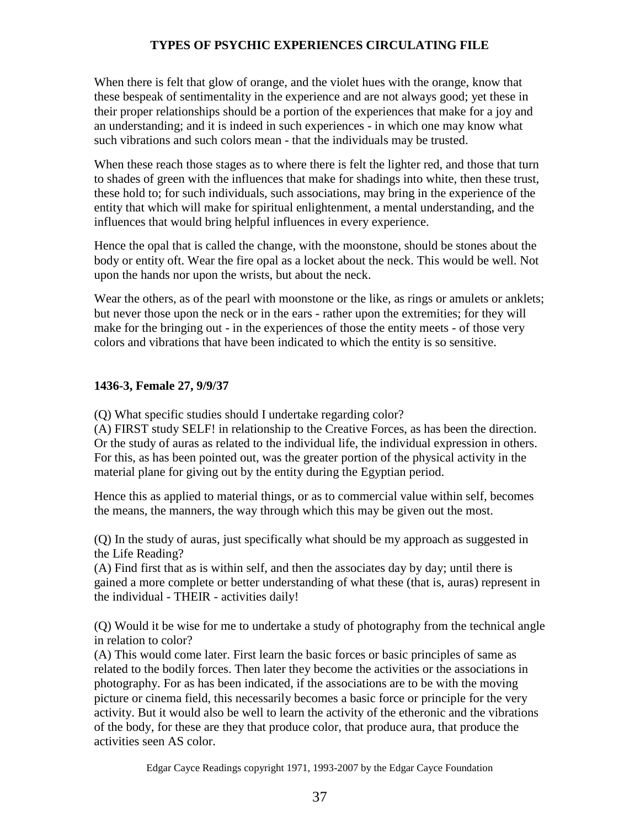When there is felt that glow of orange, and the violet hues with the orange, know that these bespeak of sentimentality in the experience and are not always good; yet these in their proper relationships should be a portion of the experiences that make for a joy and an understanding; and it is indeed in such experiences - in which one may know what such vibrations and such colors mean - that the individuals may be trusted.

When these reach those stages as to where there is felt the lighter red, and those that turn to shades of green with the influences that make for shadings into white, then these trust, these hold to; for such individuals, such associations, may bring in the experience of the entity that which will make for spiritual enlightenment, a mental understanding, and the influences that would bring helpful influences in every experience.

Hence the opal that is called the change, with the moonstone, should be stones about the body or entity oft. Wear the fire opal as a locket about the neck. This would be well. Not upon the hands nor upon the wrists, but about the neck.

Wear the others, as of the pearl with moonstone or the like, as rings or amulets or anklets; but never those upon the neck or in the ears - rather upon the extremities; for they will make for the bringing out - in the experiences of those the entity meets - of those very colors and vibrations that have been indicated to which the entity is so sensitive.

# **1436-3, Female 27, 9/9/37**

(Q) What specific studies should I undertake regarding color?

(A) FIRST study SELF! in relationship to the Creative Forces, as has been the direction. Or the study of [auras](http://www.are-cayce.org/ecreadings/glosnmed.html#AURA) as related to the individual life, the individual expression in others. For this, as has been pointed out, was the greater portion of the physical activity in the material plane for giving out by the entity during the [Egypti](http://www.are-cayce.org/ecreadings/glosnmed.html#EGYPT)an period.

Hence this as applied to material things, or as to commercial value within self, becomes the means, the manners, the way through which this may be given out the most.

(Q) In the study of [auras](http://www.are-cayce.org/ecreadings/glosnmed.html#AURA), just specifically what should be my approach as suggested in the Life Reading?

(A) Find first that as is within self, and then the associates day by day; until there is gained a more complete or better understanding of what these (that is, [auras](http://www.are-cayce.org/ecreadings/glosnmed.html#AURA)) represent in the individual - THEIR - activities daily!

(Q) Would it be wise for me to undertake a study of photography from the technical angle in relation to color?

(A) This would come later. First learn the basic forces or basic principles of same as related to the bodily forces. Then later they become the activities or the associations in photography. For as has been indicated, if the associations are to be with the moving picture or cinema field, this necessarily becomes a basic force or principle for the very activity. But it would also be well to learn the activity of the etheronic and the vibrations of the body, for these are they that produce color, that produce [aura,](http://www.are-cayce.org/ecreadings/glosnmed.html#AURA) that produce the activities seen AS color.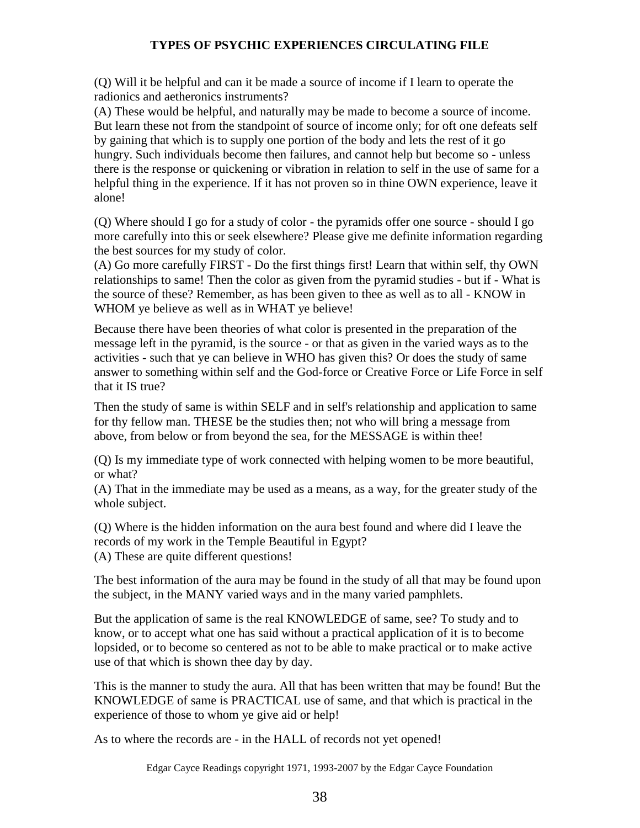(Q) Will it be helpful and can it be made a source of income if I learn to operate the radionics and aetheronics instruments?

(A) These would be helpful, and naturally may be made to become a source of income. But learn these not from the standpoint of source of income only; for oft one defeats self by gaining that which is to supply one portion of the body and lets the rest of it go hungry. Such individuals become then failures, and cannot help but become so - unless there is the response or quickening or vibration in relation to self in the use of same for a helpful thing in the experience. If it has not proven so in thine OWN experience, leave it alone!

(Q) Where should I go for a study of color - the pyramids offer one source - should I go more carefully into this or seek elsewhere? Please give me definite information regarding the best sources for my study of color.

(A) Go more carefully FIRST - Do the first things first! Learn that within self, thy OWN relationships to same! Then the color as given from the pyramid studies - but if - What is the source of these? Remember, as has been given to thee as well as to all - KNOW in WHOM ye believe as well as in WHAT ye believe!

Because there have been theories of what color is presented in the preparation of the message left in the pyramid, is the source - or that as given in the varied ways as to the activities - such that ye can believe in WHO has given this? Or does the study of same answer to something within self and the God-force or Creative Force or Life Force in self that it IS true?

Then the study of same is within SELF and in self's relationship and application to same for thy fellow man. THESE be the studies then; not who will bring a message from above, from below or from beyond the sea, for the MESSAGE is within thee!

(Q) Is my immediate type of work connected with helping women to be more beautiful, or what?

(A) That in the immediate may be used as a means, as a way, for the greater study of the whole subject.

(Q) Where is the hidden information on the [aura](http://www.are-cayce.org/ecreadings/glosnmed.html#AURA) best found and where did I leave the records of my work in the Temple Beautiful in [Egypt?](http://www.are-cayce.org/ecreadings/glosnmed.html#EGYPT)

(A) These are quite different questions!

The best information of the [aura](http://www.are-cayce.org/ecreadings/glosnmed.html#AURA) may be found in the study of all that may be found upon the subject, in the MANY varied ways and in the many varied pamphlets.

But the application of same is the real KNOWLEDGE of same, see? To study and to know, or to accept what one has said without a practical application of it is to become lopsided, or to become so centered as not to be able to make practical or to make active use of that which is shown thee day by day.

This is the manner to study the [aura.](http://www.are-cayce.org/ecreadings/glosnmed.html#AURA) All that has been written that may be found! But the KNOWLEDGE of same is PRACTICAL use of same, and that which is practical in the experience of those to whom ye give aid or help!

As to where the records are - in the [HALL of records](http://www.are-cayce.org/ecreadings/glosnmed.html#HALLOFRECORDS) not yet opened!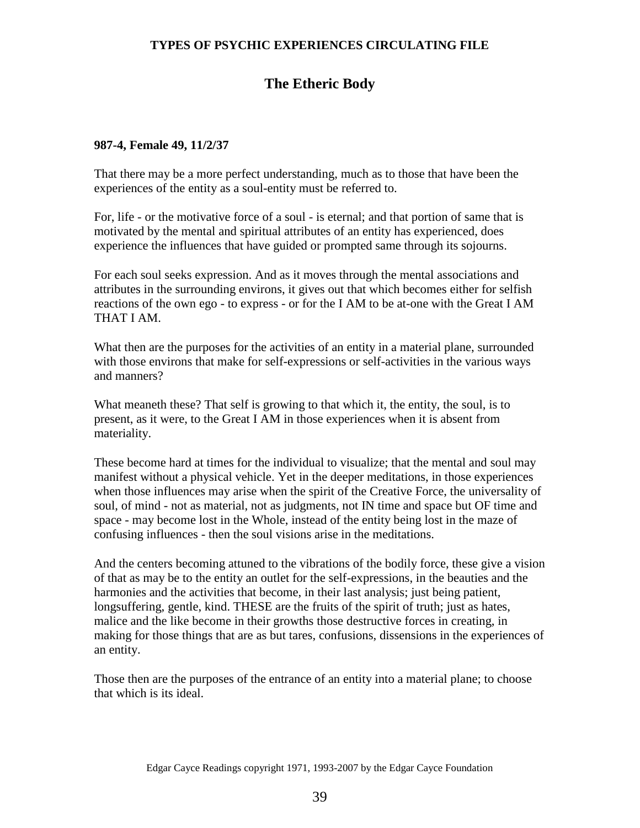# **The Etheric Body**

### **987-4, Female 49, 11/2/37**

That there may be a more perfect understanding, much as to those that have been the experiences of the entity as a [soul-](http://www.are-cayce.org/ecreadings/glosnmed.html#SOUL)entity must be referred to.

For, life - or the motivative force of a [soul](http://www.are-cayce.org/ecreadings/glosnmed.html#SOUL) - is eternal; and that portion of same that is motivated by the mental and spiritual attributes of an entity has experienced, does experience the influences that have guided or prompted same through its sojourns.

For each [soul](http://www.are-cayce.org/ecreadings/glosnmed.html#SOUL) seeks expression. And as it moves through the mental associations and attributes in the surrounding environs, it gives out that which becomes either for selfish reactions of the own [ego](http://www.are-cayce.org/ecreadings/glosnmed.html#EGO) - to express - or for the I AM to be at-one with the Great I AM THAT I AM.

What then are the purposes for the activities of an entity in a material plane, surrounded with those environs that make for self-expressions or self-activities in the various ways and manners?

What meaneth these? That self is growing to that which it, the entity, the [soul,](http://www.are-cayce.org/ecreadings/glosnmed.html#SOUL) is to present, as it were, to the Great I AM in those experiences when it is absent from materiality.

These become hard at times for the individual to visualize; that the mental and [soul](http://www.are-cayce.org/ecreadings/glosnmed.html#SOUL) may manifest without a physical vehicle. Yet in the deeper [meditations](http://www.are-cayce.org/ecreadings/glosnmed.html#MEDITATION), in those experiences when those influences may arise when the spirit of the Creative Force, the universality of [soul,](http://www.are-cayce.org/ecreadings/glosnmed.html#SOUL) of mind - not as material, not as judgments, not IN time and space but OF time and space - may become lost in the Whole, instead of the entity being lost in the maze of confusing influences - then the [soul](http://www.are-cayce.org/ecreadings/glosnmed.html#SOUL) visions arise in the [meditations](http://www.are-cayce.org/ecreadings/glosnmed.html#MEDITATION).

And the centers becoming attuned to the vibrations of the bodily force, these give a vision of that as may be to the entity an outlet for the self-expressions, in the beauties and the harmonies and the activities that become, in their last analysis; just being patient, longsuffering, gentle, kind. THESE are the fruits of the spirit of truth; just as hates, malice and the like become in their growths those destructive forces in creating, in making for those things that are as but tares, confusions, dissensions in the experiences of an entity.

Those then are the purposes of the entrance of an entity into a material plane; to choose that which is its [ideal.](http://www.are-cayce.org/ecreadings/glosnmed.html#IDEAL)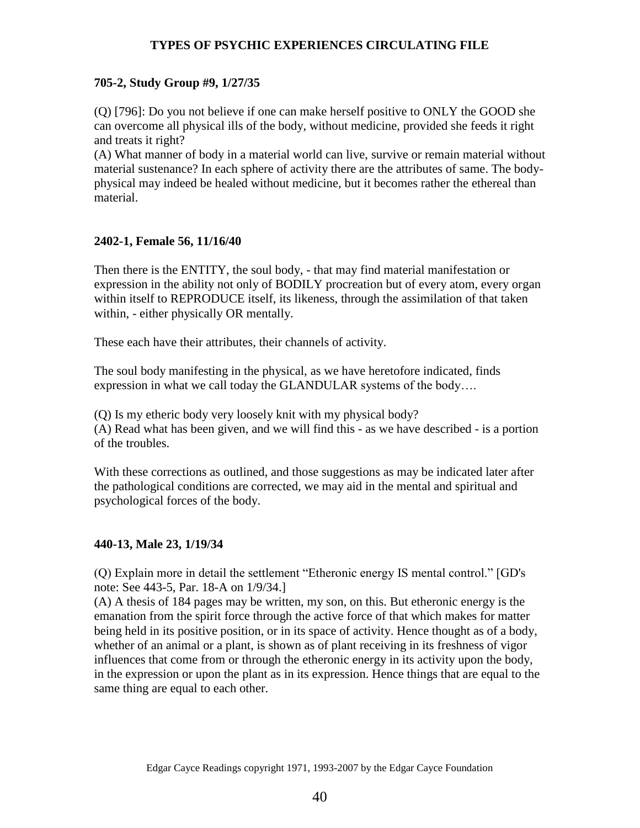# **705-2, Study Group #9, 1/27/35**

(Q) [796]: Do you not believe if one can make herself positive to ONLY the GOOD she can overcome all physical ills of the body, without medicine, provided she feeds it right and treats it right?

(A) What manner of body in a material world can live, survive or remain material without material sustenance? In each sphere of activity there are the attributes of same. The bodyphysical may indeed be healed without medicine, but it becomes rather the ethereal than material.

# **2402-1, Female 56, 11/16/40**

Then there is the ENTITY, the [soul](http://www.are-cayce.org/ecreadings/glosnmed.html#SOUL) body, - that may find material manifestation or expression in the ability not only of BODILY procreation but of every atom, every organ within itself to REPRODUCE itself, its likeness, through the [assimilation](http://www.are-cayce.org/ecreadings/glossmed.html#ASSIMILATION) of that taken within, - either physically OR mentally.

These each have their attributes, their channels of activity.

The [soul](http://www.are-cayce.org/ecreadings/glosnmed.html#SOUL) body manifesting in the physical, as we have heretofore indicated, finds expression in what we call today the [GLANDU](http://www.are-cayce.org/ecreadings/glossmed.html#GLAND)LAR systems of the body….

(Q) Is my etheric body very loosely knit with my physical body? (A) Read what has been given, and we will find this - as we have described - is a portion of the troubles.

With these corrections as outlined, and those suggestions as may be indicated later after the [pathological](http://www.are-cayce.org/ecreadings/glossmed.html#PATHOLOGICAL) conditions are corrected, we may aid in the mental and spiritual and psychological forces of the body.

# **440-13, Male 23, 1/19/34**

(Q) Explain more in detail the settlement "Etheronic energy IS mental control." [GD's note: See 443-5, Par. 18-A on 1/9/34.]

(A) A thesis of 184 pages may be written, my son, on this. But etheronic energy is the emanation from the spirit force through the active force of that which makes for matter being held in its positive position, or in its space of activity. Hence thought as of a body, whether of an animal or a plant, is shown as of plant receiving in its freshness of vigor influences that come from or through the etheronic energy in its activity upon the body, in the expression or upon the plant as in its expression. Hence things that are equal to the same thing are equal to each other.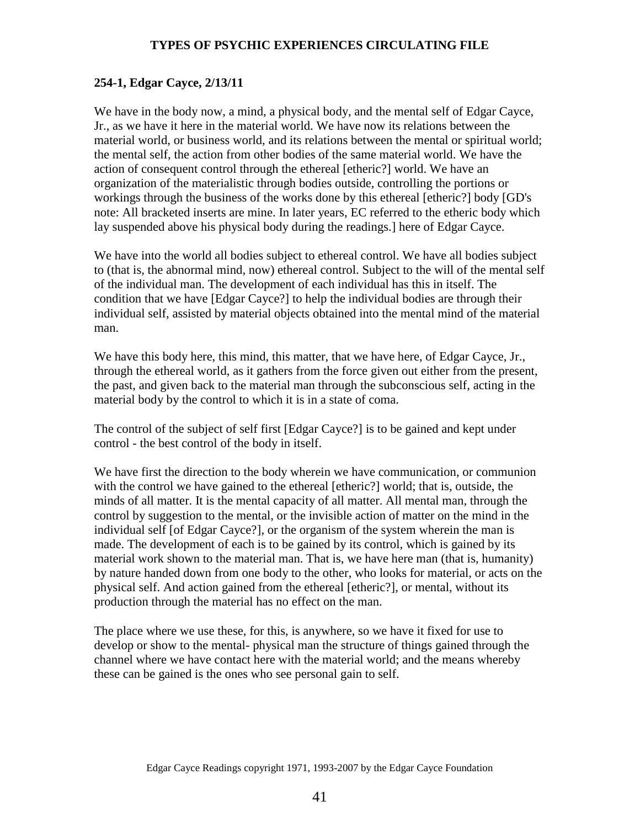### **254-1, Edgar Cayce, 2/13/11**

We have in the body now, a mind, a physical body, and the mental self of Edgar Cayce, Jr., as we have it here in the material world. We have now its relations between the material world, or business world, and its relations between the mental or spiritual world; the mental self, the action from other bodies of the same material world. We have the action of consequent control through the ethereal [etheric?] world. We have an organization of the materialistic through bodies outside, controlling the portions or workings through the business of the works done by this ethereal [etheric?] body [GD's note: All bracketed inserts are mine. In later years, EC referred to the etheric body which lay suspended above his physical body during the readings.] here of Edgar Cayce.

We have into the world all bodies subject to ethereal control. We have all bodies subject to (that is, the abnormal mind, now) ethereal control. Subject to the will of the mental self of the individual man. The development of each individual has this in itself. The condition that we have [Edgar Cayce?] to help the individual bodies are through their individual self, assisted by material objects obtained into the mental mind of the material man.

We have this body here, this mind, this matter, that we have here, of Edgar Cayce, Jr., through the ethereal world, as it gathers from the force given out either from the present, the past, and given back to the material man through the [subconscious](http://www.are-cayce.org/ecreadings/glosnmed.html#SUBCONSCIOUS) self, acting in the material body by the control to which it is in a state of coma.

The control of the subject of self first [Edgar Cayce?] is to be gained and kept under control - the best control of the body in itself.

We have first the direction to the body wherein we have communication, or communion with the control we have gained to the ethereal [etheric?] world; that is, outside, the minds of all matter. It is the mental capacity of all matter. All mental man, through the control by suggestion to the mental, or the invisible action of matter on the mind in the individual self [of Edgar Cayce?], or the organism of the system wherein the man is made. The development of each is to be gained by its control, which is gained by its material work shown to the material man. That is, we have here man (that is, humanity) by nature handed down from one body to the other, who looks for material, or acts on the physical self. And action gained from the ethereal [etheric?], or mental, without its production through the material has no effect on the man.

The place where we use these, for this, is anywhere, so we have it fixed for use to develop or show to the mental- physical man the structure of things gained through the channel where we have contact here with the material world; and the means whereby these can be gained is the ones who see personal gain to self.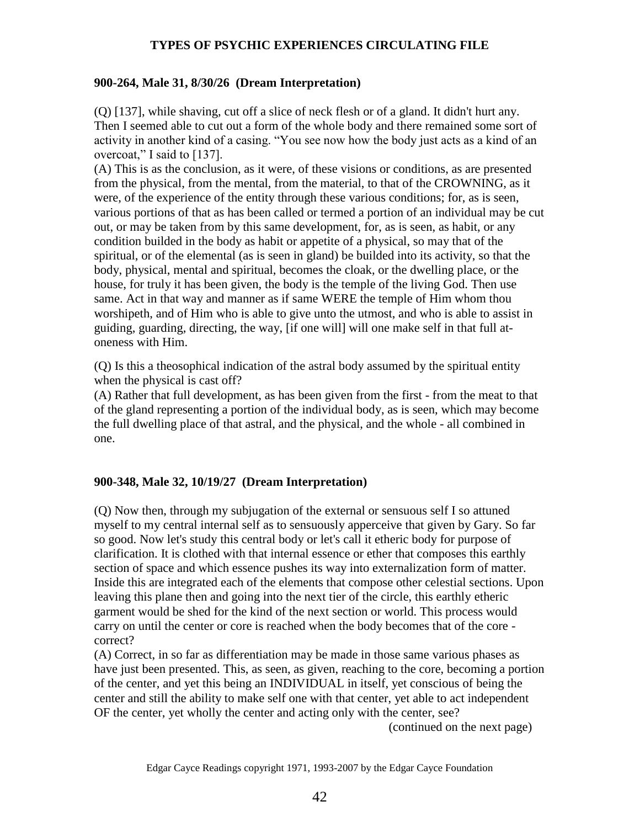### **900-264, Male 31, 8/30/26 (Dream Interpretation)**

(Q) [137], while shaving, cut off a slice of neck flesh or of a [gland.](http://www.are-cayce.org/ecreadings/glossmed.html#GLAND) It didn't hurt any. Then I seemed able to cut out a form of the whole body and there remained some sort of activity in another kind of a casing. "You see now how the body just acts as a kind of an overcoat," I said to [137].

(A) This is as the conclusion, as it were, of these visions or conditions, as are presented from the physical, from the mental, from the material, to that of the CROWNING, as it were, of the experience of the entity through these various conditions; for, as is seen, various portions of that as has been called or termed a portion of an individual may be cut out, or may be taken from by this same development, for, as is seen, as habit, or any condition builded in the body as habit or appetite of a physical, so may that of the spiritual, or of the elemental (as is seen in [gland\)](http://www.are-cayce.org/ecreadings/glossmed.html#GLAND) be builded into its activity, so that the body, physical, mental and spiritual, becomes the cloak, or the dwelling place, or the house, for truly it has been given, the body is the temple of the living God. Then use same. Act in that way and manner as if same WERE the temple of Him whom thou worshipeth, and of Him who is able to give unto the utmost, and who is able to assist in guiding, guarding, directing, the way, [if one will] will one make self in that full atoneness with Him.

(Q) Is this a theosophical indication of the [astral body](http://www.are-cayce.org/ecreadings/glosnmed.html#ASTRALBODY) assumed by the spiritual entity when the physical is cast off?

(A) Rather that full development, as has been given from the first - from the meat to that of the [gland](http://www.are-cayce.org/ecreadings/glossmed.html#GLAND) representing a portion of the individual body, as is seen, which may become the full dwelling place of that astral, and the physical, and the whole - all combined in one.

### **900-348, Male 32, 10/19/27 (Dream Interpretation)**

(Q) Now then, through my subjugation of the external or sensuous self I so attuned myself to my central internal self as to sensuously apperceive that given by Gary. So far so good. Now let's study this central body or let's call it etheric body for purpose of clarification. It is clothed with that internal essence or ether that composes this earthly section of space and which essence pushes its way into externalization form of matter. Inside this are integrated each of the elements that compose other celestial sections. Upon leaving this plane then and going into the next tier of the circle, this earthly etheric garment would be shed for the kind of the next section or world. This process would carry on until the center or core is reached when the body becomes that of the core correct?

(A) Correct, in so far as differentiation may be made in those same various phases as have just been presented. This, as seen, as given, reaching to the core, becoming a portion of the center, and yet this being an INDIVIDUAL in itself, yet conscious of being the center and still the ability to make self one with that center, yet able to act independent OF the center, yet wholly the center and acting only with the center, see?

(continued on the next page)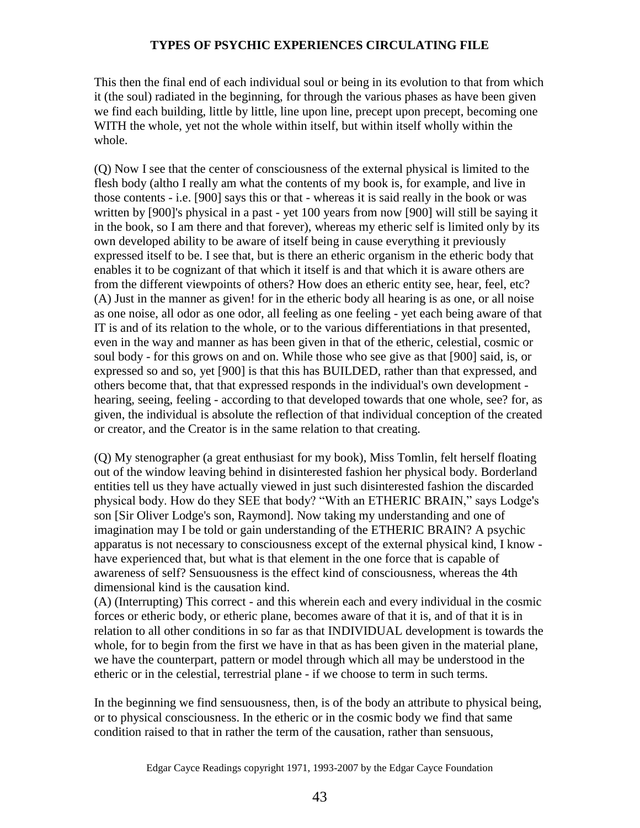This then the final end of each individual [soul](http://www.are-cayce.org/ecreadings/glosnmed.html#SOUL) or being in its [evolution](http://www.are-cayce.org/ecreadings/glosnmed.html#EVOLUTION) to that from which it (the [soul\)](http://www.are-cayce.org/ecreadings/glosnmed.html#SOUL) radiated in the beginning, for through the various phases as have been given we find each building, little by little, line upon line, precept upon precept, becoming one WITH the whole, yet not the whole within itself, but within itself wholly within the whole.

(Q) Now I see that the center of consciousness of the external physical is limited to the flesh body (altho I really am what the contents of my book is, for example, and live in those contents - i.e. [900] says this or that - whereas it is said really in the book or was written by [900]'s physical in a past - yet 100 years from now [900] will still be saying it in the book, so I am there and that forever), whereas my etheric self is limited only by its own developed ability to be aware of itself being in cause everything it previously expressed itself to be. I see that, but is there an etheric organism in the etheric body that enables it to be cognizant of that which it itself is and that which it is aware others are from the different viewpoints of others? How does an etheric entity see, hear, feel, etc? (A) Just in the manner as given! for in the etheric body all hearing is as one, or all noise as one noise, all odor as one odor, all feeling as one feeling - yet each being aware of that IT is and of its relation to the whole, or to the various differentiations in that presented, even in the way and manner as has been given in that of the etheric, celestial, cosmic or [soul](http://www.are-cayce.org/ecreadings/glosnmed.html#SOUL) body - for this grows on and on. While those who see give as that [900] said, is, or expressed so and so, yet [900] is that this has BUILDED, rather than that expressed, and others become that, that that expressed responds in the individual's own development hearing, seeing, feeling - according to that developed towards that one whole, see? for, as given, the individual is absolute the reflection of that individual conception of the created or creator, and the Creator is in the same relation to that creating.

(Q) My stenographer (a great enthusiast for my book), Miss Tomlin, felt herself floating out of the window leaving behind in disinterested fashion her physical body. Borderland entities tell us they have actually viewed in just such disinterested fashion the discarded physical body. How do they SEE that body? "With an ETHERIC [BRAIN,](http://www.are-cayce.org/ecreadings/glossmed.html#BRAIN)" says Lodge's son [Sir [Oliver](http://www.are-cayce.org/ecreadings/glossmed.html#LIVER) Lodge's son, Raymond]. Now taking my understanding and one of [imagination](http://www.are-cayce.org/ecreadings/glosnmed.html#IMAGINATION) may I be told or gain understanding of the ETHERIC [BRAIN?](http://www.are-cayce.org/ecreadings/glossmed.html#BRAIN) A psychic apparatus is not necessary to consciousness except of the external physical kind, I know have experienced that, but what is that element in the one force that is capable of awareness of self? Sensuousness is the effect kind of consciousness, whereas the 4th dimensional kind is the causation kind.

(A) (Interrupting) This correct - and this wherein each and every individual in the cosmic forces or etheric body, or etheric plane, becomes aware of that it is, and of that it is in relation to all other conditions in so far as that INDIVIDUAL development is towards the whole, for to begin from the first we have in that as has been given in the material plane, we have the counterpart, pattern or model through which all may be understood in the etheric or in the celestial, terrestrial plane - if we choose to term in such terms.

In the beginning we find sensuousness, then, is of the body an attribute to physical being, or to physical consciousness. In the etheric or in the cosmic body we find that same condition raised to that in rather the term of the causation, rather than sensuous,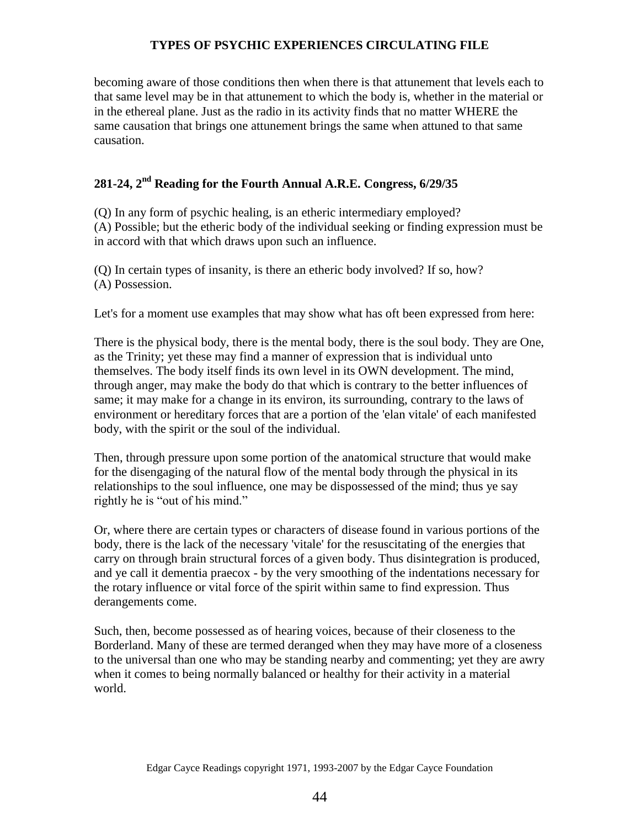becoming aware of those conditions then when there is that [attunement](http://www.are-cayce.org/ecreadings/glosnmed.html#ATTUNEMENT) that levels each to that same level may be in that [attunement](http://www.are-cayce.org/ecreadings/glosnmed.html#ATTUNEMENT) to which the body is, whether in the material or in the ethereal plane. Just as the radio in its activity finds that no matter WHERE the same causation that brings one [attunement](http://www.are-cayce.org/ecreadings/glosnmed.html#ATTUNEMENT) brings the same when attuned to that same causation.

# **281-24, 2nd Reading for the Fourth Annual A.R.E. Congress, 6/29/35**

(Q) In any form of psychic healing, is an etheric intermediary employed? (A) Possible; but the etheric body of the individual seeking or finding expression must be in accord with that which draws upon such an influence.

(Q) In certain types of insanity, is there an etheric body involved? If so, how? (A) Possession.

Let's for a moment use examples that may show what has oft been expressed from here:

There is the physical body, there is the mental body, there is the [soul](http://www.are-cayce.org/ecreadings/glosnmed.html#SOUL) body. They are One, as the Trinity; yet these may find a manner of expression that is individual unto themselves. The body itself finds its own level in its OWN development. The mind, through anger, may make the body do that which is contrary to the better influences of same; it may make for a change in its environ, its surrounding, contrary to the laws of environment or hereditary forces that are a portion of the 'elan vitale' of each manifested body, with the spirit or the [soul](http://www.are-cayce.org/ecreadings/glosnmed.html#SOUL) of the individual.

Then, through pressure upon some portion of the anatomical structure that would make for the disengaging of the natural flow of the mental body through the physical in its relationships to the [soul](http://www.are-cayce.org/ecreadings/glosnmed.html#SOUL) influence, one may be dispossessed of the mind; thus ye say rightly he is "out of his mind."

Or, where there are certain types or characters of disease found in various portions of the body, there is the lack of the necessary 'vitale' for the resuscitating of the energies that carry on through [brain](http://www.are-cayce.org/ecreadings/glossmed.html#BRAIN) structural forces of a given body. Thus disintegration is produced, and ye call it [dementia](http://www.are-cayce.org/ecreadings/glossmed.html#DEMENTIA) praecox - by the very smoothing of the indentations necessary for the rotary influence or vital force of the spirit within same to find expression. Thus derangements come.

Such, then, become possessed as of hearing voices, because of their closeness to the Borderland. Many of these are termed deranged when they may have more of a closeness to the universal than one who may be standing nearby and commenting; yet they are awry when it comes to being normally balanced or healthy for their activity in a material world.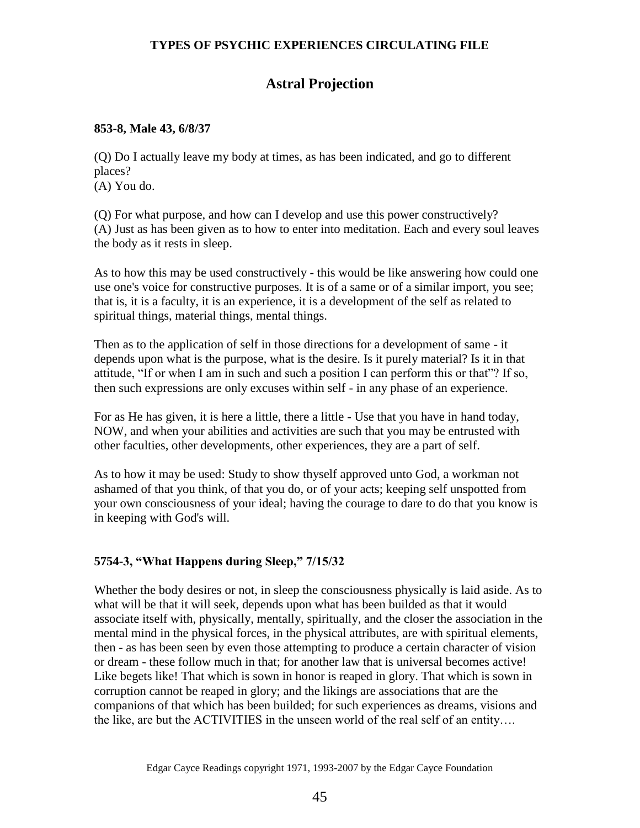# **Astral Projection**

### **853-8, Male 43, 6/8/37**

(Q) Do I actually leave my body at times, as has been indicated, and go to different places?

(A) You do.

(Q) For what purpose, and how can I develop and use this power constructively? (A) Just as has been given as to how to enter into [meditation.](http://www.are-cayce.org/ecreadings/glosnmed.html#MEDITATION) Each and every [soul](http://www.are-cayce.org/ecreadings/glosnmed.html#SOUL) leaves the body as it rests in sleep.

As to how this may be used constructively - this would be like answering how could one use one's voice for constructive purposes. It is of a same or of a similar import, you see; that is, it is a faculty, it is an experience, it is a development of the self as related to spiritual things, material things, mental things.

Then as to the application of self in those directions for a development of same - it depends upon what is the purpose, what is the desire. Is it purely material? Is it in that attitude, "If or when I am in such and such a position I can perform this or that"? If so, then such expressions are only excuses within self - in any phase of an experience.

For as He has given, it is here a little, there a little - Use that you have in hand today, NOW, and when your abilities and activities are such that you may be entrusted with other faculties, other developments, other experiences, they are a part of self.

As to how it may be used: Study to show thyself approved unto God, a workman not ashamed of that you think, of that you do, or of your acts; keeping self unspotted from your own consciousness of your [ideal;](http://www.are-cayce.org/ecreadings/glosnmed.html#IDEAL) having the courage to dare to do that you know is in keeping with God's will.

# **5754-3, "What Happens during Sleep," 7/15/32**

Whether the body desires or not, in sleep the consciousness physically is laid aside. As to what will be that it will seek, depends upon what has been builded as that it would associate itself with, physically, mentally, spiritually, and the closer the association in the mental mind in the physical forces, in the physical attributes, are with spiritual elements, then - as has been seen by even those attempting to produce a certain character of vision or [dream](http://www.are-cayce.org/ecreadings/glosnmed.html#DREAMS) - these follow much in that; for another law that is universal becomes active! Like begets like! That which is sown in honor is reaped in glory. That which is sown in corruption cannot be reaped in glory; and the likings are associations that are the companions of that which has been builded; for such experiences as [dreams](http://www.are-cayce.org/ecreadings/glosnmed.html#DREAMS), visions and the like, are but the ACTIVITIES in the unseen world of the real self of an entity….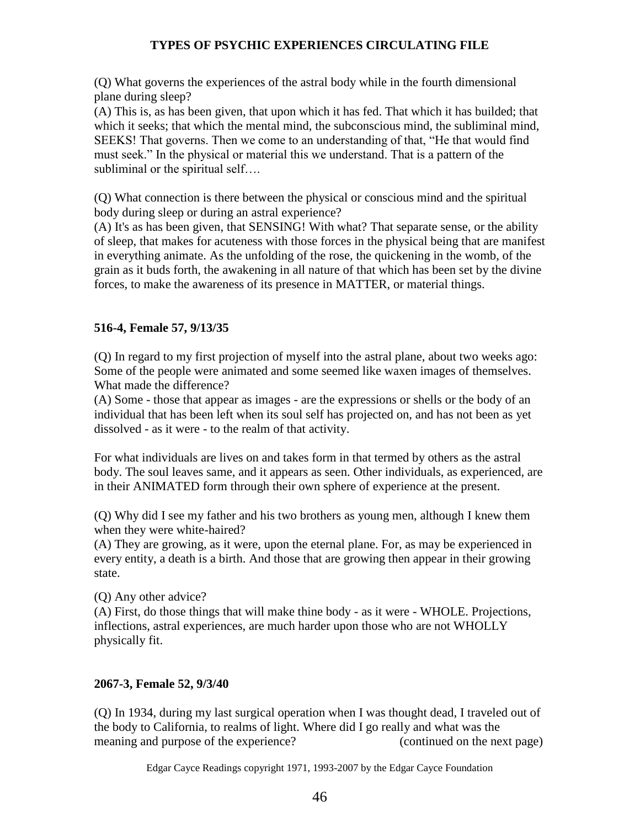(Q) What governs the experiences of the [astral body](http://www.are-cayce.org/ecreadings/glosnmed.html#ASTRALBODY) while in the fourth dimensional plane during sleep?

(A) This is, as has been given, that upon which it has fed. That which it has builded; that which it seeks; that which the mental mind, the [subconscious](http://www.are-cayce.org/ecreadings/glosnmed.html#SUBCONSCIOUS) mind, the subliminal mind, SEEKS! That governs. Then we come to an understanding of that, "He that would find must seek." In the physical or material this we understand. That is a pattern of the subliminal or the spiritual self....

(Q) What connection is there between the physical or conscious mind and the spiritual body during sleep or during an astral experience?

(A) It's as has been given, that SENSING! With what? That separate sense, or the ability of sleep, that makes for acuteness with those forces in the physical being that are manifest in everything animate. As the unfolding of the rose, the quickening in the womb, of the grain as it buds forth, the awakening in all nature of that which has been set by the divine forces, to make the awareness of its presence in MATTER, or material things.

# **516-4, Female 57, 9/13/35**

(Q) In regard to my first projection of myself into the [astral plane,](http://www.are-cayce.org/ecreadings/glosnmed.html#ASTRALPLANE) about two weeks ago: Some of the people were animated and some seemed like waxen images of themselves. What made the difference?

(A) Some - those that appear as images - are the expressions or shells or the body of an individual that has been left when its [soul](http://www.are-cayce.org/ecreadings/glosnmed.html#SOUL) self has projected on, and has not been as yet dissolved - as it were - to the realm of that activity.

For what individuals are lives on and takes form in that termed by others as the [astral](http://www.are-cayce.org/ecreadings/glosnmed.html#ASTRALBODY)  [body.](http://www.are-cayce.org/ecreadings/glosnmed.html#ASTRALBODY) The [soul](http://www.are-cayce.org/ecreadings/glosnmed.html#SOUL) leaves same, and it appears as seen. Other individuals, as experienced, are in their ANIMATED form through their own sphere of experience at the present.

(Q) Why did I see my father and his two brothers as young men, although I knew them when they were white-haired?

(A) They are growing, as it were, upon the eternal plane. For, as may be experienced in every entity, a death is a birth. And those that are growing then appear in their growing state.

(Q) Any other advice?

(A) First, do those things that will make thine body - as it were - WHOLE. Projections, inflections, astral experiences, are much harder upon those who are not WHOLLY physically fit.

# **2067-3, Female 52, 9/3/40**

(Q) In 1934, during my last surgical operation when I was thought dead, I traveled out of the body to California, to realms of light. Where did I go really and what was the meaning and purpose of the experience? (continued on the next page)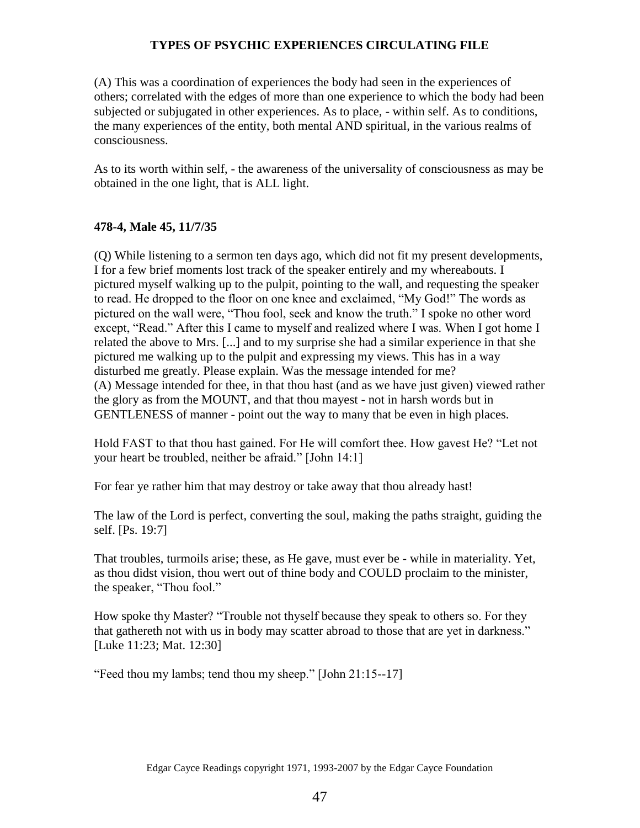(A) This was a coordination of experiences the body had seen in the experiences of others; correlated with the edges of more than one experience to which the body had been subjected or subjugated in other experiences. As to place, - within self. As to conditions, the many experiences of the entity, both mental AND spiritual, in the various realms of consciousness.

As to its worth within self, - the awareness of the universality of consciousness as may be obtained in the one light, that is ALL light.

# **478-4, Male 45, 11/7/35**

(Q) While listening to a sermon ten days ago, which did not fit my present developments, I for a few brief moments lost track of the speaker entirely and my whereabouts. I pictured myself walking up to the pulpit, pointing to the wall, and requesting the speaker to read. He dropped to the floor on one knee and exclaimed, "My God!" The words as pictured on the wall were, "Thou fool, seek and know the truth." I [spoke](http://www.are-cayce.org/ecreadings/glossmed.html#POKE) no other word except, "Read." After this I came to myself and realized where I was. When I got home I related the above to Mrs. [...] and to my surprise she had a similar experience in that she pictured me walking up to the pulpit and expressing my views. This has in a way disturbed me greatly. Please explain. Was the message intended for me? (A) Message intended for thee, in that thou hast (and as we have just given) viewed rather the glory as from the MOUNT, and that thou mayest - not in harsh words but in GENTLENESS of manner - point out the way to many that be even in high places.

Hold FAST to that thou hast gained. For He will comfort thee. How gavest He? "Let not your [heart](http://www.are-cayce.org/ecreadings/glossmed.html#HEART) be troubled, neither be afraid." [John 14:1]

For fear ye rather him that may destroy or take away that thou already hast!

The law of the Lord is perfect, converting the [soul,](http://www.are-cayce.org/ecreadings/glosnmed.html#SOUL) making the paths straight, guiding the self. [Ps. 19:7]

That troubles, turmoils arise; these, as He gave, must ever be - while in materiality. Yet, as thou didst vision, thou wert out of thine body and COULD proclaim to the minister, the speaker, "Thou fool."

How [spoke](http://www.are-cayce.org/ecreadings/glossmed.html#POKE) thy Master? "Trouble not thyself because they speak to others so. For they that gathereth not with us in body may scatter abroad to those that are yet in darkness." [Luke 11:23; Mat. 12:30]

"Feed thou my lambs; tend thou my sheep." [John 21:15--17]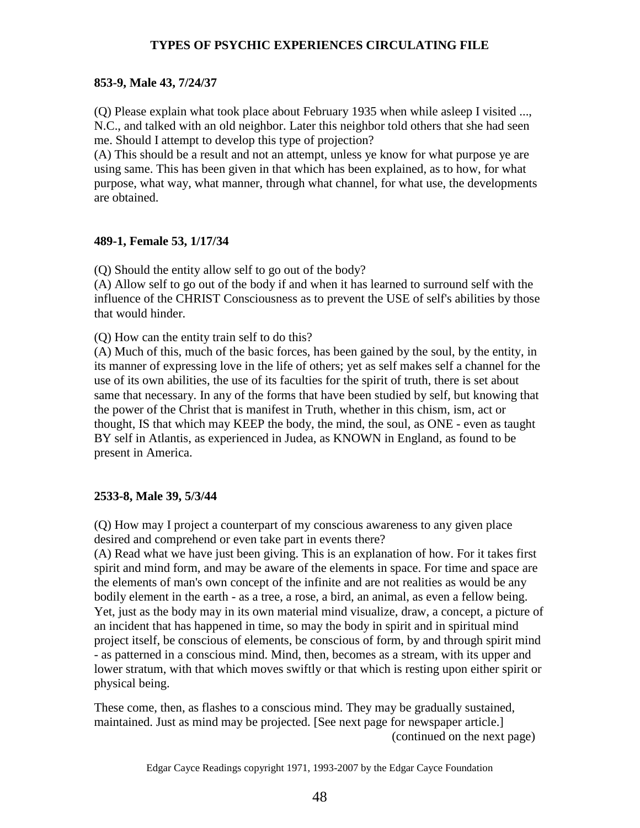#### **853-9, Male 43, 7/24/37**

(Q) Please explain what took place about February 1935 when while asleep I visited ..., N.C., and talked with an old neighbor. Later this neighbor told others that she had seen me. Should I attempt to develop this type of projection?

(A) This should be a result and not an attempt, unless ye know for what purpose ye are using same. This has been given in that which has been explained, as to how, for what purpose, what way, what manner, through what channel, for what use, the developments are obtained.

### **489-1, Female 53, 1/17/34**

(Q) Should the entity allow self to go out of the body?

(A) Allow self to go out of the body if and when it has learned to surround self with the influence of the [CHRIST](http://www.are-cayce.org/ecreadings/glosnmed.html#CHRIST) Consciousness as to prevent the USE of self's abilities by those that would hinder.

(Q) How can the entity train self to do this?

(A) Much of this, much of the basic forces, has been gained by the [soul,](http://www.are-cayce.org/ecreadings/glosnmed.html#SOUL) by the entity, in its manner of expressing love in the life of others; yet as self makes self a channel for the use of its own abilities, the use of its faculties for the spirit of truth, there is set about same that necessary. In any of the forms that have been studied by self, but knowing that the power of the [Christ](http://www.are-cayce.org/ecreadings/glosnmed.html#CHRIST) that is manifest in Truth, whether in this chism, ism, act or thought, IS that which may KEEP the body, the mind, the [soul,](http://www.are-cayce.org/ecreadings/glosnmed.html#SOUL) as ONE - even as taught BY self in [Atlantis,](http://www.are-cayce.org/ecreadings/glosnmed.html#ATLANTIS) as experienced in Judea, as KNOWN in E[ngland,](http://www.are-cayce.org/ecreadings/glossmed.html#GLAND) as found to be present in America.

### **2533-8, Male 39, 5/3/44**

(Q) How may I project a counterpart of my conscious awareness to any given place desired and comprehend or even take part in events there?

(A) Read what we have just been giving. This is an explanation of how. For it takes first spirit and mind form, and may be aware of the elements in space. For time and space are the elements of man's own concept of the infinite and are not realities as would be any bodily element in the earth - as a tree, a rose, a bird, an animal, as even a fellow being. Yet, just as the body may in its own material mind visualize, draw, a concept, a picture of an incident that has happened in time, so may the body in spirit and in spiritual mind project itself, be conscious of elements, be conscious of form, by and through spirit mind - as patterned in a conscious mind. Mind, then, becomes as a stream, with its upper and lower stratum, with that which moves swiftly or that which is resting upon either spirit or physical being.

These come, then, as flashes to a conscious mind. They may be gradually sustained, maintained. Just as mind may be projected. [See next page for newspaper article.] (continued on the next page)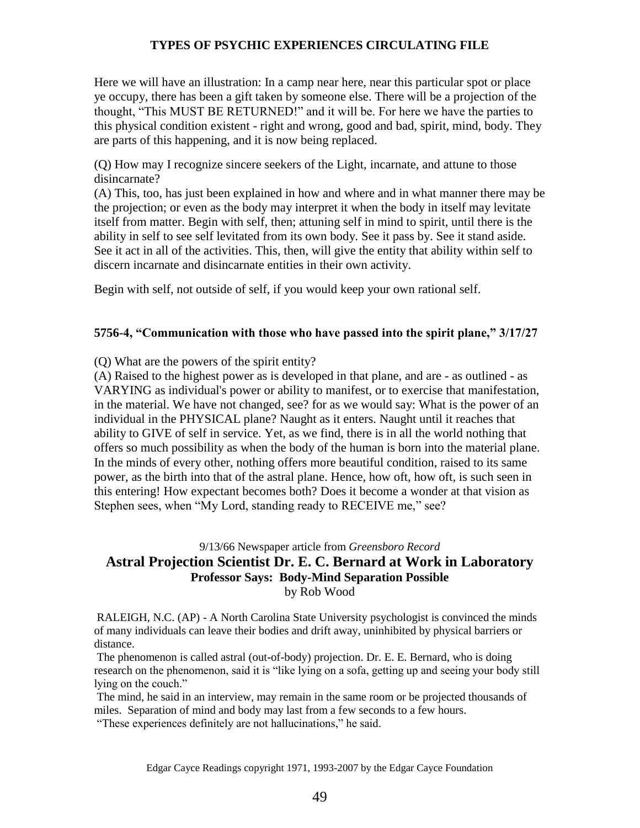Here we will have an illustration: In a camp near here, near this particular spot or place ye occupy, there has been a gift taken by someone else. There will be a projection of the thought, "This MUST BE RETURNED!" and it will be. For here we have the parties to this physical condition existent - right and wrong, good and bad, spirit, mind, body. They are parts of this happening, and it is now being replaced.

(Q) How may I recognize sincere seekers of the Light, [incarnate,](http://www.are-cayce.org/ecreadings/glosnmed.html#INCARNATE) and attune to those di[sincarnate?](http://www.are-cayce.org/ecreadings/glosnmed.html#INCARNATE)

(A) This, too, has just been explained in how and where and in what manner there may be the projection; or even as the body may interpret it when the body in itself may levitate itself from matter. Begin with self, then; attuning self in mind to spirit, until there is the ability in self to see self levitated from its own body. See it pass by. See it stand aside. See it act in all of the activities. This, then, will give the entity that ability within self to discern [incarnate](http://www.are-cayce.org/ecreadings/glosnmed.html#INCARNATE) and di[sincarnate](http://www.are-cayce.org/ecreadings/glosnmed.html#INCARNATE) entities in their own activity.

Begin with self, not outside of self, if you would keep your own rational self.

#### **5756-4, "Communication with those who have passed into the spirit plane," 3/17/27**

(Q) What are the powers of the spirit entity?

(A) Raised to the highest power as is developed in that plane, and are - as outlined - as VARYING as individual's power or ability to manifest, or to exercise that manifestation, in the material. We have not changed, see? for as we would say: What is the power of an individual in the PHYSICAL plane? Naught as it enters. Naught until it reaches that ability to GIVE of self in service. Yet, as we find, there is in all the world nothing that offers so much possibility as when the body of the human is born into the material plane. In the minds of every other, nothing offers more beautiful condition, raised to its same power, as the birth into that of the [astral plane.](http://www.are-cayce.org/ecreadings/glosnmed.html#ASTRALPLANE) Hence, how oft, how oft, is such seen in this entering! How expectant becomes both? Does it become a wonder at that vision as Stephen sees, when "My Lord, standing ready to RECEIVE me," see?

# 9/13/66 Newspaper article from *Greensboro Record*

# **Astral Projection Scientist Dr. E. C. Bernard at Work in Laboratory Professor Says: Body-Mind Separation Possible**  by Rob Wood

RALEIGH, N.C. (AP) - A North Carolina State University psychologist is convinced the minds of many individuals can leave their bodies and drift away, uninhibited by physical barriers or distance.

The phenomenon is called astral (out-of-body) projection. Dr. E. E. Bernard, who is doing research on the phenomenon, said it is "like lying on a sofa, getting up and seeing your body still lying on the couch."

The mind, he said in an interview, may remain in the same room or be projected thousands of miles. Separation of mind and body may last from a few seconds to a few hours.

"These experiences definitely are not hallucinations," he said.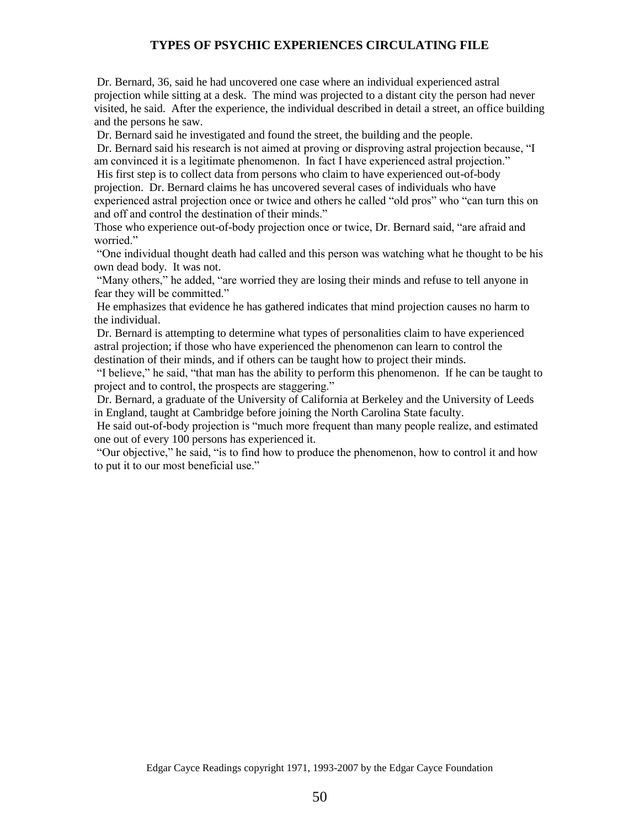Dr. Bernard, 36, said he had uncovered one case where an individual experienced astral projection while sitting at a desk. The mind was projected to a distant city the person had never visited, he said. After the experience, the individual described in detail a street, an office building and the persons he saw.

Dr. Bernard said he investigated and found the street, the building and the people.

Dr. Bernard said his research is not aimed at proving or disproving astral projection because, "I am convinced it is a legitimate phenomenon. In fact I have experienced astral projection."

His first step is to collect data from persons who claim to have experienced out-of-body projection. Dr. Bernard claims he has uncovered several cases of individuals who have experienced astral projection once or twice and others he called "old pros" who "can turn this on and off and control the destination of their minds."

Those who experience out-of-body projection once or twice, Dr. Bernard said, "are afraid and worried."

"One individual thought death had called and this person was watching what he thought to be his own dead body. It was not.

"Many others," he added, "are worried they are losing their minds and refuse to tell anyone in fear they will be committed."

He emphasizes that evidence he has gathered indicates that mind projection causes no harm to the individual.

Dr. Bernard is attempting to determine what types of personalities claim to have experienced astral projection; if those who have experienced the phenomenon can learn to control the destination of their minds, and if others can be taught how to project their minds.

"I believe," he said, "that man has the ability to perform this phenomenon. If he can be taught to project and to control, the prospects are staggering."

Dr. Bernard, a graduate of the University of California at Berkeley and the University of Leeds in England, taught at Cambridge before joining the North Carolina State faculty.

He said out-of-body projection is "much more frequent than many people realize, and estimated one out of every 100 persons has experienced it.

"Our objective," he said, "is to find how to produce the phenomenon, how to control it and how to put it to our most beneficial use."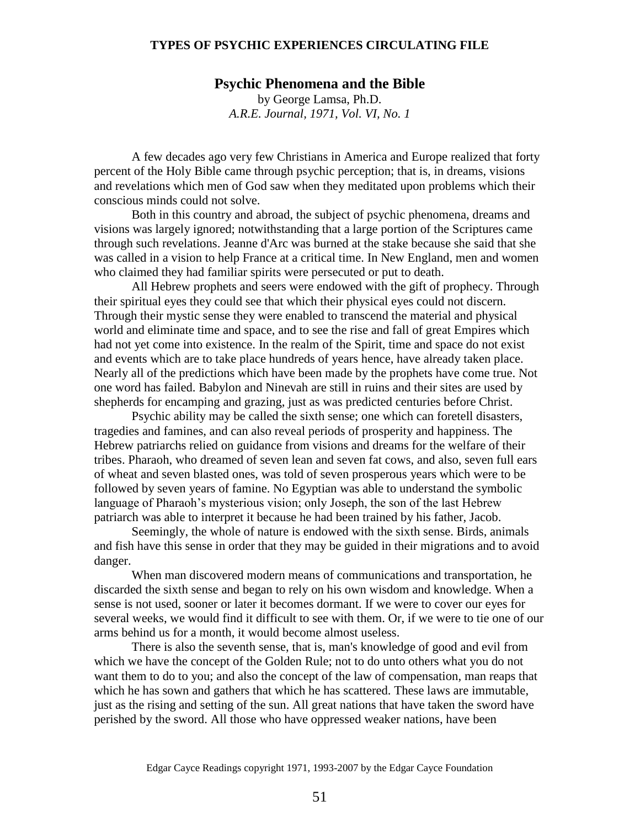#### **Psychic Phenomena and the Bible**

by George Lamsa, Ph.D. *A.R.E. Journal, 1971, Vol. VI, No. 1*

A few decades ago very few Christians in America and Europe realized that forty percent of the Holy Bible came through psychic perception; that is, in dreams, visions and revelations which men of God saw when they meditated upon problems which their conscious minds could not solve.

Both in this country and abroad, the subject of psychic phenomena, dreams and visions was largely ignored; notwithstanding that a large portion of the Scriptures came through such revelations. Jeanne d'Arc was burned at the stake because she said that she was called in a vision to help France at a critical time. In New England, men and women who claimed they had familiar spirits were persecuted or put to death.

All Hebrew prophets and seers were endowed with the gift of prophecy. Through their spiritual eyes they could see that which their physical eyes could not discern. Through their mystic sense they were enabled to transcend the material and physical world and eliminate time and space, and to see the rise and fall of great Empires which had not yet come into existence. In the realm of the Spirit, time and space do not exist and events which are to take place hundreds of years hence, have already taken place. Nearly all of the predictions which have been made by the prophets have come true. Not one word has failed. Babylon and Ninevah are still in ruins and their sites are used by shepherds for encamping and grazing, just as was predicted centuries before Christ.

Psychic ability may be called the sixth sense; one which can foretell disasters, tragedies and famines, and can also reveal periods of prosperity and happiness. The Hebrew patriarchs relied on guidance from visions and dreams for the welfare of their tribes. Pharaoh, who dreamed of seven lean and seven fat cows, and also, seven full ears of wheat and seven blasted ones, was told of seven prosperous years which were to be followed by seven years of famine. No Egyptian was able to understand the symbolic language of Pharaoh's mysterious vision; only Joseph, the son of the last Hebrew patriarch was able to interpret it because he had been trained by his father, Jacob.

Seemingly, the whole of nature is endowed with the sixth sense. Birds, animals and fish have this sense in order that they may be guided in their migrations and to avoid danger.

When man discovered modern means of communications and transportation, he discarded the sixth sense and began to rely on his own wisdom and knowledge. When a sense is not used, sooner or later it becomes dormant. If we were to cover our eyes for several weeks, we would find it difficult to see with them. Or, if we were to tie one of our arms behind us for a month, it would become almost useless.

There is also the seventh sense, that is, man's knowledge of good and evil from which we have the concept of the Golden Rule; not to do unto others what you do not want them to do to you; and also the concept of the law of compensation, man reaps that which he has sown and gathers that which he has scattered. These laws are immutable, just as the rising and setting of the sun. All great nations that have taken the sword have perished by the sword. All those who have oppressed weaker nations, have been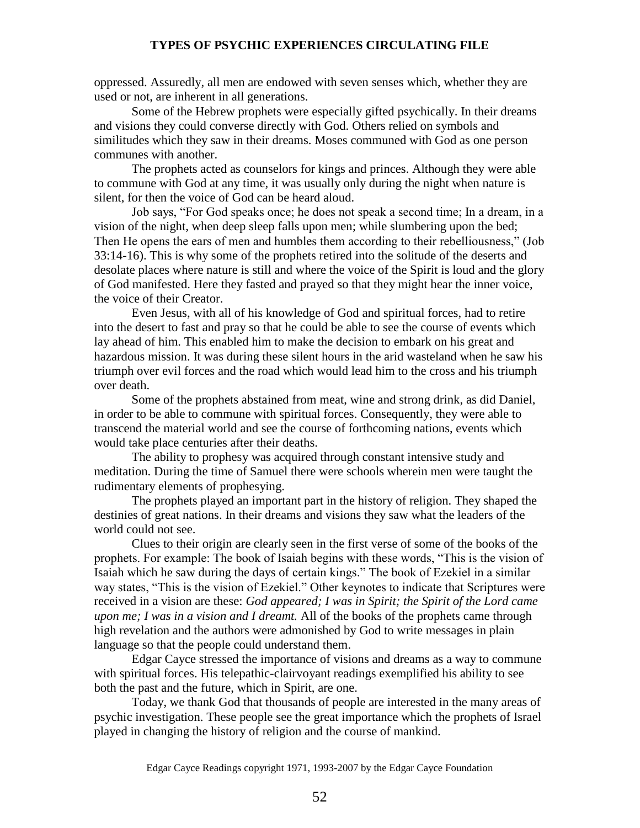oppressed. Assuredly, all men are endowed with seven senses which, whether they are used or not, are inherent in all generations.

Some of the Hebrew prophets were especially gifted psychically. In their dreams and visions they could converse directly with God. Others relied on symbols and similitudes which they saw in their dreams. Moses communed with God as one person communes with another.

The prophets acted as counselors for kings and princes. Although they were able to commune with God at any time, it was usually only during the night when nature is silent, for then the voice of God can be heard aloud.

Job says, "For God speaks once; he does not speak a second time; In a dream, in a vision of the night, when deep sleep falls upon men; while slumbering upon the bed; Then He opens the ears of men and humbles them according to their rebelliousness," (Job 33:14-16). This is why some of the prophets retired into the solitude of the deserts and desolate places where nature is still and where the voice of the Spirit is loud and the glory of God manifested. Here they fasted and prayed so that they might hear the inner voice, the voice of their Creator.

Even Jesus, with all of his knowledge of God and spiritual forces, had to retire into the desert to fast and pray so that he could be able to see the course of events which lay ahead of him. This enabled him to make the decision to embark on his great and hazardous mission. It was during these silent hours in the arid wasteland when he saw his triumph over evil forces and the road which would lead him to the cross and his triumph over death.

Some of the prophets abstained from meat, wine and strong drink, as did Daniel, in order to be able to commune with spiritual forces. Consequently, they were able to transcend the material world and see the course of forthcoming nations, events which would take place centuries after their deaths.

The ability to prophesy was acquired through constant intensive study and meditation. During the time of Samuel there were schools wherein men were taught the rudimentary elements of prophesying.

The prophets played an important part in the history of religion. They shaped the destinies of great nations. In their dreams and visions they saw what the leaders of the world could not see.

Clues to their origin are clearly seen in the first verse of some of the books of the prophets. For example: The book of Isaiah begins with these words, "This is the vision of Isaiah which he saw during the days of certain kings." The book of Ezekiel in a similar way states, "This is the vision of Ezekiel." Other keynotes to indicate that Scriptures were received in a vision are these: *God appeared; I was in Spirit; the Spirit of the Lord came upon me; I was in a vision and I dreamt.* All of the books of the prophets came through high revelation and the authors were admonished by God to write messages in plain language so that the people could understand them.

Edgar Cayce stressed the importance of visions and dreams as a way to commune with spiritual forces. His telepathic-clairvoyant readings exemplified his ability to see both the past and the future, which in Spirit, are one.

Today, we thank God that thousands of people are interested in the many areas of psychic investigation. These people see the great importance which the prophets of Israel played in changing the history of religion and the course of mankind.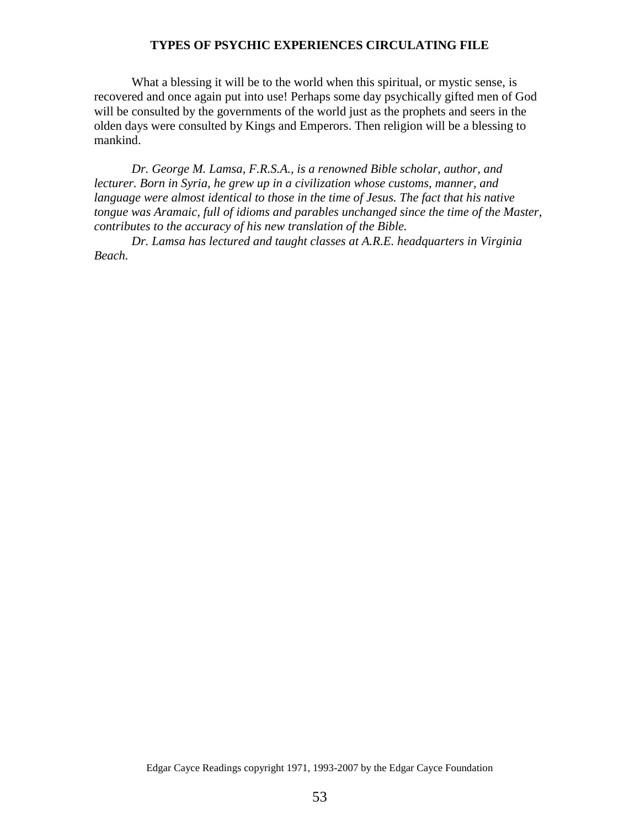What a blessing it will be to the world when this spiritual, or mystic sense, is recovered and once again put into use! Perhaps some day psychically gifted men of God will be consulted by the governments of the world just as the prophets and seers in the olden days were consulted by Kings and Emperors. Then religion will be a blessing to mankind.

*Dr. George M. Lamsa, F.R.S.A., is a renowned Bible scholar, author, and lecturer. Born in Syria, he grew up in a civilization whose customs, manner, and*  language were almost *identical to those in the time of Jesus. The fact that his native tongue was Aramaic, full of idioms and parables unchanged since the time of the Master, contributes to the accuracy of his new translation of the Bible.*

*Dr. Lamsa has lectured and taught classes at A.R.E. headquarters in Virginia Beach.*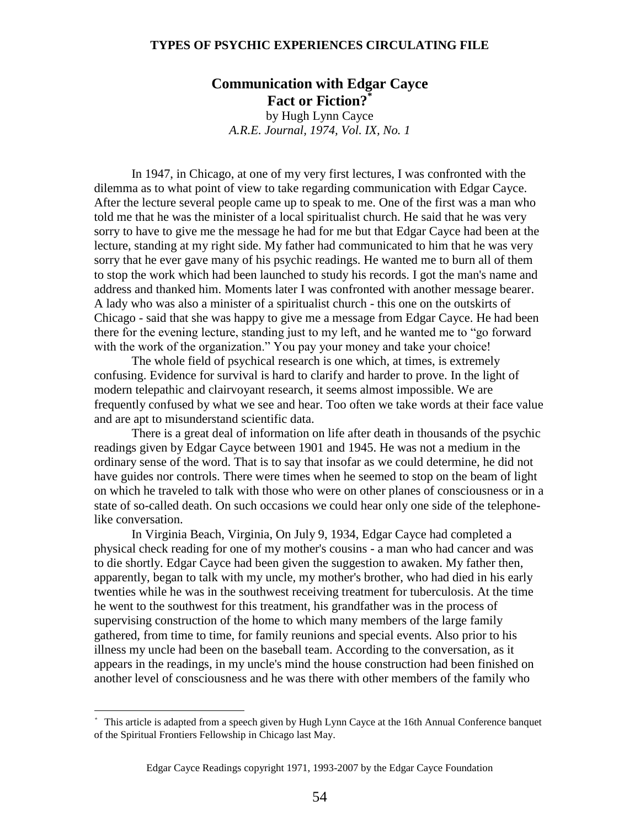# **Communication with Edgar Cayce Fact or Fiction?\*** by Hugh Lynn Cayce *A.R.E. Journal, 1974, Vol. IX, No. 1*

In 1947, in Chicago, at one of my very first lectures, I was confronted with the dilemma as to what point of view to take regarding communication with Edgar Cayce. After the lecture several people came up to speak to me. One of the first was a man who told me that he was the minister of a local spiritualist church. He said that he was very sorry to have to give me the message he had for me but that Edgar Cayce had been at the lecture, standing at my right side. My father had communicated to him that he was very sorry that he ever gave many of his psychic readings. He wanted me to burn all of them to stop the work which had been launched to study his records. I got the man's name and address and thanked him. Moments later I was confronted with another message bearer. A lady who was also a minister of a spiritualist church - this one on the outskirts of Chicago - said that she was happy to give me a message from Edgar Cayce. He had been there for the evening lecture, standing just to my left, and he wanted me to "go forward with the work of the organization." You pay your money and take your choice!

The whole field of psychical research is one which, at times, is extremely confusing. Evidence for survival is hard to clarify and harder to prove. In the light of modern telepathic and clairvoyant research, it seems almost impossible. We are frequently confused by what we see and hear. Too often we take words at their face value and are apt to misunderstand scientific data.

There is a great deal of information on life after death in thousands of the psychic readings given by Edgar Cayce between 1901 and 1945. He was not a medium in the ordinary sense of the word. That is to say that insofar as we could determine, he did not have guides nor controls. There were times when he seemed to stop on the beam of light on which he traveled to talk with those who were on other planes of consciousness or in a state of so-called death. On such occasions we could hear only one side of the telephonelike conversation.

In Virginia Beach, Virginia, On July 9, 1934, Edgar Cayce had completed a physical check reading for one of my mother's cousins - a man who had cancer and was to die shortly. Edgar Cayce had been given the suggestion to awaken. My father then, apparently, began to talk with my uncle, my mother's brother, who had died in his early twenties while he was in the southwest receiving treatment for tuberculosis. At the time he went to the southwest for this treatment, his grandfather was in the process of supervising construction of the home to which many members of the large family gathered, from time to time, for family reunions and special events. Also prior to his illness my uncle had been on the baseball team. According to the conversation, as it appears in the readings, in my uncle's mind the house construction had been finished on another level of consciousness and he was there with other members of the family who

 $\overline{a}$ 

This article is adapted from a speech given by Hugh Lynn Cayce at the 16th Annual Conference banquet of the Spiritual Frontiers Fellowship in Chicago last May.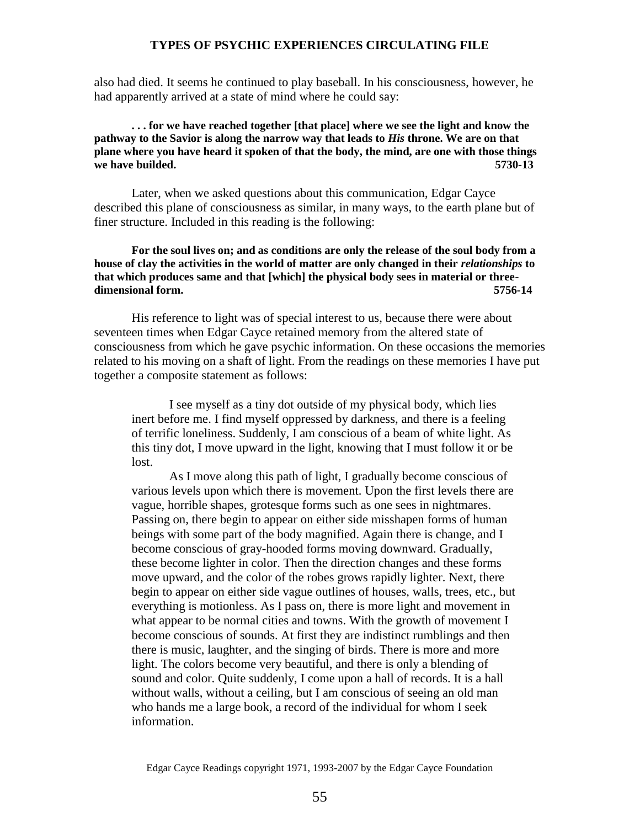also had died. It seems he continued to play baseball. In his consciousness, however, he had apparently arrived at a state of mind where he could say:

**. . . for we have reached together [that place] where we see the light and know the pathway to the Savior is along the narrow way that leads to** *His* **throne. We are on that plane where you have heard it spoken of that the body, the mind, are one with those things we have builded. 5730-13**

Later, when we asked questions about this communication, Edgar Cayce described this plane of consciousness as similar, in many ways, to the earth plane but of finer structure. Included in this reading is the following:

**For the soul lives on; and as conditions are only the release of the soul body from a house of clay the activities in the world of matter are only changed in their** *relationships* **to that which produces same and that [which] the physical body sees in material or threedimensional form. 5756-14**

His reference to light was of special interest to us, because there were about seventeen times when Edgar Cayce retained memory from the altered state of consciousness from which he gave psychic information. On these occasions the memories related to his moving on a shaft of light. From the readings on these memories I have put together a composite statement as follows:

I see myself as a tiny dot outside of my physical body, which lies inert before me. I find myself oppressed by darkness, and there is a feeling of terrific loneliness. Suddenly, I am conscious of a beam of white light. As this tiny dot, I move upward in the light, knowing that I must follow it or be lost.

As I move along this path of light, I gradually become conscious of various levels upon which there is movement. Upon the first levels there are vague, horrible shapes, grotesque forms such as one sees in nightmares. Passing on, there begin to appear on either side misshapen forms of human beings with some part of the body magnified. Again there is change, and I become conscious of gray-hooded forms moving downward. Gradually, these become lighter in color. Then the direction changes and these forms move upward, and the color of the robes grows rapidly lighter. Next, there begin to appear on either side vague outlines of houses, walls, trees, etc., but everything is motionless. As I pass on, there is more light and movement in what appear to be normal cities and towns. With the growth of movement I become conscious of sounds. At first they are indistinct rumblings and then there is music, laughter, and the singing of birds. There is more and more light. The colors become very beautiful, and there is only a blending of sound and color. Quite suddenly, I come upon a hall of records. It is a hall without walls, without a ceiling, but I am conscious of seeing an old man who hands me a large book, a record of the individual for whom I seek information.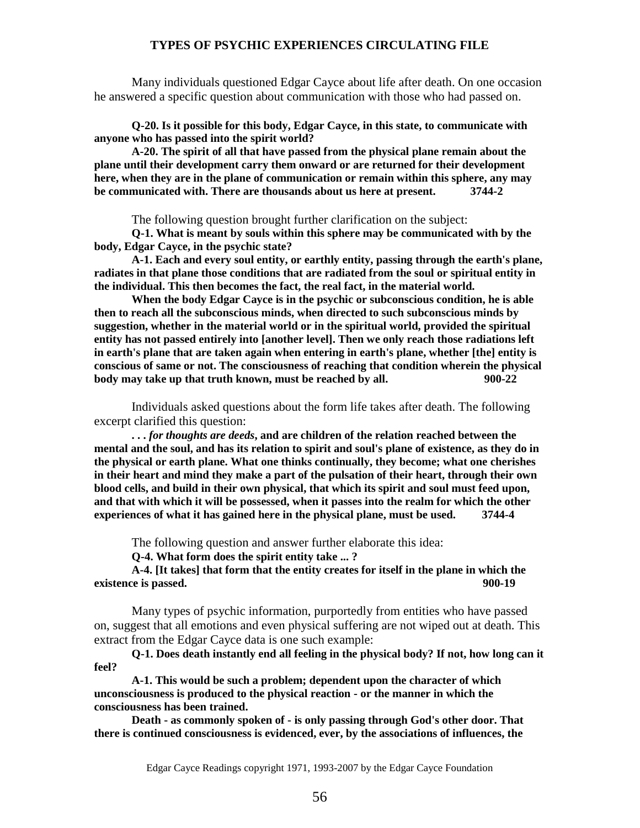Many individuals questioned Edgar Cayce about life after death. On one occasion he answered a specific question about communication with those who had passed on.

**Q-20. Is it possible for this body, Edgar Cayce, in this state, to communicate with anyone who has passed into the spirit world?**

**A-20. The spirit of all that have passed from the physical plane remain about the plane until their development carry them onward or are returned for their development here, when they are in the plane of communication or remain within this sphere, any may be communicated with. There are thousands about us here at present. 3744-2**

The following question brought further clarification on the subject:

**Q-1. What is meant by souls within this sphere may be communicated with by the body, Edgar Cayce, in the psychic state?**

**A-1. Each and every soul entity, or earthly entity, passing through the earth's plane, radiates in that plane those conditions that are radiated from the soul or spiritual entity in the individual. This then becomes the fact, the real fact, in the material world.**

**When the body Edgar Cayce is in the psychic or subconscious condition, he is able then to reach all the subconscious minds, when directed to such subconscious minds by suggestion, whether in the material world or in the spiritual world, provided the spiritual entity has not passed entirely into [another level]. Then we only reach those radiations left in earth's plane that are taken again when entering in earth's plane, whether [the] entity is conscious of same or not. The consciousness of reaching that condition wherein the physical body may take up that truth known, must be reached by all. 900-22**

Individuals asked questions about the form life takes after death. The following excerpt clarified this question:

**. . .** *for thoughts are deeds***, and are children of the relation reached between the mental and the soul, and has its relation to spirit and soul's plane of existence, as they do in the physical or earth plane. What one thinks continually, they become; what one cherishes in their heart and mind they make a part of the pulsation of their heart, through their own blood cells, and build in their own physical, that which its spirit and soul must feed upon, and that with which it will be possessed, when it passes into the realm for which the other experiences of what it has gained here in the physical plane, must be used. 3744-4**

The following question and answer further elaborate this idea:

**Q-4. What form does the spirit entity take ... ?**

**A-4. [It takes] that form that the entity creates for itself in the plane in which the existence is passed.** 900-19

Many types of psychic information, purportedly from entities who have passed on, suggest that all emotions and even physical suffering are not wiped out at death. This extract from the Edgar Cayce data is one such example:

**Q-1. Does death instantly end all feeling in the physical body? If not, how long can it feel?**

**A-1. This would be such a problem; dependent upon the character of which unconsciousness is produced to the physical reaction - or the manner in which the consciousness has been trained.**

**Death - as commonly spoken of - is only passing through God's other door. That there is continued consciousness is evidenced, ever, by the associations of influences, the**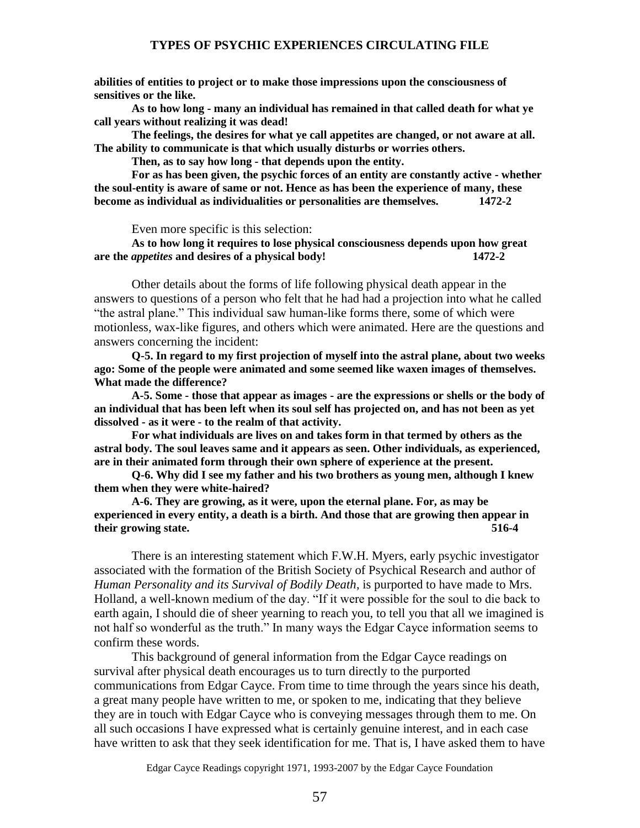**abilities of entities to project or to make those impressions upon the consciousness of sensitives or the like.**

**As to how long - many an individual has remained in that called death for what ye call years without realizing it was dead!**

**The feelings, the desires for what ye call appetites are changed, or not aware at all. The ability to communicate is that which usually disturbs or worries others.**

**Then, as to say how long - that depends upon the entity.**

**For as has been given, the psychic forces of an entity are constantly active - whether the soul-entity is aware of same or not. Hence as has been the experience of many, these become as individual as individualities or personalities are themselves. 1472-2**

Even more specific is this selection:

**As to how long it requires to lose physical consciousness depends upon how great are the** *appetites* **and desires of a physical body! 1472-2**

Other details about the forms of life following physical death appear in the answers to questions of a person who felt that he had had a projection into what he called "the astral plane." This individual saw human-like forms there, some of which were motionless, wax-like figures, and others which were animated. Here are the questions and answers concerning the incident:

**Q-5. In regard to my first projection of myself into the astral plane, about two weeks ago: Some of the people were animated and some seemed like waxen images of themselves. What made the difference?**

**A-5. Some - those that appear as images - are the expressions or shells or the body of an individual that has been left when its soul self has projected on, and has not been as yet dissolved - as it were - to the realm of that activity.**

**For what individuals are lives on and takes form in that termed by others as the astral body. The soul leaves same and it appears as seen. Other individuals, as experienced, are in their animated form through their own sphere of experience at the present.**

**Q-6. Why did I see my father and his two brothers as young men, although I knew them when they were white-haired?**

**A-6. They are growing, as it were, upon the eternal plane. For, as may be experienced in every entity, a death is a birth. And those that are growing then appear in their growing state. 516-4**

There is an interesting statement which F.W.H. Myers, early psychic investigator associated with the formation of the British Society of Psychical Research and author of *Human Personality and its Survival of Bodily Death*, is purported to have made to Mrs. Holland, a well-known medium of the day. "If it were possible for the soul to die back to earth again, I should die of sheer yearning to reach you, to tell you that all we imagined is not half so wonderful as the truth." In many ways the Edgar Cayce information seems to confirm these words.

This background of general information from the Edgar Cayce readings on survival after physical death encourages us to turn directly to the purported communications from Edgar Cayce. From time to time through the years since his death, a great many people have written to me, or spoken to me, indicating that they believe they are in touch with Edgar Cayce who is conveying messages through them to me. On all such occasions I have expressed what is certainly genuine interest, and in each case have written to ask that they seek identification for me. That is, I have asked them to have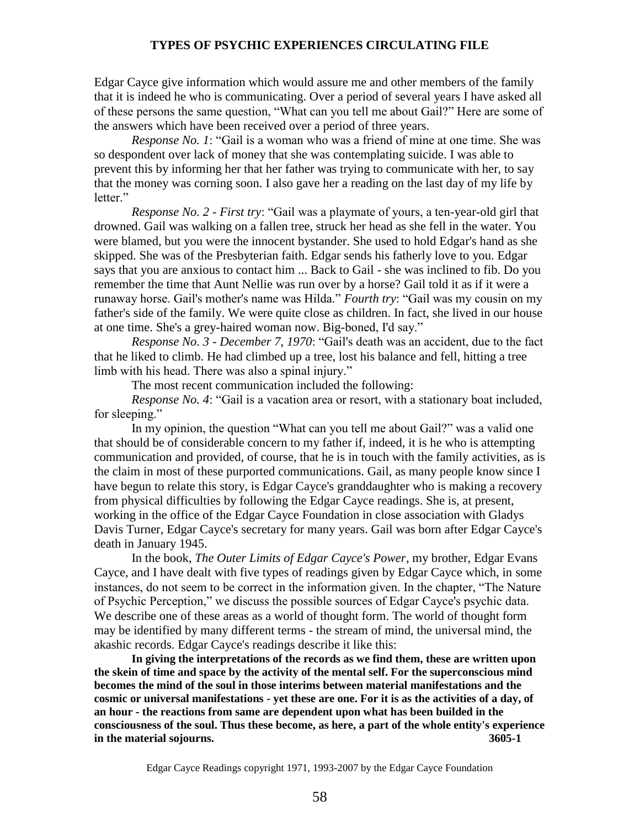Edgar Cayce give information which would assure me and other members of the family that it is indeed he who is communicating. Over a period of several years I have asked all of these persons the same question, "What can you tell me about Gail?" Here are some of the answers which have been received over a period of three years.

*Response No. 1*: "Gail is a woman who was a friend of mine at one time. She was so despondent over lack of money that she was contemplating suicide. I was able to prevent this by informing her that her father was trying to communicate with her, to say that the money was corning soon. I also gave her a reading on the last day of my life by letter<sup>"</sup>

*Response No. 2* - *First try*: "Gail was a playmate of yours, a ten-year-old girl that drowned. Gail was walking on a fallen tree, struck her head as she fell in the water. You were blamed, but you were the innocent bystander. She used to hold Edgar's hand as she skipped. She was of the Presbyterian faith. Edgar sends his fatherly love to you. Edgar says that you are anxious to contact him ... Back to Gail - she was inclined to fib. Do you remember the time that Aunt Nellie was run over by a horse? Gail told it as if it were a runaway horse. Gail's mother's name was Hilda." *Fourth try*: "Gail was my cousin on my father's side of the family. We were quite close as children. In fact, she lived in our house at one time. She's a grey-haired woman now. Big-boned, I'd say."

*Response No. 3 - December 7, 1970*: "Gail's death was an accident, due to the fact that he liked to climb. He had climbed up a tree, lost his balance and fell, hitting a tree limb with his head. There was also a spinal injury."

The most recent communication included the following:

*Response No. 4*: "Gail is a vacation area or resort, with a stationary boat included, for sleeping."

In my opinion, the question "What can you tell me about Gail?" was a valid one that should be of considerable concern to my father if, indeed, it is he who is attempting communication and provided, of course, that he is in touch with the family activities, as is the claim in most of these purported communications. Gail, as many people know since I have begun to relate this story, is Edgar Cayce's granddaughter who is making a recovery from physical difficulties by following the Edgar Cayce readings. She is, at present, working in the office of the Edgar Cayce Foundation in close association with Gladys Davis Turner, Edgar Cayce's secretary for many years. Gail was born after Edgar Cayce's death in January 1945.

In the book, *The Outer Limits of Edgar Cayce's Power*, my brother, Edgar Evans Cayce, and I have dealt with five types of readings given by Edgar Cayce which, in some instances, do not seem to be correct in the information given. In the chapter, "The Nature of Psychic Perception," we discuss the possible sources of Edgar Cayce's psychic data. We describe one of these areas as a world of thought form. The world of thought form may be identified by many different terms - the stream of mind, the universal mind, the akashic records. Edgar Cayce's readings describe it like this:

**In giving the interpretations of the records as we find them, these are written upon the skein of time and space by the activity of the mental self. For the superconscious mind becomes the mind of the soul in those interims between material manifestations and the cosmic or universal manifestations - yet these are one. For it is as the activities of a day, of an hour - the reactions from same are dependent upon what has been builded in the consciousness of the soul. Thus these become, as here, a part of the whole entity's experience in the material sojourns. 3605-1**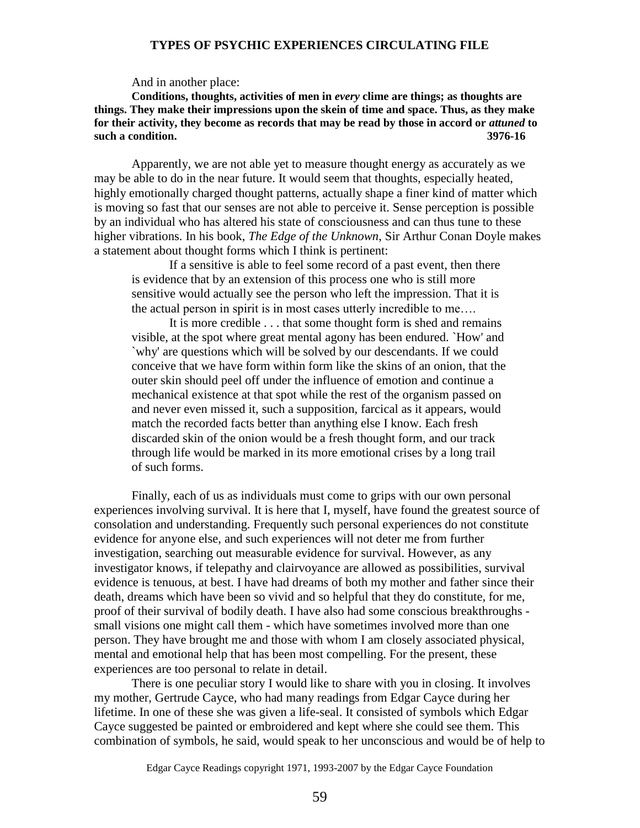And in another place:

**Conditions, thoughts, activities of men in** *every* **clime are things; as thoughts are things. They make their impressions upon the skein of time and space. Thus, as they make for their activity, they become as records that may be read by those in accord or** *attuned* **to such a condition. 3976-16**

Apparently, we are not able yet to measure thought energy as accurately as we may be able to do in the near future. It would seem that thoughts, especially heated, highly emotionally charged thought patterns, actually shape a finer kind of matter which is moving so fast that our senses are not able to perceive it. Sense perception is possible by an individual who has altered his state of consciousness and can thus tune to these higher vibrations. In his book, *The Edge of the Unknown*, Sir Arthur Conan Doyle makes a statement about thought forms which I think is pertinent:

If a sensitive is able to feel some record of a past event, then there is evidence that by an extension of this process one who is still more sensitive would actually see the person who left the impression. That it is the actual person in spirit is in most cases utterly incredible to me….

It is more credible . . . that some thought form is shed and remains visible, at the spot where great mental agony has been endured. `How' and `why' are questions which will be solved by our descendants. If we could conceive that we have form within form like the skins of an onion, that the outer skin should peel off under the influence of emotion and continue a mechanical existence at that spot while the rest of the organism passed on and never even missed it, such a supposition, farcical as it appears, would match the recorded facts better than anything else I know. Each fresh discarded skin of the onion would be a fresh thought form, and our track through life would be marked in its more emotional crises by a long trail of such forms.

Finally, each of us as individuals must come to grips with our own personal experiences involving survival. It is here that I, myself, have found the greatest source of consolation and understanding. Frequently such personal experiences do not constitute evidence for anyone else, and such experiences will not deter me from further investigation, searching out measurable evidence for survival. However, as any investigator knows, if telepathy and clairvoyance are allowed as possibilities, survival evidence is tenuous, at best. I have had dreams of both my mother and father since their death, dreams which have been so vivid and so helpful that they do constitute, for me, proof of their survival of bodily death. I have also had some conscious breakthroughs small visions one might call them - which have sometimes involved more than one person. They have brought me and those with whom I am closely associated physical, mental and emotional help that has been most compelling. For the present, these experiences are too personal to relate in detail.

There is one peculiar story I would like to share with you in closing. It involves my mother, Gertrude Cayce, who had many readings from Edgar Cayce during her lifetime. In one of these she was given a life-seal. It consisted of symbols which Edgar Cayce suggested be painted or embroidered and kept where she could see them. This combination of symbols, he said, would speak to her unconscious and would be of help to